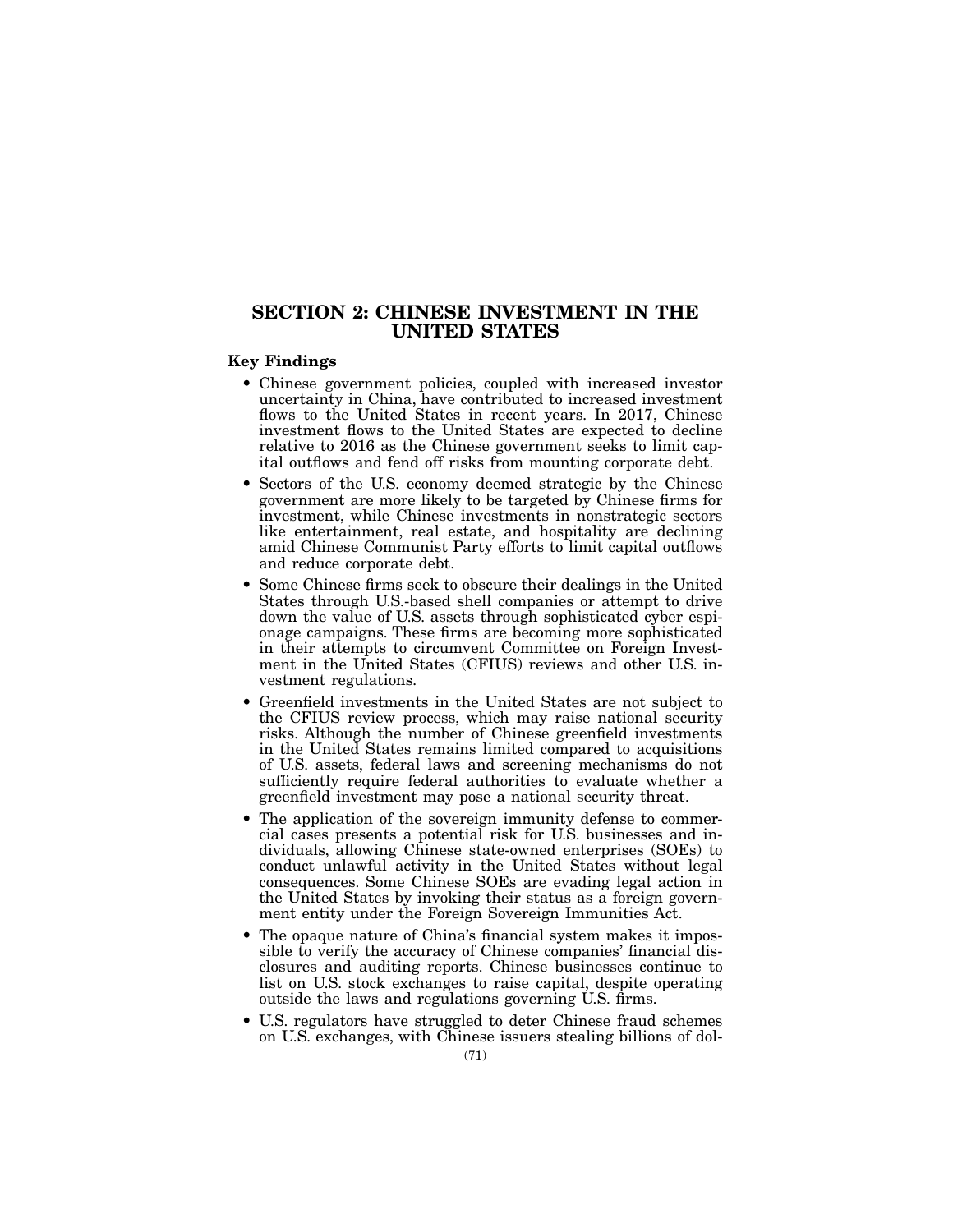# SECTION 2: CHINESE INVESTMENT IN THE UNITED STATES

### Key Findings

- Chinese government policies, coupled with increased investor uncertainty in China, have contributed to increased investment flows to the United States in recent years. In 2017, Chinese investment flows to the United States are expected to decline relative to 2016 as the Chinese government seeks to limit capital outflows and fend off risks from mounting corporate debt.
- Sectors of the U.S. economy deemed strategic by the Chinese government are more likely to be targeted by Chinese firms for investment, while Chinese investments in nonstrategic sectors like entertainment, real estate, and hospitality are declining amid Chinese Communist Party efforts to limit capital outflows and reduce corporate debt.
- Some Chinese firms seek to obscure their dealings in the United States through U.S.-based shell companies or attempt to drive down the value of U.S. assets through sophisticated cyber espionage campaigns. These firms are becoming more sophisticated in their attempts to circumvent Committee on Foreign Investment in the United States (CFIUS) reviews and other U.S. investment regulations.
- Greenfield investments in the United States are not subject to the CFIUS review process, which may raise national security risks. Although the number of Chinese greenfield investments in the United States remains limited compared to acquisitions of U.S. assets, federal laws and screening mechanisms do not sufficiently require federal authorities to evaluate whether a greenfield investment may pose a national security threat.
- The application of the sovereign immunity defense to commercial cases presents a potential risk for U.S. businesses and individuals, allowing Chinese state-owned enterprises (SOEs) to conduct unlawful activity in the United States without legal consequences. Some Chinese SOEs are evading legal action in the United States by invoking their status as a foreign government entity under the Foreign Sovereign Immunities Act.
- The opaque nature of China's financial system makes it impossible to verify the accuracy of Chinese companies' financial disclosures and auditing reports. Chinese businesses continue to list on U.S. stock exchanges to raise capital, despite operating outside the laws and regulations governing U.S. firms.
- U.S. regulators have struggled to deter Chinese fraud schemes on U.S. exchanges, with Chinese issuers stealing billions of dol-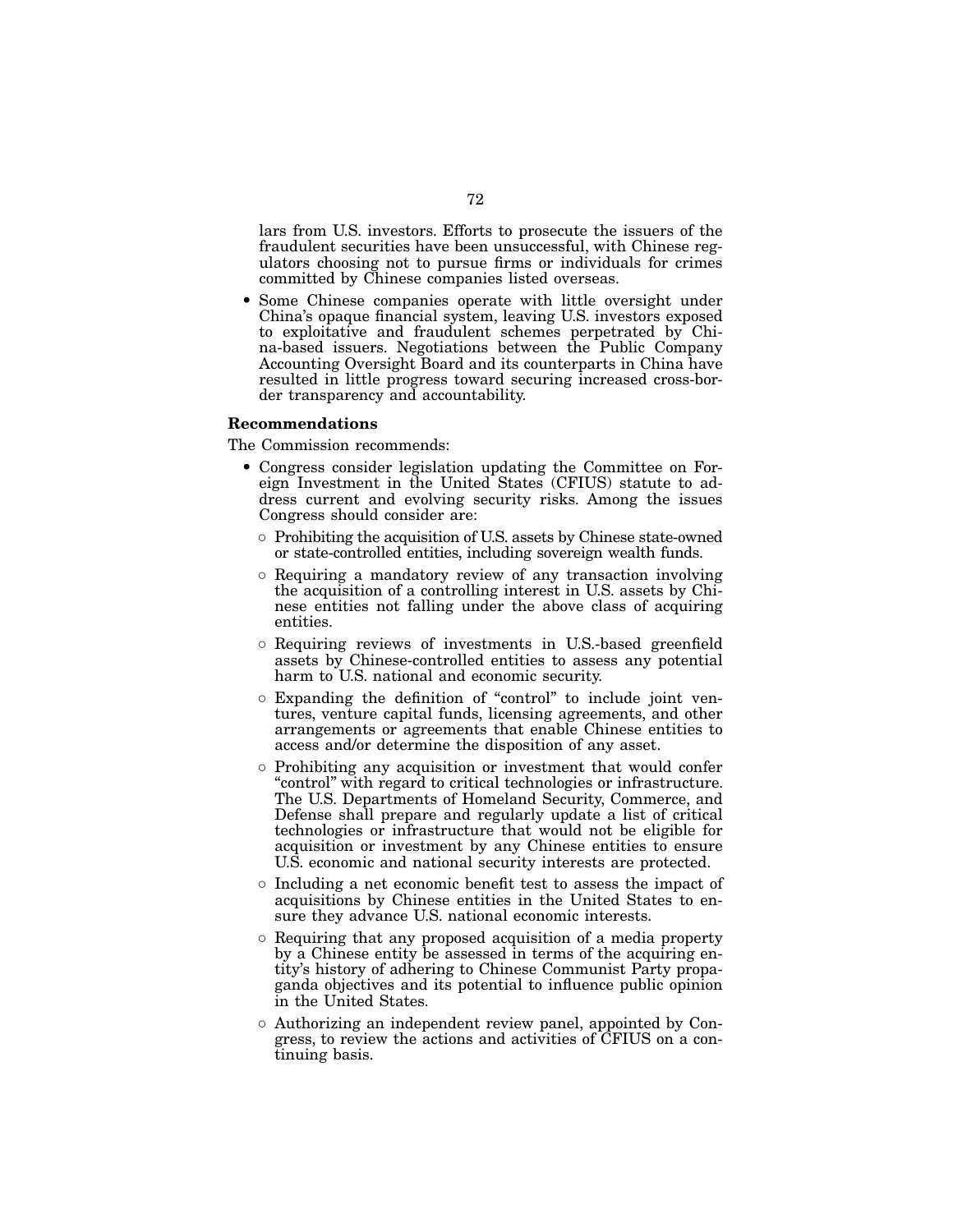lars from U.S. investors. Efforts to prosecute the issuers of the fraudulent securities have been unsuccessful, with Chinese regulators choosing not to pursue firms or individuals for crimes committed by Chinese companies listed overseas.

• Some Chinese companies operate with little oversight under China's opaque financial system, leaving U.S. investors exposed to exploitative and fraudulent schemes perpetrated by China-based issuers. Negotiations between the Public Company Accounting Oversight Board and its counterparts in China have resulted in little progress toward securing increased cross-border transparency and accountability.

# Recommendations

The Commission recommends:

- Congress consider legislation updating the Committee on Foreign Investment in the United States (CFIUS) statute to address current and evolving security risks. Among the issues Congress should consider are:
	- Prohibiting the acquisition of U.S. assets by Chinese state-owned or state-controlled entities, including sovereign wealth funds.
	- Requiring a mandatory review of any transaction involving the acquisition of a controlling interest in U.S. assets by Chinese entities not falling under the above class of acquiring entities.
	- Requiring reviews of investments in U.S.-based greenfield assets by Chinese-controlled entities to assess any potential harm to U.S. national and economic security.
	- Expanding the definition of "control" to include joint ventures, venture capital funds, licensing agreements, and other arrangements or agreements that enable Chinese entities to access and/or determine the disposition of any asset.
	- Prohibiting any acquisition or investment that would confer "control" with regard to critical technologies or infrastructure. The U.S. Departments of Homeland Security, Commerce, and Defense shall prepare and regularly update a list of critical technologies or infrastructure that would not be eligible for acquisition or investment by any Chinese entities to ensure U.S. economic and national security interests are protected.
	- Including a net economic benefit test to assess the impact of acquisitions by Chinese entities in the United States to ensure they advance U.S. national economic interests.
	- Requiring that any proposed acquisition of a media property by a Chinese entity be assessed in terms of the acquiring entity's history of adhering to Chinese Communist Party propaganda objectives and its potential to influence public opinion in the United States.
	- Authorizing an independent review panel, appointed by Congress, to review the actions and activities of CFIUS on a continuing basis.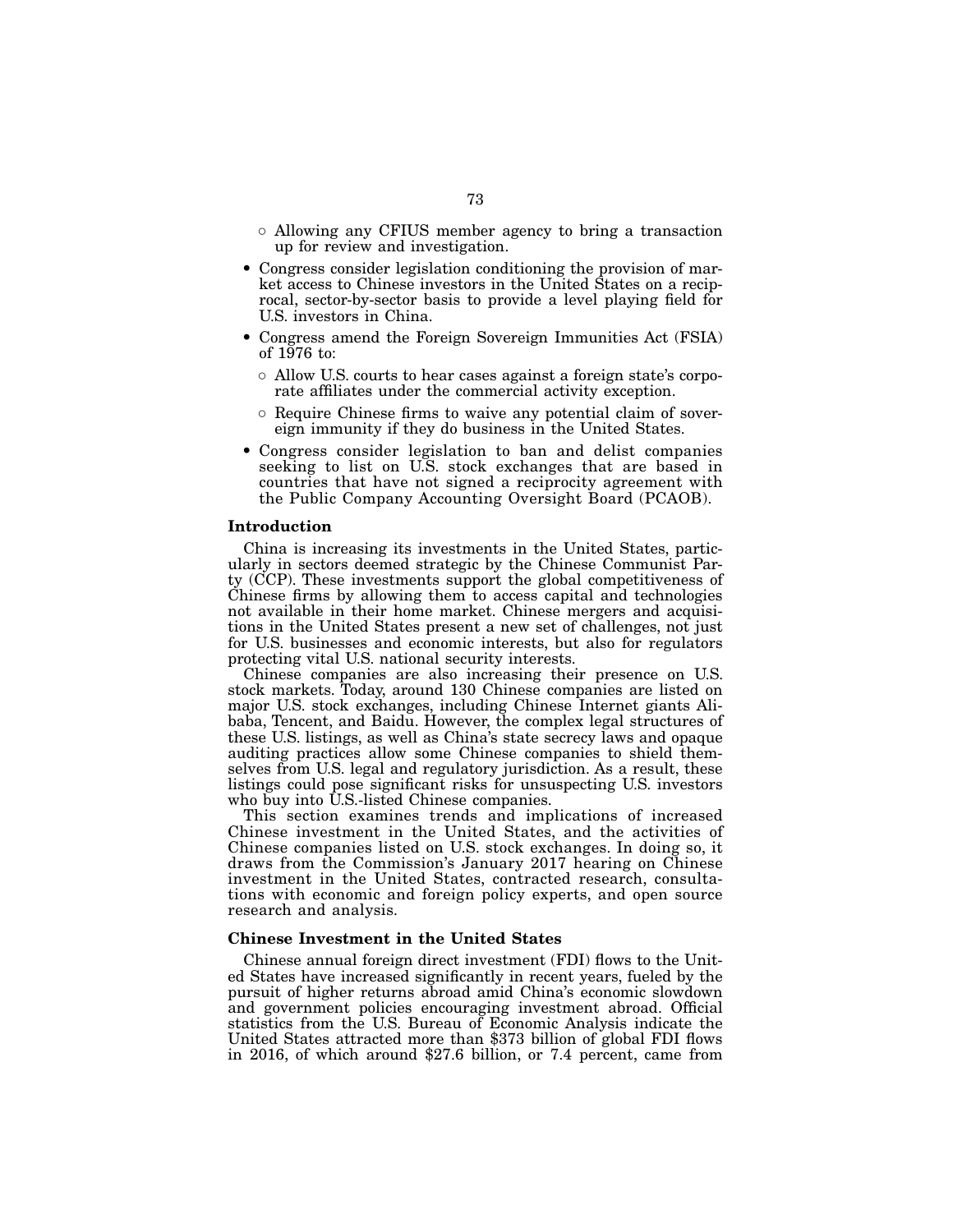- Allowing any CFIUS member agency to bring a transaction up for review and investigation.
- Congress consider legislation conditioning the provision of market access to Chinese investors in the United States on a reciprocal, sector-by-sector basis to provide a level playing field for U.S. investors in China.
- Congress amend the Foreign Sovereign Immunities Act (FSIA) of 1976 to:
	- Allow U.S. courts to hear cases against a foreign state's corporate affiliates under the commercial activity exception.
	- Require Chinese firms to waive any potential claim of sovereign immunity if they do business in the United States.
- Congress consider legislation to ban and delist companies seeking to list on U.S. stock exchanges that are based in countries that have not signed a reciprocity agreement with the Public Company Accounting Oversight Board (PCAOB).

#### Introduction

China is increasing its investments in the United States, particularly in sectors deemed strategic by the Chinese Communist Party (CCP). These investments support the global competitiveness of Chinese firms by allowing them to access capital and technologies not available in their home market. Chinese mergers and acquisitions in the United States present a new set of challenges, not just for U.S. businesses and economic interests, but also for regulators protecting vital U.S. national security interests.

Chinese companies are also increasing their presence on U.S. stock markets. Today, around 130 Chinese companies are listed on major U.S. stock exchanges, including Chinese Internet giants Alibaba, Tencent, and Baidu. However, the complex legal structures of these U.S. listings, as well as China's state secrecy laws and opaque auditing practices allow some Chinese companies to shield themselves from U.S. legal and regulatory jurisdiction. As a result, these listings could pose significant risks for unsuspecting U.S. investors who buy into U.S.-listed Chinese companies.

This section examines trends and implications of increased Chinese investment in the United States, and the activities of Chinese companies listed on U.S. stock exchanges. In doing so, it draws from the Commission's January 2017 hearing on Chinese investment in the United States, contracted research, consultations with economic and foreign policy experts, and open source research and analysis.

#### Chinese Investment in the United States

Chinese annual foreign direct investment (FDI) flows to the United States have increased significantly in recent years, fueled by the pursuit of higher returns abroad amid China's economic slowdown and government policies encouraging investment abroad. Official statistics from the U.S. Bureau of Economic Analysis indicate the United States attracted more than \$373 billion of global FDI flows in 2016, of which around \$27.6 billion, or 7.4 percent, came from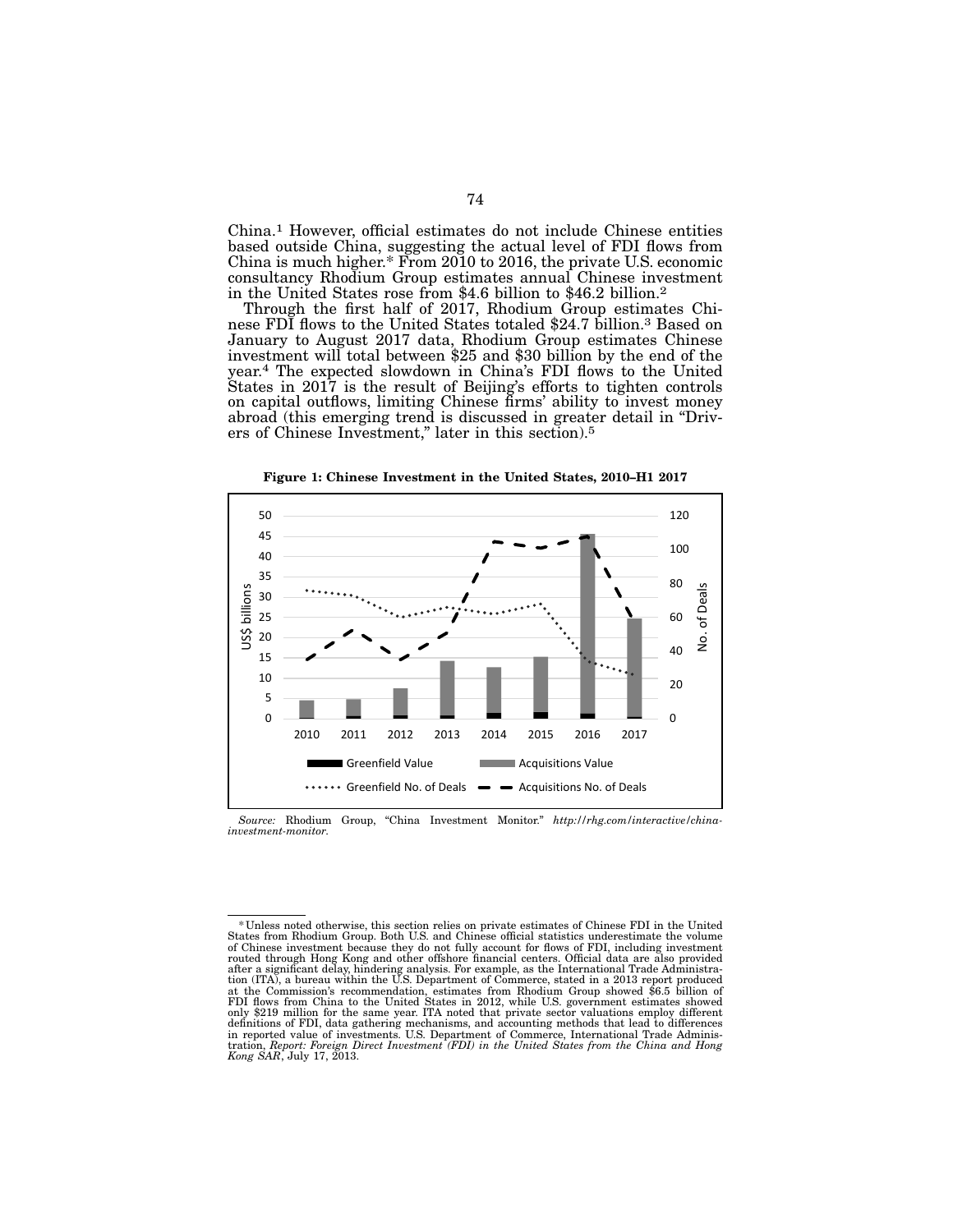China.1 However, official estimates do not include Chinese entities based outside China, suggesting the actual level of FDI flows from China is much higher.\* From 2010 to 2016, the private U.S. economic consultancy Rhodium Group estimates annual Chinese investment in the United States rose from \$4.6 billion to \$46.2 billion.2

Through the first half of 2017, Rhodium Group estimates Chi- nese FDI flows to the United States totaled \$24.7 billion.3 Based on January to August 2017 data, Rhodium Group estimates Chinese investment will total between \$25 and \$30 billion by the end of the year.4 The expected slowdown in China's FDI flows to the United States in 2017 is the result of Beijing's efforts to tighten controls on capital outflows, limiting Chinese firms' ability to invest money abroad (this emerging trend is discussed in greater detail in "Driv- ers of Chinese Investment," later in this section).5





*Source:* Rhodium Group, "China Investment Monitor." *http://rhg.com/interactive/chinainvestment-monitor*.

<sup>\*</sup>Unless noted otherwise, this section relies on private estimates of Chinese FDI in the United States from Rhodium Group. Both U.S. and Chinese official statistics underestimate the volume of Chinese investment because they do not fully account for flows of FDI, including investment routed through Hong Kong and other offshore financial centers. Official data are also provided<br>after a significant delay, hindering analysis. For example, as the International Trade Administra-<br>tion (ITA), a bureau within at the Commission's recommendation, estimates from Rhodium Group showed \$6.5 billion of FDI flows from China to the United States in 2012, while U.S. government estimates showed only \$219 million for the same year. ITA noted that private sector valuations employ different<br>definitions of FDI, data gathering mechanisms, and accounting methods that lead to differences<br>in reported value of investments *Kong SAR*, July 17, 2013.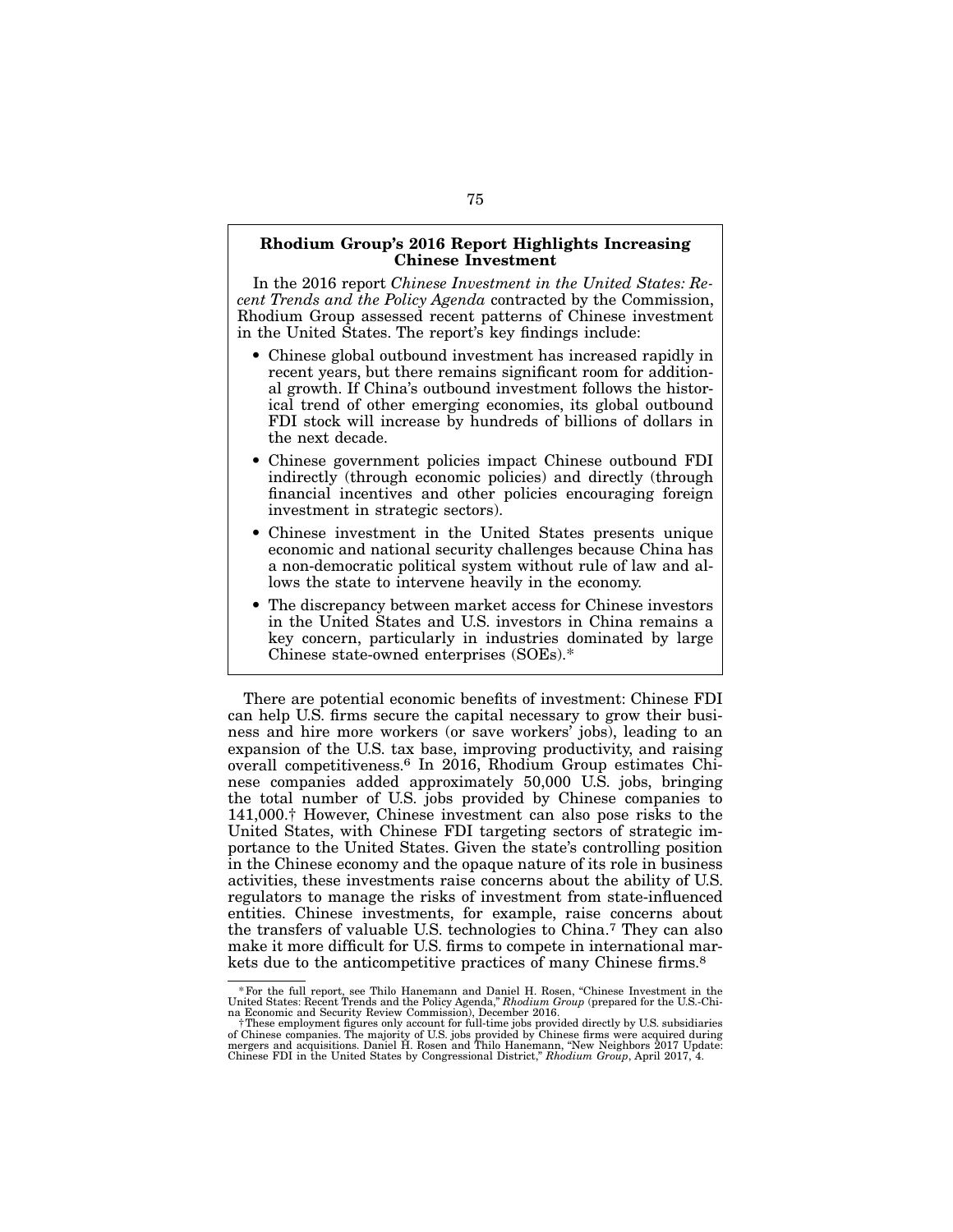# Rhodium Group's 2016 Report Highlights Increasing Chinese Investment

In the 2016 report *Chinese Investment in the United States: Recent Trends and the Policy Agenda* contracted by the Commission, Rhodium Group assessed recent patterns of Chinese investment in the United States. The report's key findings include:

- Chinese global outbound investment has increased rapidly in recent years, but there remains significant room for additional growth. If China's outbound investment follows the historical trend of other emerging economies, its global outbound FDI stock will increase by hundreds of billions of dollars in the next decade.
- Chinese government policies impact Chinese outbound FDI indirectly (through economic policies) and directly (through financial incentives and other policies encouraging foreign investment in strategic sectors).
- Chinese investment in the United States presents unique economic and national security challenges because China has a non-democratic political system without rule of law and allows the state to intervene heavily in the economy.
- The discrepancy between market access for Chinese investors in the United States and U.S. investors in China remains a key concern, particularly in industries dominated by large Chinese state-owned enterprises (SOEs).\*

There are potential economic benefits of investment: Chinese FDI can help U.S. firms secure the capital necessary to grow their business and hire more workers (or save workers' jobs), leading to an expansion of the U.S. tax base, improving productivity, and raising overall competitiveness.6 In 2016, Rhodium Group estimates Chinese companies added approximately 50,000 U.S. jobs, bringing the total number of U.S. jobs provided by Chinese companies to 141,000.† However, Chinese investment can also pose risks to the United States, with Chinese FDI targeting sectors of strategic importance to the United States. Given the state's controlling position in the Chinese economy and the opaque nature of its role in business activities, these investments raise concerns about the ability of U.S. regulators to manage the risks of investment from state-influenced entities. Chinese investments, for example, raise concerns about the transfers of valuable U.S. technologies to China.7 They can also make it more difficult for U.S. firms to compete in international markets due to the anticompetitive practices of many Chinese firms.8

<sup>\*</sup>For the full report, see Thilo Hanemann and Daniel H. Rosen, "Chinese Investment in the United States: Recent Trends and the Policy Agenda," *Rhodium Group* (prepared for the U.S.-Chi-

na Economic and Security Review Commission), December 2016.<br>†These employment figures only account for full-time jobs provided directly by U.S. subsidiaries<br>of Chinese companies. The majority of U.S. jobs provided by Chine Chinese FDI in the United States by Congressional District," *Rhodium Group*, April 2017, 4.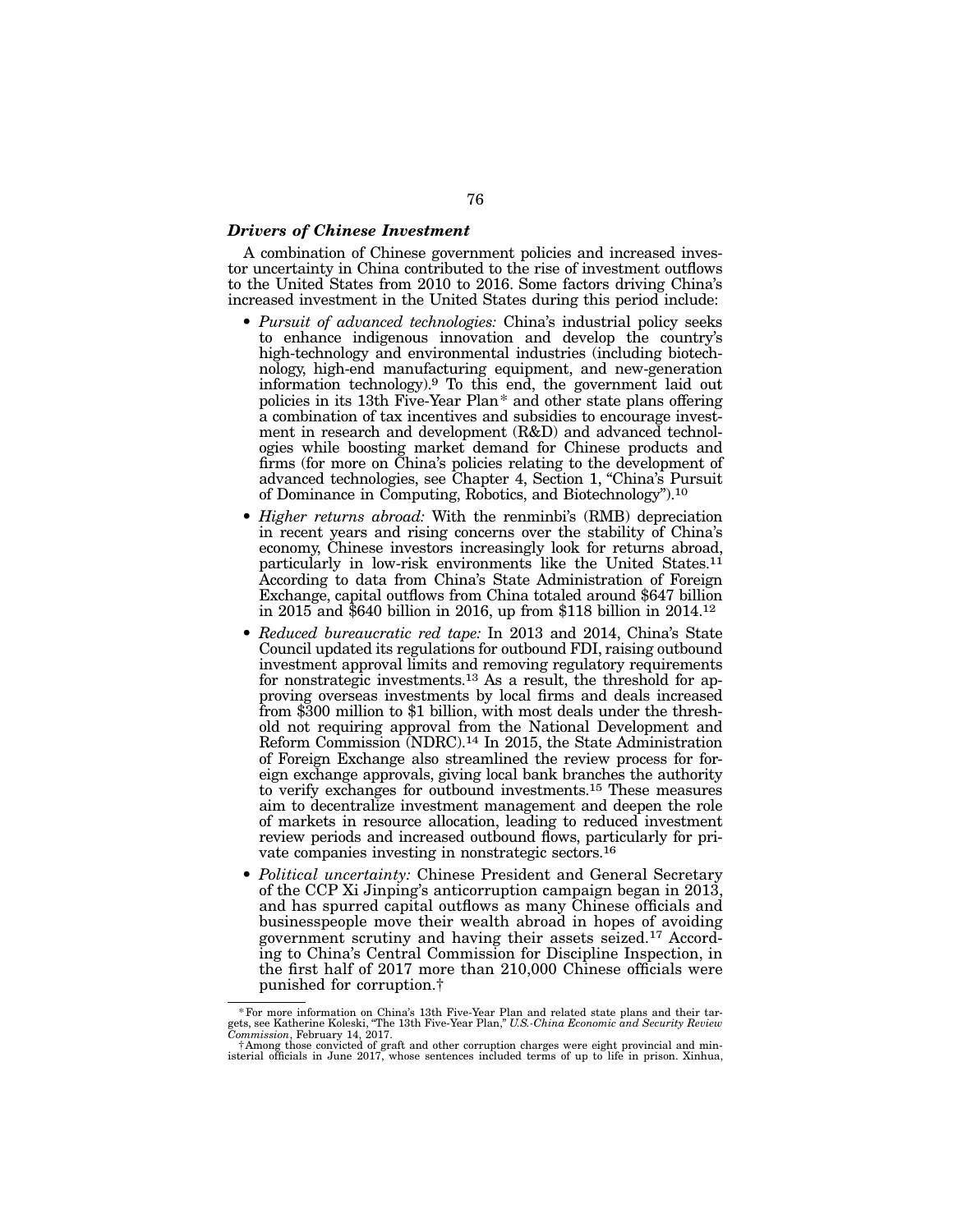#### *Drivers of Chinese Investment*

A combination of Chinese government policies and increased investor uncertainty in China contributed to the rise of investment outflows to the United States from 2010 to 2016. Some factors driving China's increased investment in the United States during this period include:

- *Pursuit of advanced technologies:* China's industrial policy seeks to enhance indigenous innovation and develop the country's high-technology and environmental industries (including biotechnology, high-end manufacturing equipment, and new-generation information technology).9 To this end, the government laid out policies in its 13th Five-Year Plan\* and other state plans offering a combination of tax incentives and subsidies to encourage investment in research and development (R&D) and advanced technologies while boosting market demand for Chinese products and firms (for more on China's policies relating to the development of advanced technologies, see Chapter 4, Section 1, "China's Pursuit of Dominance in Computing, Robotics, and Biotechnology").10
- *Higher returns abroad:* With the renminbi's (RMB) depreciation in recent years and rising concerns over the stability of China's economy, Chinese investors increasingly look for returns abroad, particularly in low-risk environments like the United States.<sup>11</sup> According to data from China's State Administration of Foreign Exchange, capital outflows from China totaled around \$647 billion in 2015 and \$640 billion in 2016, up from \$118 billion in 2014.12
- *Reduced bureaucratic red tape:* In 2013 and 2014, China's State Council updated its regulations for outbound FDI, raising outbound investment approval limits and removing regulatory requirements for nonstrategic investments.13 As a result, the threshold for approving overseas investments by local firms and deals increased from \$300 million to \$1 billion, with most deals under the threshold not requiring approval from the National Development and Reform Commission (NDRC).14 In 2015, the State Administration of Foreign Exchange also streamlined the review process for foreign exchange approvals, giving local bank branches the authority to verify exchanges for outbound investments.15 These measures aim to decentralize investment management and deepen the role of markets in resource allocation, leading to reduced investment review periods and increased outbound flows, particularly for private companies investing in nonstrategic sectors.16
- *Political uncertainty:* Chinese President and General Secretary of the CCP Xi Jinping's anticorruption campaign began in 2013, and has spurred capital outflows as many Chinese officials and businesspeople move their wealth abroad in hopes of avoiding government scrutiny and having their assets seized.17 According to China's Central Commission for Discipline Inspection, in the first half of 2017 more than 210,000 Chinese officials were punished for corruption.†

<sup>\*</sup> For more information on China's 13th Five-Year Plan and related state plans and their targets, see Katherine Koleski, "The 13th Five-Year Plan," *U.S.-China Economic and Security Review*<br>*Commission*, February 14, 2017.

<sup>†</sup>Among those convicted of graft and other corruption charges were eight provincial and ministerial officials in June 2017, whose sentences included terms of up to life in prison. Xinhua,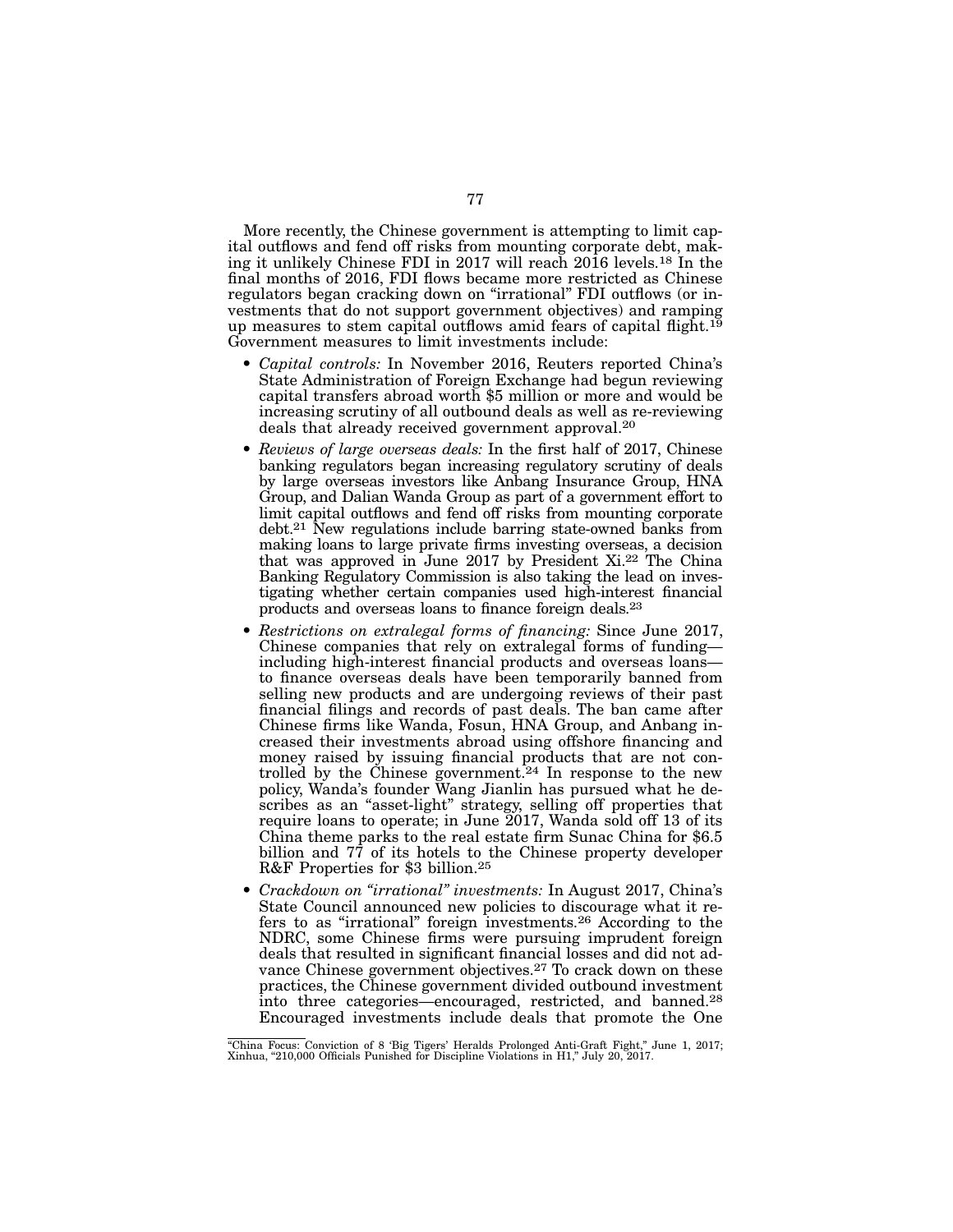More recently, the Chinese government is attempting to limit capital outflows and fend off risks from mounting corporate debt, making it unlikely Chinese FDI in 2017 will reach 2016 levels.18 In the final months of 2016, FDI flows became more restricted as Chinese regulators began cracking down on "irrational" FDI outflows (or investments that do not support government objectives) and ramping up measures to stem capital outflows amid fears of capital flight.<sup>19</sup> Government measures to limit investments include:

- *Capital controls:* In November 2016, Reuters reported China's State Administration of Foreign Exchange had begun reviewing capital transfers abroad worth \$5 million or more and would be increasing scrutiny of all outbound deals as well as re-reviewing deals that already received government approval.20
- *Reviews of large overseas deals:* In the first half of 2017, Chinese banking regulators began increasing regulatory scrutiny of deals by large overseas investors like Anbang Insurance Group, HNA Group, and Dalian Wanda Group as part of a government effort to limit capital outflows and fend off risks from mounting corporate debt.21 New regulations include barring state-owned banks from making loans to large private firms investing overseas, a decision that was approved in June 2017 by President Xi.22 The China Banking Regulatory Commission is also taking the lead on investigating whether certain companies used high-interest financial products and overseas loans to finance foreign deals.23
- *Restrictions on extralegal forms of financing:* Since June 2017, Chinese companies that rely on extralegal forms of funding including high-interest financial products and overseas loans to finance overseas deals have been temporarily banned from selling new products and are undergoing reviews of their past financial filings and records of past deals. The ban came after Chinese firms like Wanda, Fosun, HNA Group, and Anbang increased their investments abroad using offshore financing and money raised by issuing financial products that are not controlled by the Chinese government.<sup>24</sup> In response to the new policy, Wanda's founder Wang Jianlin has pursued what he describes as an "asset-light" strategy, selling off properties that require loans to operate; in June 2017, Wanda sold off 13 of its China theme parks to the real estate firm Sunac China for \$6.5 billion and 77 of its hotels to the Chinese property developer R&F Properties for \$3 billion.25
- *Crackdown on "irrational" investments:* In August 2017, China's State Council announced new policies to discourage what it refers to as "irrational" foreign investments.26 According to the NDRC, some Chinese firms were pursuing imprudent foreign deals that resulted in significant financial losses and did not advance Chinese government objectives.27 To crack down on these practices, the Chinese government divided outbound investment into three categories—encouraged, restricted, and banned.28 Encouraged investments include deals that promote the One

<sup>&</sup>quot;China Focus: Conviction of 8 'Big Tigers' Heralds Prolonged Anti-Graft Fight," June 1, 2017; Xinhua, "210,000 Officials Punished for Discipline Violations in H1," July 20, 2017.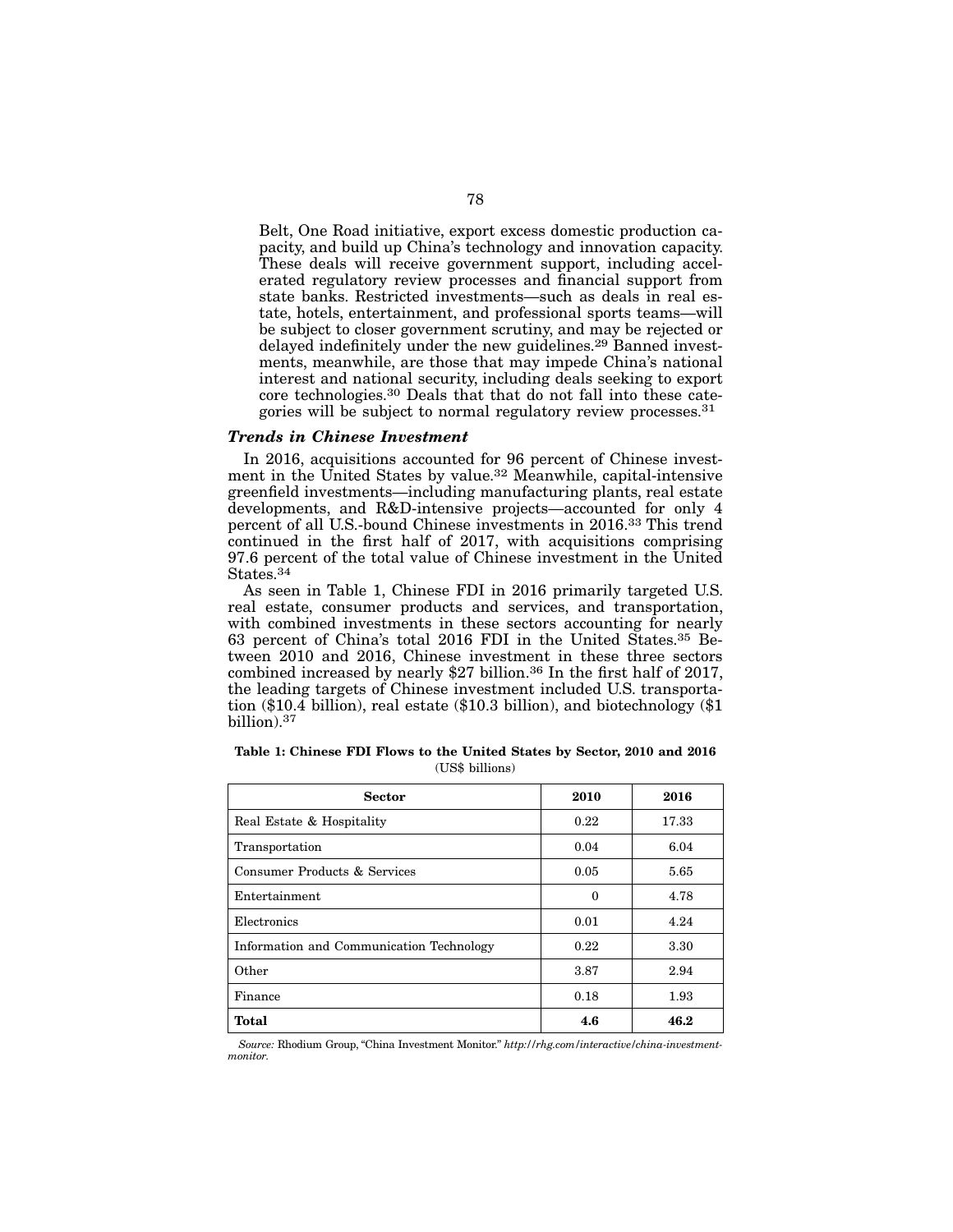Belt, One Road initiative, export excess domestic production capacity, and build up China's technology and innovation capacity. These deals will receive government support, including accelerated regulatory review processes and financial support from state banks. Restricted investments—such as deals in real estate, hotels, entertainment, and professional sports teams—will be subject to closer government scrutiny, and may be rejected or delayed indefinitely under the new guidelines.29 Banned investments, meanwhile, are those that may impede China's national interest and national security, including deals seeking to export core technologies.30 Deals that that do not fall into these categories will be subject to normal regulatory review processes.31

#### *Trends in Chinese Investment*

In 2016, acquisitions accounted for 96 percent of Chinese investment in the United States by value.32 Meanwhile, capital-intensive greenfield investments—including manufacturing plants, real estate developments, and R&D-intensive projects—accounted for only 4 percent of all U.S.-bound Chinese investments in 2016.33 This trend continued in the first half of 2017, with acquisitions comprising 97.6 percent of the total value of Chinese investment in the United States.34

As seen in Table 1, Chinese FDI in 2016 primarily targeted U.S. real estate, consumer products and services, and transportation, with combined investments in these sectors accounting for nearly 63 percent of China's total 2016 FDI in the United States.35 Between 2010 and 2016, Chinese investment in these three sectors combined increased by nearly \$27 billion.36 In the first half of 2017, the leading targets of Chinese investment included U.S. transportation (\$10.4 billion), real estate (\$10.3 billion), and biotechnology (\$1 billion).37

| <b>Sector</b>                            | 2010     | 2016  |
|------------------------------------------|----------|-------|
| Real Estate & Hospitality                | 0.22     | 17.33 |
| Transportation                           | 0.04     | 6.04  |
| Consumer Products & Services             | 0.05     | 5.65  |
| Entertainment                            | $\Omega$ | 4.78  |
| Electronics                              | 0.01     | 4.24  |
| Information and Communication Technology | 0.22     | 3.30  |
| Other                                    | 3.87     | 2.94  |
| Finance                                  | 0.18     | 1.93  |
| <b>Total</b>                             | 4.6      | 46.2  |

Table 1: Chinese FDI Flows to the United States by Sector, 2010 and 2016 (US\$ billions)

*Source:* Rhodium Group, "China Investment Monitor." *http://rhg.com/interactive/china-investmentmonitor*.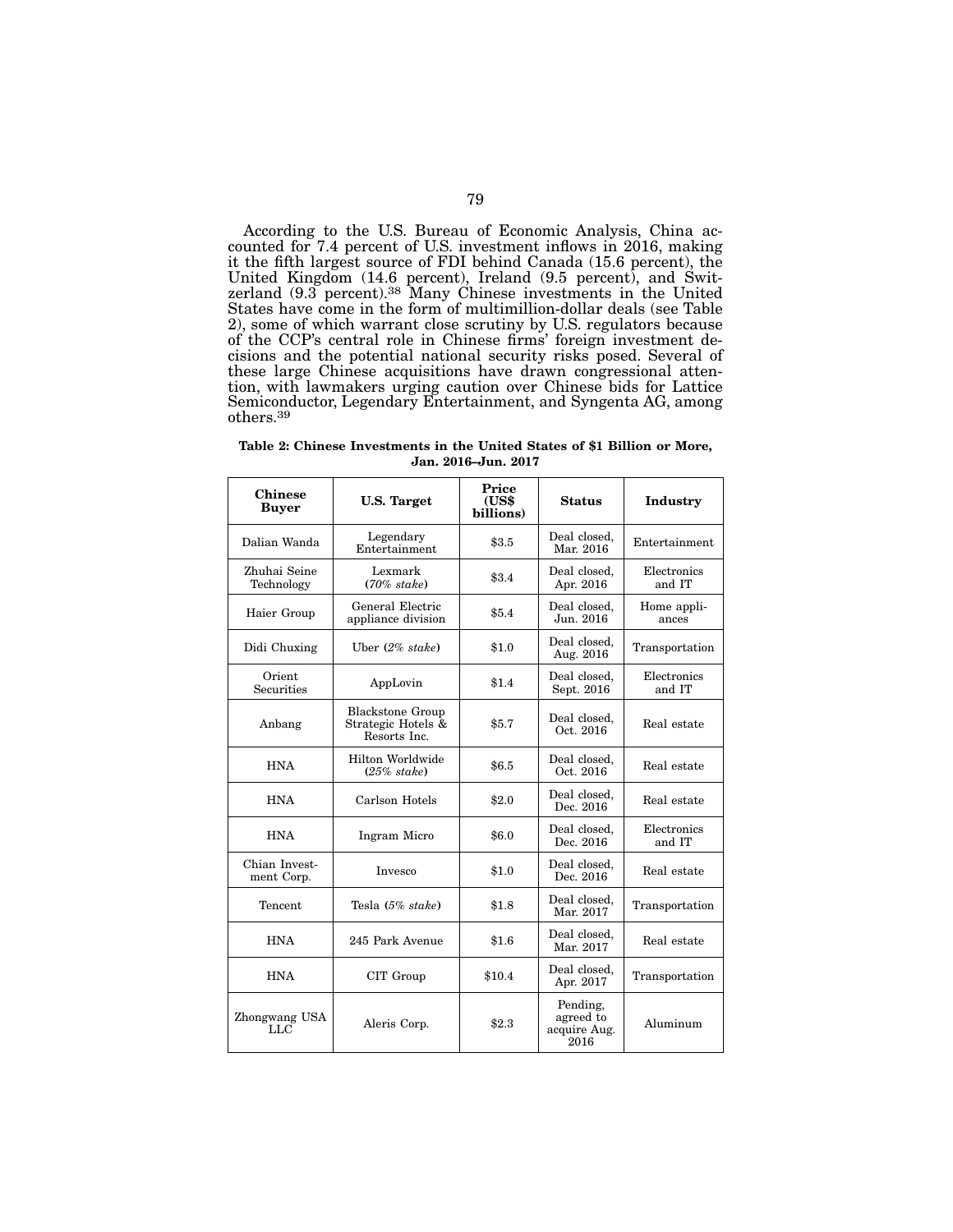According to the U.S. Bureau of Economic Analysis, China accounted for 7.4 percent of U.S. investment inflows in 2016, making it the fifth largest source of FDI behind Canada (15.6 percent), the United Kingdom (14.6 percent), Ireland (9.5 percent), and Switzerland (9.3 percent).<sup>38</sup> Many Chinese investments in the United States have come in the form of multimillion-dollar deals (see Table 2), some of which warrant close scrutiny by U.S. regulators because cisions and the potential national security risks posed. Several of these large Chinese acquisitions have drawn congressional attention, with lawmakers urging caution over Chinese bids for Lattice Semiconductor, Legendary Entertainment, and Syngenta AG, among others.39

Table 2: Chinese Investments in the United States of \$1 Billion or More, Jan. 2016–Jun. 2017

| <b>Chinese</b><br><b>Buyer</b> | <b>U.S. Target</b>                                            | Price<br>(US\$<br>billions) | Status                                        | Industry              |
|--------------------------------|---------------------------------------------------------------|-----------------------------|-----------------------------------------------|-----------------------|
| Dalian Wanda                   | Legendary<br>Entertainment                                    | \$3.5                       | Deal closed,<br>Mar. 2016                     | Entertainment         |
| Zhuhai Seine<br>Technology     | Lexmark<br>$(70\% \;state)$                                   | \$3.4                       | Deal closed,<br>Apr. 2016                     | Electronics<br>and IT |
| Haier Group                    | General Electric<br>appliance division                        | \$5.4                       | Deal closed,<br>Jun. 2016                     | Home appli-<br>ances  |
| Didi Chuxing                   | Uber $(2\%$ stake)                                            | \$1.0                       | Deal closed,<br>Aug. 2016                     | Transportation        |
| Orient<br><b>Securities</b>    | AppLovin                                                      | \$1.4                       | Deal closed,<br>Sept. 2016                    | Electronics<br>and IT |
| Anbang                         | <b>Blackstone Group</b><br>Strategic Hotels &<br>Resorts Inc. | \$5.7                       | Deal closed,<br>Oct. 2016                     | Real estate           |
| <b>HNA</b>                     | Hilton Worldwide<br>$(25\% \;state)$                          | \$6.5                       | Deal closed,<br>Oct. 2016                     | Real estate           |
| <b>HNA</b>                     | Carlson Hotels                                                | \$2.0                       | Deal closed,<br>Dec. 2016                     | Real estate           |
| <b>HNA</b>                     | Ingram Micro                                                  | \$6.0                       | Deal closed,<br>Dec. 2016                     | Electronics<br>and IT |
| Chian Invest-<br>ment Corp.    | Invesco                                                       | \$1.0                       | Deal closed,<br>Dec. 2016                     | Real estate           |
| Tencent                        | Tesla $(5\% \;state)$                                         | \$1.8                       | Deal closed,<br>Mar. 2017                     | Transportation        |
| <b>HNA</b>                     | 245 Park Avenue                                               | \$1.6                       | Deal closed,<br>Mar. 2017                     | Real estate           |
| <b>HNA</b>                     | CIT Group                                                     | \$10.4                      | Deal closed,<br>Apr. 2017                     | Transportation        |
| Zhongwang USA<br>LLC           | Aleris Corp.                                                  | \$2.3                       | Pending,<br>agreed to<br>acquire Aug.<br>2016 | Aluminum              |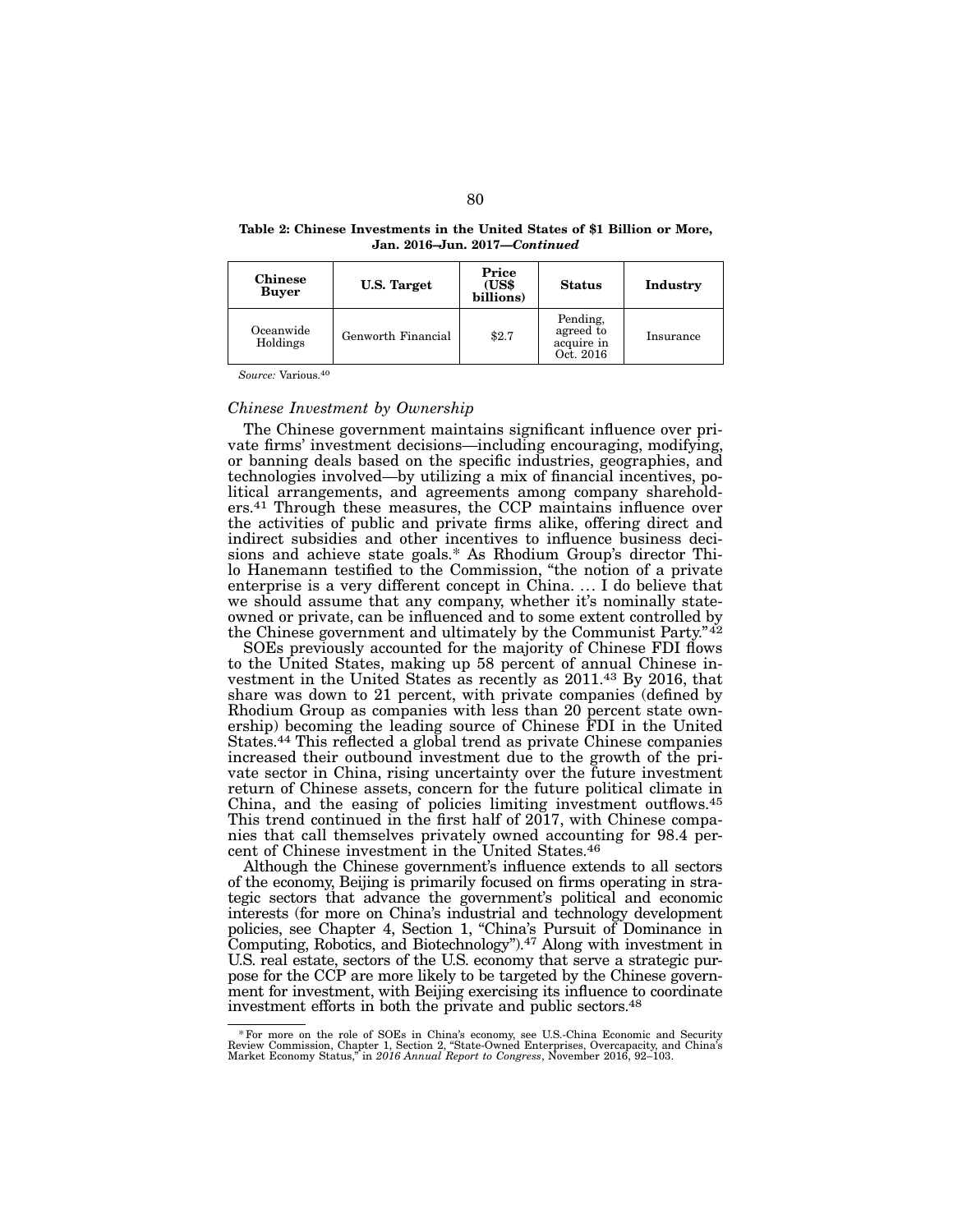| Table 2: Chinese Investments in the United States of \$1 Billion or More, |  |  |  |
|---------------------------------------------------------------------------|--|--|--|
| Jan. 2016–Jun. 2017–Continued                                             |  |  |  |

| <b>Chinese</b><br><b>Buyer</b> | <b>U.S. Target</b> | Price<br>(US\$<br>billions) | <b>Status</b>                                    | Industry  |
|--------------------------------|--------------------|-----------------------------|--------------------------------------------------|-----------|
| Oceanwide<br>Holdings          | Genworth Financial | \$2.7                       | Pending,<br>agreed to<br>acquire in<br>Oct. 2016 | Insurance |

*Source:* Various.40

#### *Chinese Investment by Ownership*

The Chinese government maintains significant influence over private firms' investment decisions—including encouraging, modifying, or banning deals based on the specific industries, geographies, and technologies involved—by utilizing a mix of financial incentives, political arrangements, and agreements among company shareholders.41 Through these measures, the CCP maintains influence over the activities of public and private firms alike, offering direct and indirect subsidies and other incentives to influence business decisions and achieve state goals.\* As Rhodium Group's director Thilo Hanemann testified to the Commission, "the notion of a private enterprise is a very different concept in China. ... I do believe that we should assume that any company, whether it's nominally stateowned or private, can be influenced and to some extent controlled by the Chinese government and ultimately by the Communist Party."<sup>42</sup>

SOEs previously accounted for the majority of Chinese FDI flows to the United States, making up 58 percent of annual Chinese investment in the United States as recently as 2011.43 By 2016, that share was down to 21 percent, with private companies (defined by Rhodium Group as companies with less than 20 percent state ownership) becoming the leading source of Chinese FDI in the United States.44 This reflected a global trend as private Chinese companies increased their outbound investment due to the growth of the private sector in China, rising uncertainty over the future investment return of Chinese assets, concern for the future political climate in China, and the easing of policies limiting investment outflows.45 This trend continued in the first half of 2017, with Chinese companies that call themselves privately owned accounting for 98.4 percent of Chinese investment in the United States.46

Although the Chinese government's influence extends to all sectors of the economy, Beijing is primarily focused on firms operating in strategic sectors that advance the government's political and economic interests (for more on China's industrial and technology development policies, see Chapter 4, Section 1, "China's Pursuit of Dominance in Computing, Robotics, and Biotechnology").47 Along with investment in U.S. real estate, sectors of the U.S. economy that serve a strategic purpose for the CCP are more likely to be targeted by the Chinese government for investment, with Beijing exercising its influence to coordinate investment efforts in both the private and public sectors.48

<sup>&</sup>lt;sup>\*</sup> For more on the role of SOEs in China's economy, see U.S.-China Economic and Security Review Commission, Chapter 1, Section 2, "State-Owned Enterprises, Overcapacity, and China's Market Economy Status," in 2016 Annual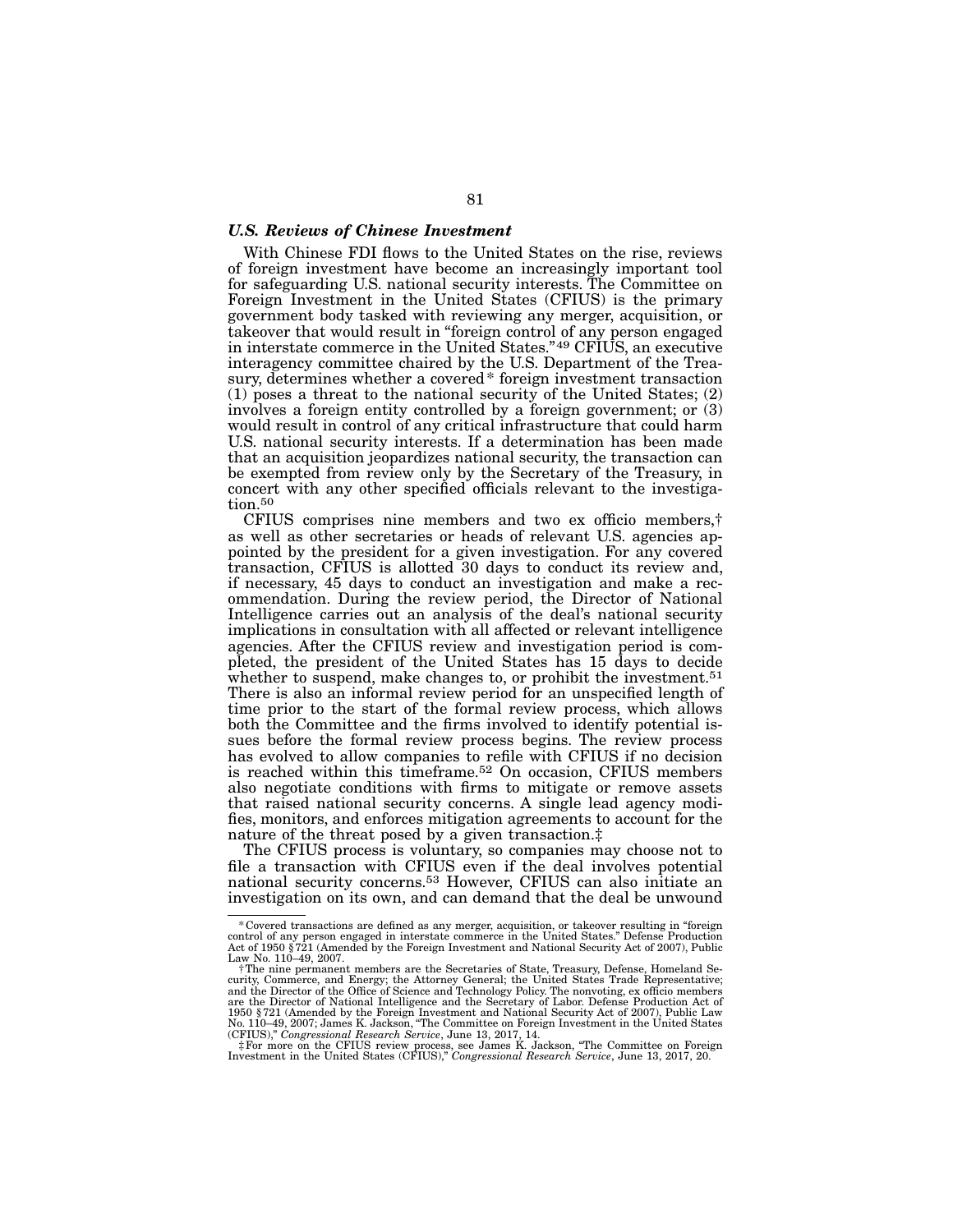# *U.S. Reviews of Chinese Investment*

With Chinese FDI flows to the United States on the rise, reviews of foreign investment have become an increasingly important tool for safeguarding U.S. national security interests. The Committee on Foreign Investment in the United States (CFIUS) is the primary government body tasked with reviewing any merger, acquisition, or takeover that would result in "foreign control of any person engaged in interstate commerce in the United States."49 CFIUS, an executive interagency committee chaired by the U.S. Department of the Treasury, determines whether a covered\* foreign investment transaction (1) poses a threat to the national security of the United States; (2) involves a foreign entity controlled by a foreign government; or (3) would result in control of any critical infrastructure that could harm U.S. national security interests. If a determination has been made that an acquisition jeopardizes national security, the transaction can be exempted from review only by the Secretary of the Treasury, in concert with any other specified officials relevant to the investigation.<sup>50</sup>

CFIUS comprises nine members and two ex officio members,† as well as other secretaries or heads of relevant U.S. agencies appointed by the president for a given investigation. For any covered transaction, CFIUS is allotted 30 days to conduct its review and, if necessary, 45 days to conduct an investigation and make a recommendation. During the review period, the Director of National Intelligence carries out an analysis of the deal's national security implications in consultation with all affected or relevant intelligence agencies. After the CFIUS review and investigation period is completed, the president of the United States has 15 days to decide whether to suspend, make changes to, or prohibit the investment.<sup>51</sup> There is also an informal review period for an unspecified length of time prior to the start of the formal review process, which allows both the Committee and the firms involved to identify potential issues before the formal review process begins. The review process has evolved to allow companies to refile with CFIUS if no decision is reached within this timeframe.52 On occasion, CFIUS members also negotiate conditions with firms to mitigate or remove assets that raised national security concerns. A single lead agency modifies, monitors, and enforces mitigation agreements to account for the nature of the threat posed by a given transaction.‡

The CFIUS process is voluntary, so companies may choose not to file a transaction with CFIUS even if the deal involves potential national security concerns.53 However, CFIUS can also initiate an investigation on its own, and can demand that the deal be unwound

Covered transactions are defined as any merger, acquisition, or takeover resulting in "foreign \*\$<br>control of any person engaged in interstate commerce in the United States." Defense Production<br>Act of 1950 § 721 (Amended by Law No. 110–49, 2007.

<sup>†</sup>The nine permanent members are the Secretaries of State, Treasury, Defense, Homeland Security, Commerce, and Energy; the Attorney General; the United States Trade Representative;<br>and the Director of the Office of Science and Technology Policy. The nonvoting, ex officio members<br>are the Director of National In 1950 §721 (Amended by the Foreign Investment and National Security Act of 2007), Public Law No. 110–49, 2007; James K. Jackson, "The Committee on Foreign Investment in the United States (CFIUS)," Congressional Research Ser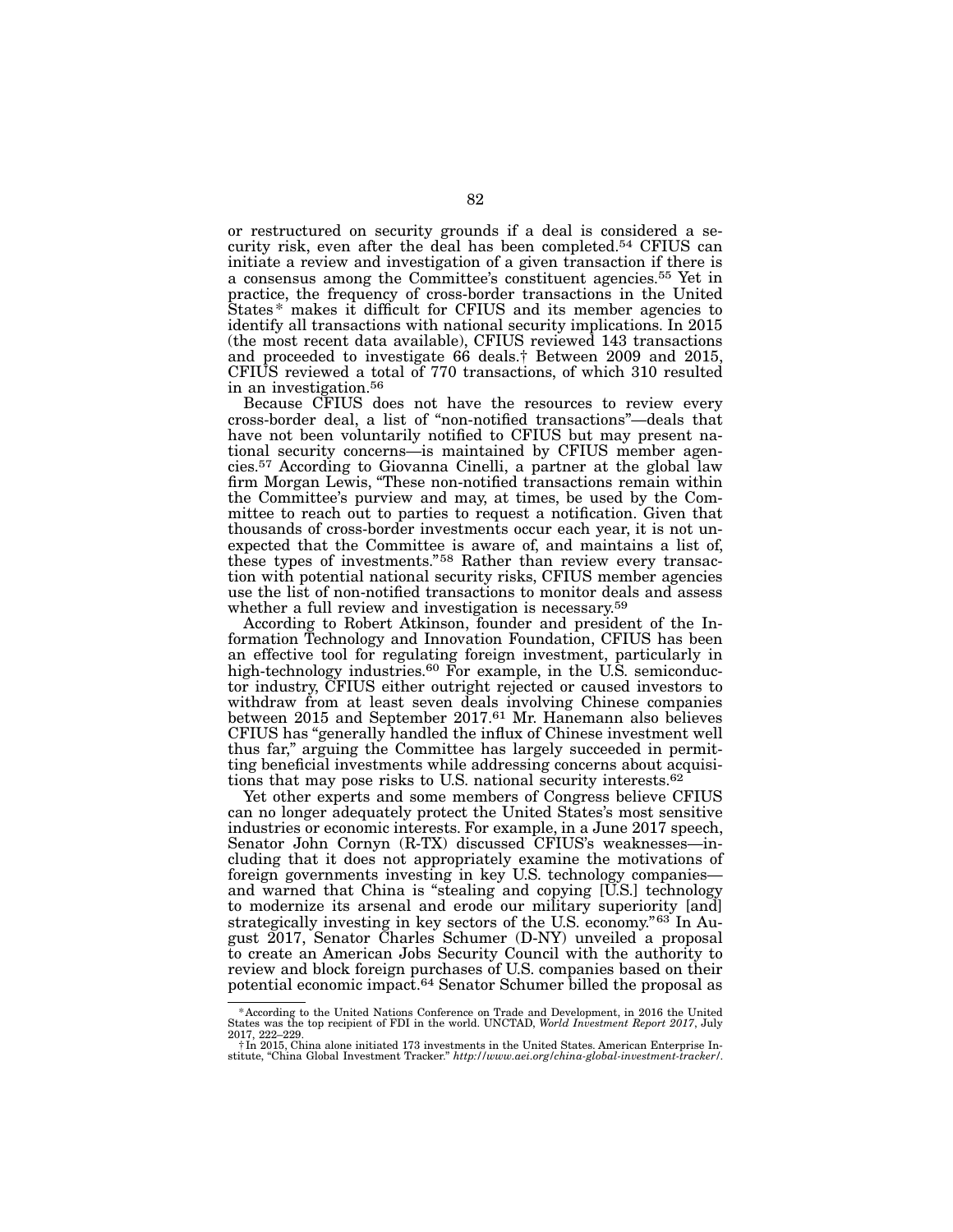or restructured on security grounds if a deal is considered a security risk, even after the deal has been completed.54 CFIUS can initiate a review and investigation of a given transaction if there is a consensus among the Committee's constituent agencies.55 Yet in practice, the frequency of cross-border transactions in the United States\* makes it difficult for CFIUS and its member agencies to identify all transactions with national security implications. In 2015 (the most recent data available), CFIUS reviewed 143 transactions and proceeded to investigate 66 deals.† Between 2009 and 2015, CFIUS reviewed a total of 770 transactions, of which 310 resulted in an investigation.56

Because CFIUS does not have the resources to review every cross-border deal, a list of "non-notified transactions"—deals that have not been voluntarily notified to CFIUS but may present national security concerns—is maintained by CFIUS member agencies.57 According to Giovanna Cinelli, a partner at the global law firm Morgan Lewis, "These non-notified transactions remain within the Committee's purview and may, at times, be used by the Committee to reach out to parties to request a notification. Given that thousands of cross-border investments occur each year, it is not unexpected that the Committee is aware of, and maintains a list of, these types of investments."58 Rather than review every transaction with potential national security risks, CFIUS member agencies use the list of non-notified transactions to monitor deals and assess whether a full review and investigation is necessary.<sup>59</sup>

According to Robert Atkinson, founder and president of the Information Technology and Innovation Foundation, CFIUS has been an effective tool for regulating foreign investment, particularly in high-technology industries.<sup>60</sup> For example, in the U.S. semiconductor industry, CFIUS either outright rejected or caused investors to withdraw from at least seven deals involving Chinese companies between 2015 and September 2017.61 Mr. Hanemann also believes CFIUS has "generally handled the influx of Chinese investment well thus far," arguing the Committee has largely succeeded in permitting beneficial investments while addressing concerns about acquisitions that may pose risks to U.S. national security interests.62

Yet other experts and some members of Congress believe CFIUS can no longer adequately protect the United States's most sensitive industries or economic interests. For example, in a June 2017 speech, Senator John Cornyn (R-TX) discussed CFIUS's weaknesses—including that it does not appropriately examine the motivations of foreign governments investing in key U.S. technology companies and warned that China is "stealing and copying [U.S.] technology to modernize its arsenal and erode our military superiority [and] strategically investing in key sectors of the U.S. economy."63 In August 2017, Senator Charles Schumer (D-NY) unveiled a proposal to create an American Jobs Security Council with the authority to review and block foreign purchases of U.S. companies based on their potential economic impact.64 Senator Schumer billed the proposal as

<sup>\*</sup>According to the United Nations Conference on Trade and Development, in 2016 the United States was the top recipient of FDI in the world. UNCTAD, *World Investment Report 2017*, July 2017, 222–229.

<sup>†</sup>In 2015, China alone initiated 173 investments in the United States. American Enterprise Institute, "China Global Investment Tracker." *http://www.aei.org/china-global-investment-tracker/*.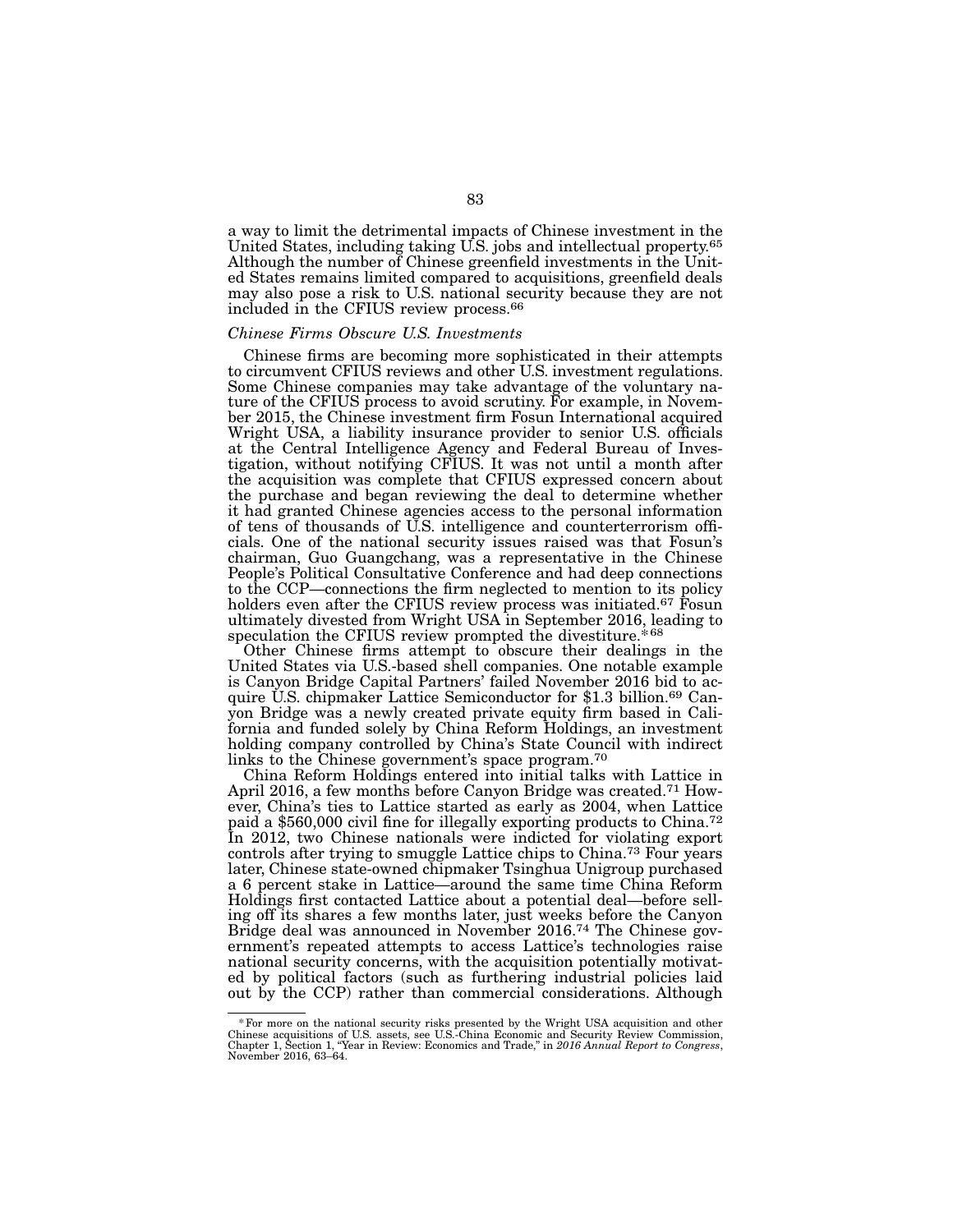a way to limit the detrimental impacts of Chinese investment in the United States, including taking U.S. jobs and intellectual property.<sup>65</sup> Although the number of Chinese greenfield investments in the United States remains limited compared to acquisitions, greenfield deals may also pose a risk to U.S. national security because they are not included in the CFIUS review process.66

#### *Chinese Firms Obscure U.S. Investments*

Chinese firms are becoming more sophisticated in their attempts to circumvent CFIUS reviews and other U.S. investment regulations. ture of the CFIUS process to avoid scrutiny. For example, in Novem-<br>ber 2015, the Chinese investment firm Fosun International acquired Wright USA, a liability insurance provider to senior U.S. officials at the Central Intelligence Agency and Federal Bureau of Inves- tigation, without notifying CFIUS. It was not until a month after the acquisition was complete that CFIUS expressed concern about the purchase and began reviewing the deal to determine whether it had granted Chinese agencies access to the personal information cials. One of the national security issues raised was that Fosun's chairman, Guo Guangchang, was a representative in the Chinese People's Political Consultative Conference and had deep connections to the CCP—connections the firm neglected to mention to its policy holders even after the CFIUS review process was initiated.<sup>67</sup> Fosun ultimately divested from Wright USA in September 2016, leading to speculation the CFIUS review prompted the divestiture.\*68

Other Chinese firms attempt to obscure their dealings in the United States via U.S.-based shell companies. One notable example is Canyon Bridge Capital Partners' failed November 2016 bid to acquire U.S. chipmaker Lattice Semiconductor for \$1.3 billion.69 Canyon Bridge was a newly created private equity firm based in California and funded solely by China Reform Holdings, an investment holding company controlled by China's State Council with indirect links to the Chinese government's space program.70

China Reform Holdings entered into initial talks with Lattice in April 2016, a few months before Canyon Bridge was created.71 However, China's ties to Lattice started as early as 2004, when Lattice paid a \$560,000 civil fine for illegally exporting products to China.72 In 2012, two Chinese nationals were indicted for violating export controls after trying to smuggle Lattice chips to China.73 Four years later, Chinese state-owned chipmaker Tsinghua Unigroup purchased a 6 percent stake in Lattice—around the same time China Reform Holdings first contacted Lattice about a potential deal—before selling off its shares a few months later, just weeks before the Canyon Bridge deal was announced in November 2016.74 The Chinese government's repeated attempts to access Lattice's technologies raise national security concerns, with the acquisition potentially motivated by political factors (such as furthering industrial policies laid out by the CCP) rather than commercial considerations. Although

<sup>\*</sup> For more on the national security risks presented by the Wright USA acquisition and other Chinese acquisitions of U.S. assets, see U.S.-China Economic and Security Review Commission, Chapter 1, Section 1, "Year in Revie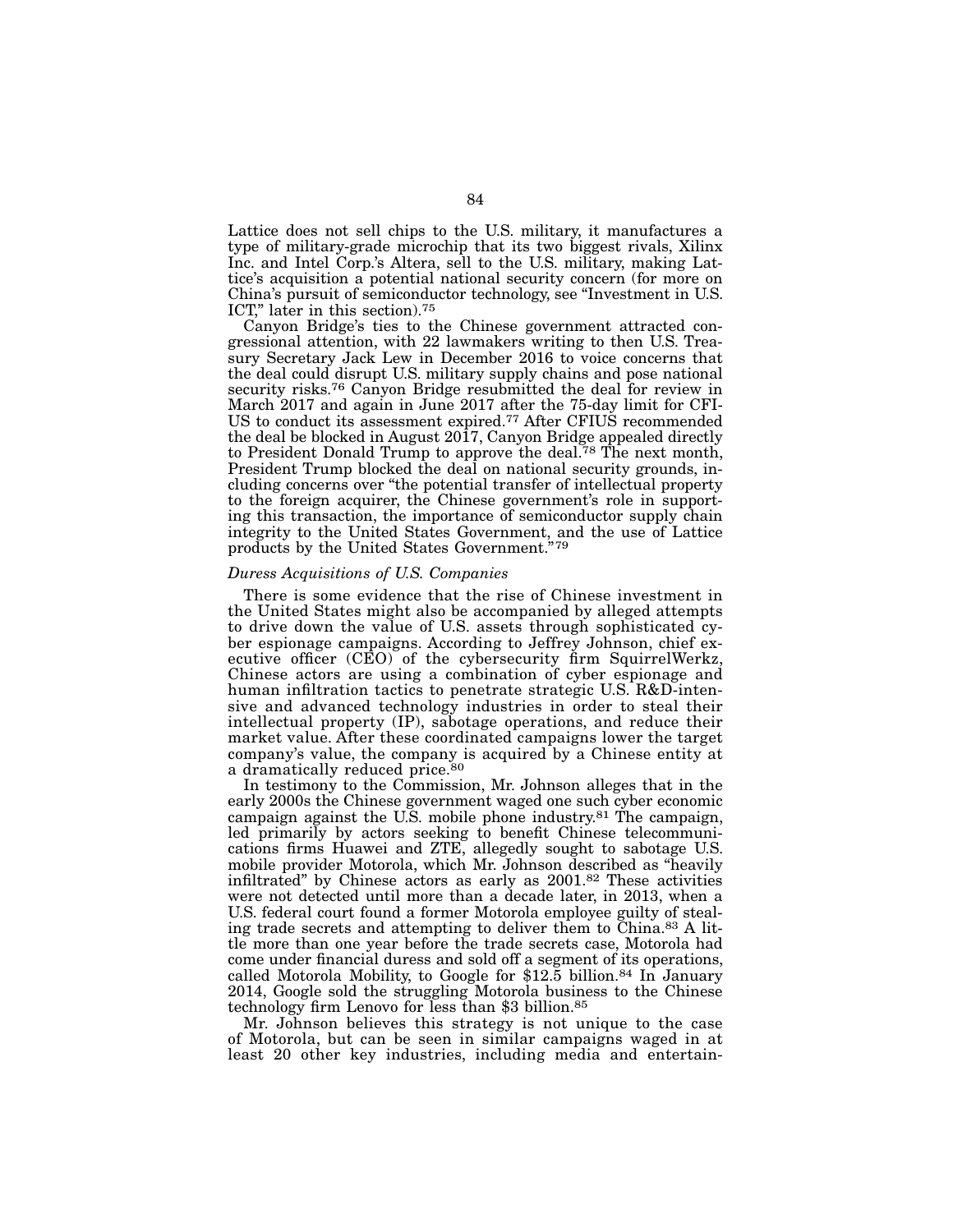Lattice does not sell chips to the U.S. military, it manufactures a type of military-grade microchip that its two biggest rivals, Xilinx Inc. and Intel Corp.'s Altera, sell to the U.S. military, making Lattice's acquisition a potential national security concern (for more on China's pursuit of semiconductor technology, see "Investment in U.S. ICT," later in this section).75

Canyon Bridge's ties to the Chinese government attracted congressional attention, with 22 lawmakers writing to then U.S. Treasury Secretary Jack Lew in December 2016 to voice concerns that the deal could disrupt U.S. military supply chains and pose national security risks.76 Canyon Bridge resubmitted the deal for review in March 2017 and again in June 2017 after the 75-day limit for CFI-US to conduct its assessment expired.77 After CFIUS recommended the deal be blocked in August 2017, Canyon Bridge appealed directly to President Donald Trump to approve the deal.<sup>78</sup> The next month, President Trump blocked the deal on national security grounds, including concerns over "the potential transfer of intellectual property to the foreign acquirer, the Chinese government's role in supporting this transaction, the importance of semiconductor supply chain integrity to the United States Government, and the use of Lattice products by the United States Government."79

#### *Duress Acquisitions of U.S. Companies*

There is some evidence that the rise of Chinese investment in the United States might also be accompanied by alleged attempts to drive down the value of U.S. assets through sophisticated cyber espionage campaigns. According to Jeffrey Johnson, chief executive officer (CEO) of the cybersecurity firm SquirrelWerkz, Chinese actors are using a combination of cyber espionage and human infiltration tactics to penetrate strategic U.S. R&D-intensive and advanced technology industries in order to steal their intellectual property (IP), sabotage operations, and reduce their market value. After these coordinated campaigns lower the target company's value, the company is acquired by a Chinese entity at a dramatically reduced price.<sup>80</sup>

In testimony to the Commission, Mr. Johnson alleges that in the early 2000s the Chinese government waged one such cyber economic campaign against the U.S. mobile phone industry.<sup>81</sup> The campaign, led primarily by actors seeking to benefit Chinese telecommunications firms Huawei and ZTE, allegedly sought to sabotage U.S. mobile provider Motorola, which Mr. Johnson described as "heavily infiltrated" by Chinese actors as early as 2001.82 These activities were not detected until more than a decade later, in 2013, when a U.S. federal court found a former Motorola employee guilty of stealing trade secrets and attempting to deliver them to China.83 A little more than one year before the trade secrets case, Motorola had come under financial duress and sold off a segment of its operations, called Motorola Mobility, to Google for \$12.5 billion.<sup>84</sup> In January 2014, Google sold the struggling Motorola business to the Chinese technology firm Lenovo for less than \$3 billion.85

Mr. Johnson believes this strategy is not unique to the case of Motorola, but can be seen in similar campaigns waged in at least 20 other key industries, including media and entertain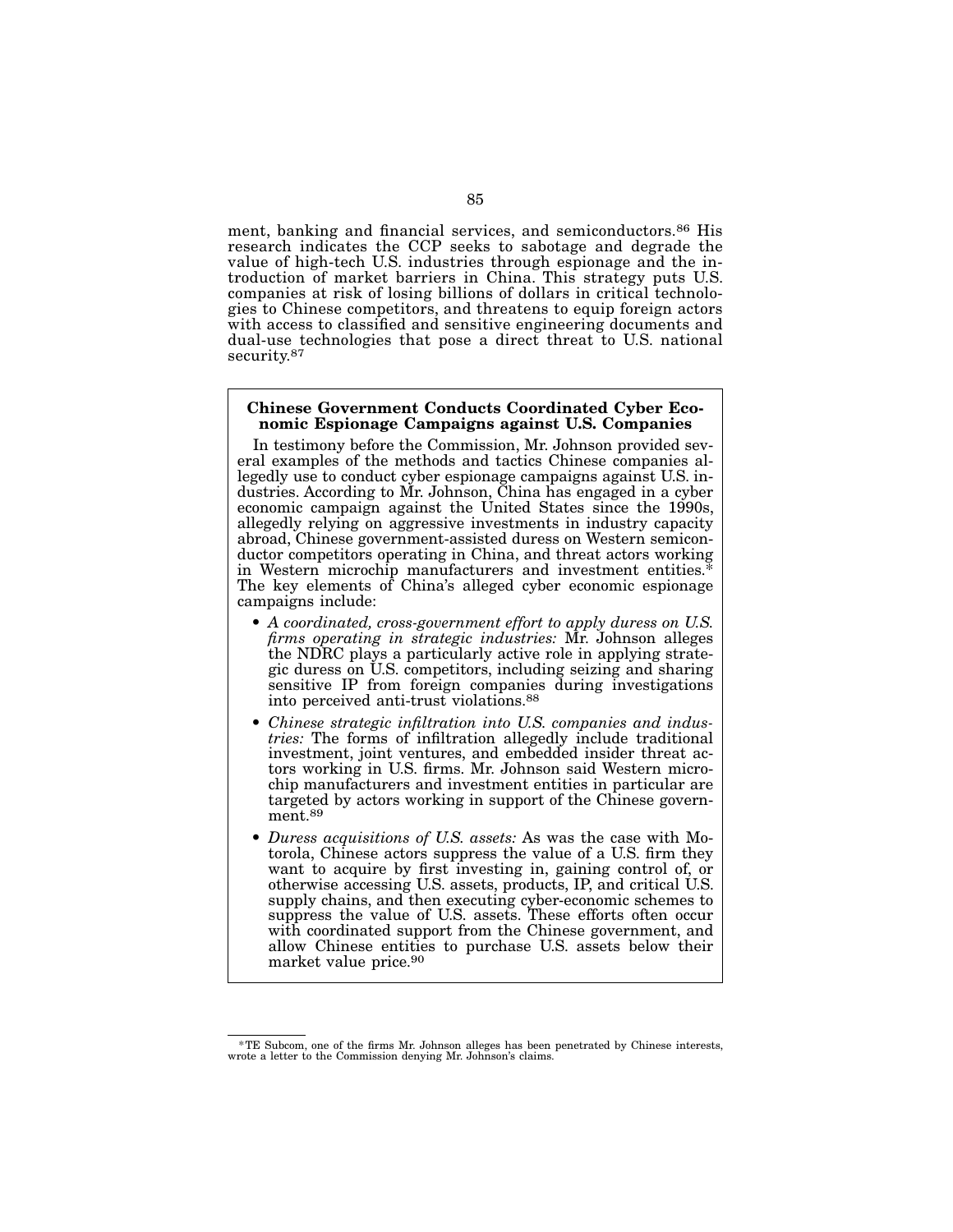ment, banking and financial services, and semiconductors.<sup>86</sup> His research indicates the CCP seeks to sabotage and degrade the value of high-tech U.S. industries through espionage and the introduction of market barriers in China. This strategy puts U.S. companies at risk of losing billions of dollars in critical technologies to Chinese competitors, and threatens to equip foreign actors with access to classified and sensitive engineering documents and dual-use technologies that pose a direct threat to U.S. national security.<sup>87</sup>

# Chinese Government Conducts Coordinated Cyber Eco- nomic Espionage Campaigns against U.S. Companies

In testimony before the Commission, Mr. Johnson provided several examples of the methods and tactics Chinese companies allegedly use to conduct cyber espionage campaigns against U.S. industries. According to Mr. Johnson, C economic campaign against the United States since the 1990s, allegedly relying on aggressive investments in industry capacity ductor competitors operating in China, and threat actors working in Western microchip manufacturers and investment entities.<sup>3</sup> The key elements of China's alleged cyber economic espionage campaigns include:

- *A coordinated, cross-government effort to apply duress on U.S. firms operating in strategic industries:* Mr. Johnson alleges the NDRC plays a particularly active role in applying strategic duress on U.S. competitors, including seizing and sharing sensitive IP from foreign companies during investigations into perceived anti-trust violations.88
- *Chinese strategic infiltration into U.S. companies and industries:* The forms of infiltration allegedly include traditional investment, joint ventures, and embedded insider threat actors working in U.S. firms. Mr. Johnson said Western microchip manufacturers and investment entities in particular are targeted by actors working in support of the Chinese government.89
- *Duress acquisitions of U.S. assets:* As was the case with Motorola, Chinese actors suppress the value of a U.S. firm they want to acquire by first investing in, gaining control of, or otherwise accessing U.S. assets, products, IP, and critical U.S. supply chains, and then executing cyber-economic schemes to suppress the value of U.S. assets. These efforts often occur with coordinated support from the Chinese government, and allow Chinese entities to purchase U.S. assets below their market value price.90

<sup>\*</sup>TE Subcom, one of the firms Mr. Johnson alleges has been penetrated by Chinese interests, wrote a letter to the Commission denying Mr. Johnson's claims.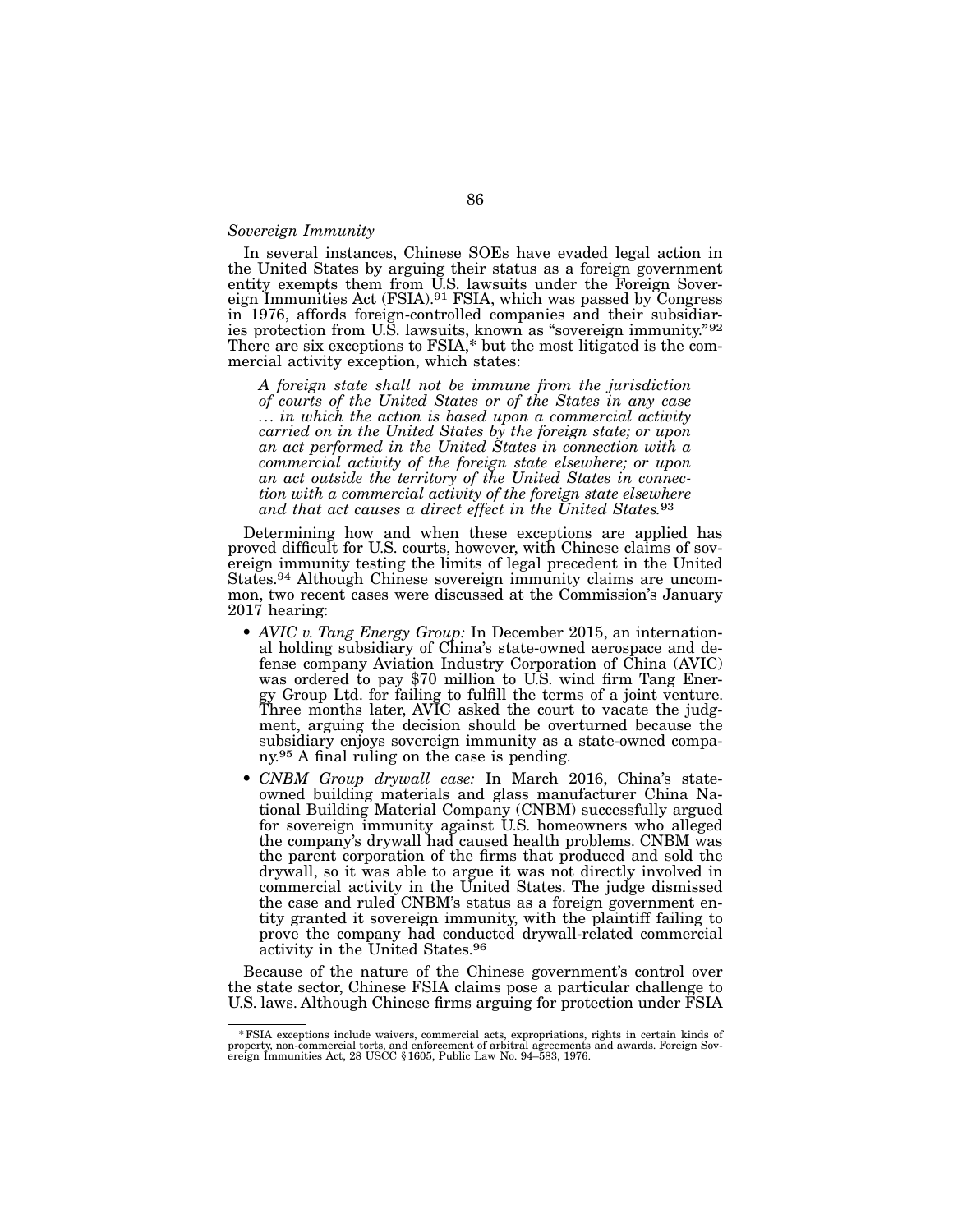#### *Sovereign Immunity*

In several instances, Chinese SOEs have evaded legal action in the United States by arguing their status as a foreign government eign Immunities Act (FSIA).<sup>91</sup> FSIA, which was passed by Congress in 1976, affords foreign-controlled companies and their subsidiarin 1976, affords foreign-controlled companies and their subsidiar-<br>ies protection from U.S. lawsuits, known as "sovereign immunity."<sup>92</sup> There are six exceptions to FSIA,\* but the most litigated is the com- mercial activity exception, which states:

*A foreign state shall not be immune from the jurisdiction of courts of the United States or of the States in any case ... in which the action is based upon a commercial activity carried on in the United States by the foreign state; or upon an act performed in the United States in connection with a commercial activity of the foreign state elsewhere; or upon an act outside the territory of the United States in connec- tion with a commercial activity of the foreign state elsewhere and that act causes a direct effect in the United States.*93

Determining how and when these exceptions are applied has proved difficult for U.S. courts, however, with Chinese claims of sov- ereign immunity testing the limits of legal precedent in the United ereign immunity testing the limits of legal precedent in the United States.<sup>94</sup> Although Chinese sovereign immunity claims are uncom-<br>mon, two recent cases were discussed at the Commission's January 2017 hearing:

- *AVIC v. Tang Energy Group:* In December 2015, an international holding subsidiary of China's state-owned aerospace and defense company Aviation Industry Corporation of China (AVIC) was ordered to pay \$70 million to U.S. wind firm Tang Energy Group Ltd. for failing to fulfill the terms of a joint venture. Three months later, AVIC asked the court to vacate the judgment, arguing the decision should be overturned because the subsidiary enjoys sovereign immunity as a state-owned company.95 A final ruling on the case is pending.
- *CNBM Group drywall case:* In March 2016, China's stateowned building materials and glass manufacturer China Na- tional Building Material Company (CNBM) successfully argued for sovereign immunity against U.S. homeowners who alleged the company's drywall had caused health problems. CNBM was the parent corporation of the firms that produced and sold the drywall, so it was able to argue it was not directly involved in commercial activity in the United States. The judge dismissed the case and ruled CNBM's status as a foreign government en- tity granted it sovereign immunity, with the plaintiff failing to prove the company had conducted drywall-related commercial activity in the United States.96

Because of the nature of the Chinese government's control over the state sector, Chinese FSIA claims pose a particular challenge to U.S. laws. Although Chinese firms arguing for protection under FSIA

<sup>\*</sup>FSIA exceptions include waivers, commercial acts, expropriations, rights in certain kinds of property, non-commercial torts, and enforcement of arbitral agreements and awards. Foreign Sov- ereign Immunities Act, 28 USCC §1605, Public Law No. 94–583, 1976.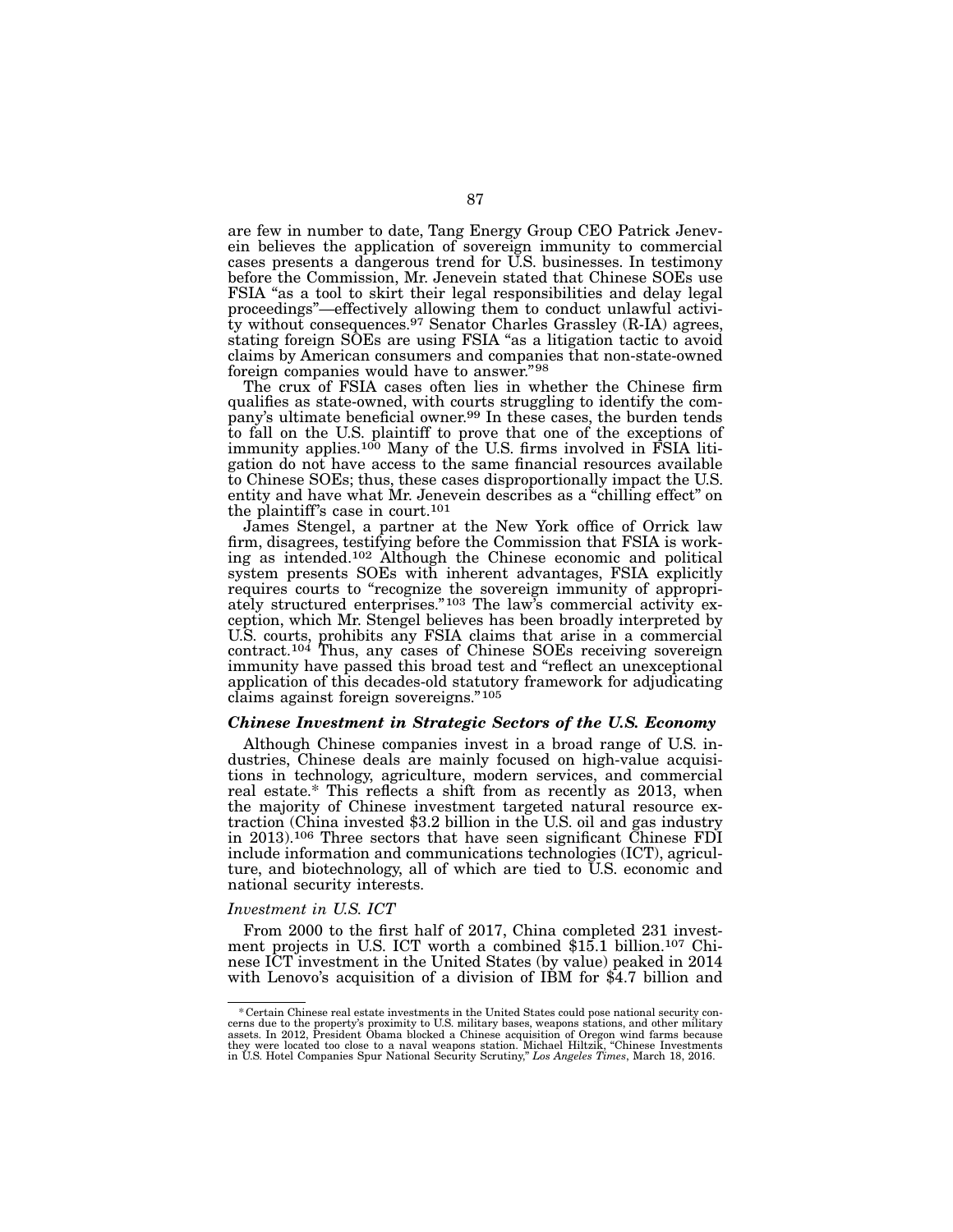are few in number to date, Tang Energy Group CEO Patrick Jenevein believes the application of sovereign immunity to commercial cases presents a dangerous trend for U.S. businesses. In testimony before the Commission, Mr. Jenevein stated that Chinese SOEs use FSIA "as a tool to skirt their legal responsibilities and delay legal proceedings"—effectively allowing them to conduct unlawful activi- $\bar{t}$ y without consequences.<sup>97</sup> Senator Charles Grassley (R-IA) agrees, stating foreign SOEs are using FSIA "as a litigation tactic to avoid claims by American consumers and companies that non-state-owned foreign companies would have to answer."98

The crux of FSIA cases often lies in whether the Chinese firm qualifies as state-owned, with courts struggling to identify the company's ultimate beneficial owner.<sup>99</sup> In these cases, the burden tends to fall on the U.S. plaintiff to prove that one of the exceptions of immunity applies.<sup>100</sup> Many of the U.S. firms involved in FSIA litigation do not have access to the same financial resources available to Chinese SOEs; thus, these cases disproportionally impact the U.S. entity and have what Mr. Jenevein describes as a "chilling effect" on the plaintiff's case in court.101

James Stengel, a partner at the New York office of Orrick law firm, disagrees, testifying before the Commission that FSIA is work- ing as intended.102 Although the Chinese economic and political system presents SOEs with inherent advantages, FSIA explicitly requires courts to "recognize the sovereign immunity of appropriately structured enterprises."<sup>103</sup> The law's commercial activity exception, which Mr. Stengel believes has been broadly interpreted by U.S. courts, prohibits any FSIA claims that arise in a commercial contract.104 Thus, any cases of Chinese SOEs receiving sovereign immunity have passed this broad test and "reflect an unexceptional application of this decades-old statutory framework for adjudicating claims against foreign sovereigns."105

#### *Chinese Investment in Strategic Sectors of the U.S. Economy*

Although Chinese companies invest in a broad range of U.S. industries, Chinese deals are mainly focused on high-value acquisitions in technology, agriculture, modern services, and commercial real estate.\* This reflects a shift from as recently as 2013, when the majority of Chinese investment targeted natural resource extraction (China invested \$3.2 billion in the U.S. oil and gas industry in 2013).106 Three sectors that have seen significant Chinese FDI include information and communications technologies (ICT), agriculture, and biotechnology, all of which are tied to U.S. economic and national security interests.

#### *Investment in U.S. ICT*

From 2000 to the first half of 2017, China completed 231 investment projects in U.S. ICT worth a combined \$15.1 billion.107 Chinese ICT investment in the United States (by value) peaked in 2014 with Lenovo's acquisition of a division of IBM for \$4.7 billion and

Ecrtain Chinese real estate investments in the United States could pose national security concerns due to the property's proximity to U.S. military bases, weapons stations, and other military to assets. In 2012, President they were located too close to a naval weapons station. Michael Hiltzik, "Chinese Investments in U.S. Hotel Companies Spur National Security Scrutiny," *Los Angeles Times*, March 18, 2016.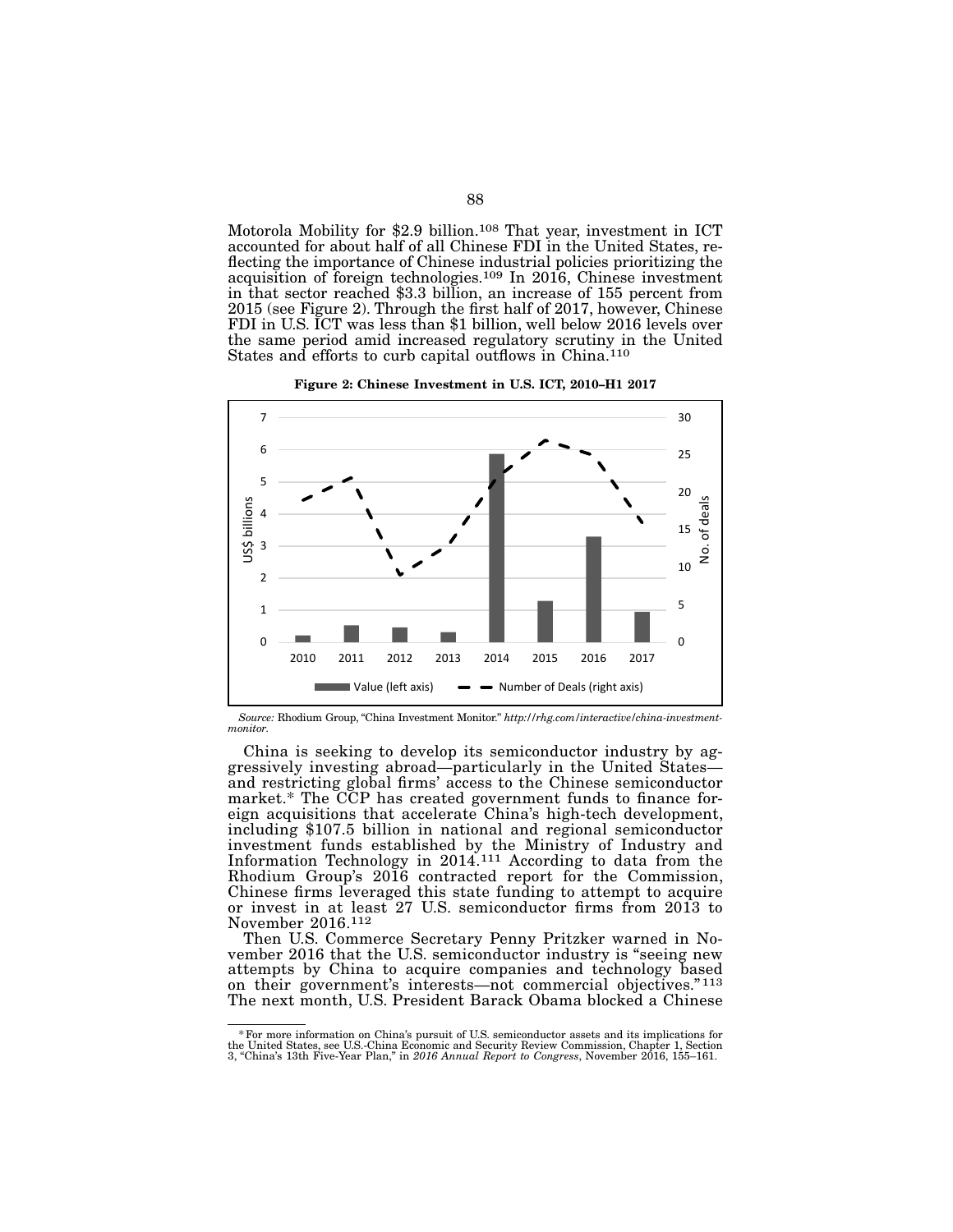Motorola Mobility for \$2.9 billion.<sup>108</sup> That year, investment in ICT accounted for about half of all Chinese FDI in the United States, reflecting the importance of Chinese industrial policies prioritizing the acquisition of foreign technologies.109 In 2016, Chinese investment in that sector reached \$3.3 billion, an increase of 155 percent from 2015 (see Figure 2). Through the first half of 2017, however, Chinese FDI in U.S. ICT was less than \$1 billion, well below 2016 levels over the same period amid increased regulatory scrutiny in the United States and efforts to curb capital outflows in China.<sup>110</sup>





*Source:* Rhodium Group, "China Investment Monitor." *http://rhg.com/interactive/china-investmentmonitor*.

China is seeking to develop its semiconductor industry by aggressively investing abroad—particularly in the United States and restricting global firms' access to the Chinese semiconductor market.\* The CCP has created government funds to finance foreign acquisitions that accelerate China's high-tech development, including \$107.5 billion in national and regional semiconductor investment funds established by the Ministry of Industry and Information Technology in  $2014$ .<sup>111</sup> According to data from the Rhodium Group's 2016 contracted report for the Commission, Chinese firms leveraged this state funding to attempt to acquire or invest in at least 27 U.S. semiconductor firms from 2013 to November 2016.112

Then U.S. Commerce Secretary Penny Pritzker warned in November 2016 that the U.S. semiconductor industry is "seeing new attempts by China to acquire companies and technology based on their government's interests—not commercial objectives." 113 The next month, U.S. President Barack Obama blocked a Chinese

<sup>\*</sup>For more information on China's pursuit of U.S. semiconductor assets and its implications for the United States, see U.S.-China Economic and Security Review Commission, Chapter 1, Section 3, "China's 13th Five-Year Plan," in *2016 Annual Report to Congress*, November 2016, 155–161.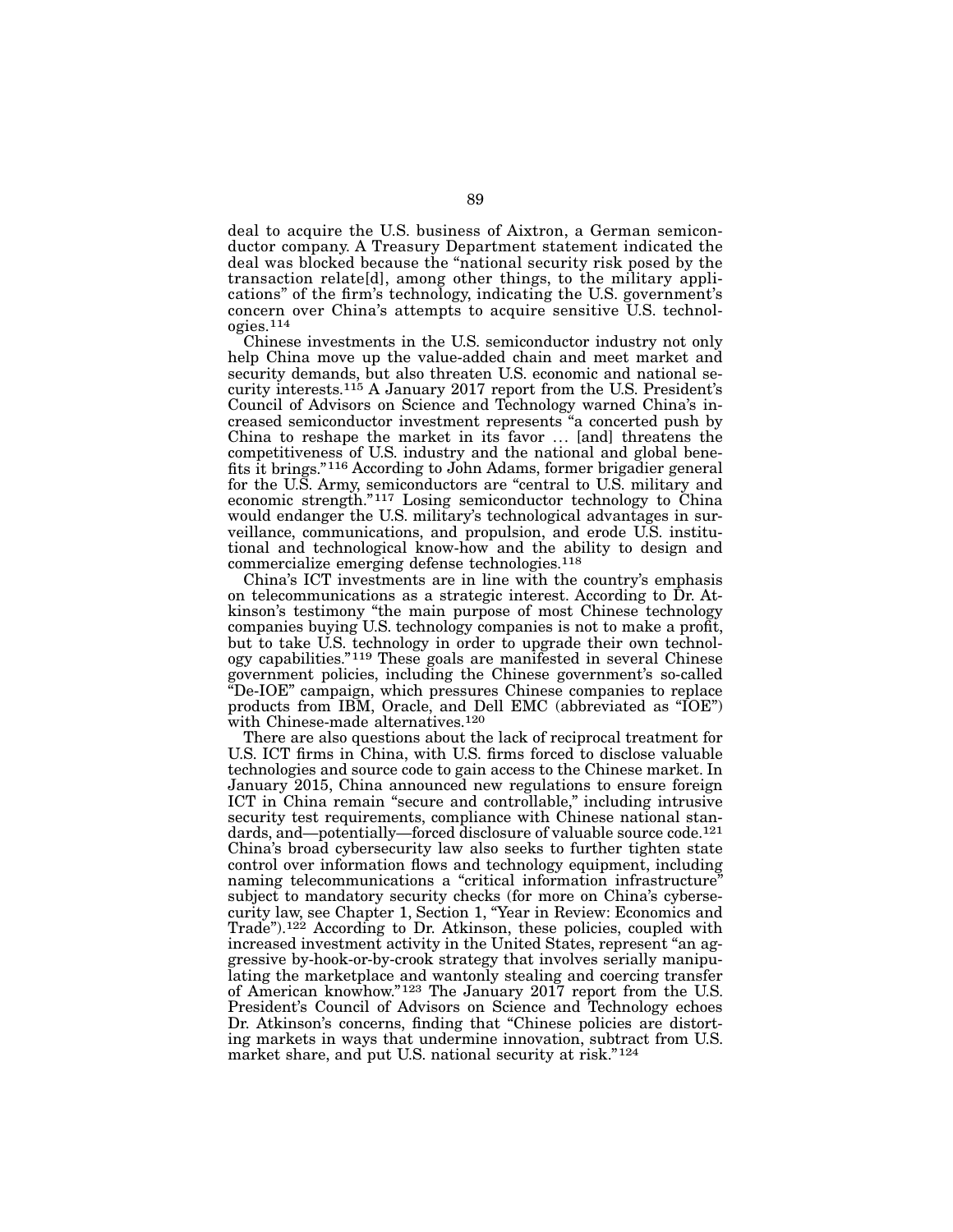deal to acquire the U.S. business of Aixtron, a German semiconductor company. A Treasury Department statement indicated the deal was blocked because the "national security risk posed by the transaction relate[d], among other things, to the military applications" of the firm's technology, indicating the U.S. government's concern over China's attempts to acquire sensitive U.S. technologies.114

Chinese investments in the U.S. semiconductor industry not only help China move up the value-added chain and meet market and security demands, but also threaten U.S. economic and national security interests.115 A January 2017 report from the U.S. President's Council of Advisors on Science and Technology warned China's increased semiconductor investment represents "a concerted push by China to reshape the market in its favor ... [and] threatens the competitiveness of U.S. industry and the national and global benefits it brings."116 According to John Adams, former brigadier general for the U.S. Army, semiconductors are "central to U.S. military and economic strength."117 Losing semiconductor technology to China would endanger the U.S. military's technological advantages in surveillance, communications, and propulsion, and erode U.S. institutional and technological know-how and the ability to design and commercialize emerging defense technologies.118

China's ICT investments are in line with the country's emphasis on telecommunications as a strategic interest. According to Dr. Atkinson's testimony "the main purpose of most Chinese technology companies buying U.S. technology companies is not to make a profit, but to take U.S. technology in order to upgrade their own technology capabilities."119 These goals are manifested in several Chinese government policies, including the Chinese government's so-called "De-IOE" campaign, which pressures Chinese companies to replace products from IBM, Oracle, and Dell EMC (abbreviated as "IOE") with Chinese-made alternatives.120

There are also questions about the lack of reciprocal treatment for U.S. ICT firms in China, with U.S. firms forced to disclose valuable technologies and source code to gain access to the Chinese market. In January 2015, China announced new regulations to ensure foreign ICT in China remain "secure and controllable," including intrusive security test requirements, compliance with Chinese national standards, and—potentially—forced disclosure of valuable source code.<sup>121</sup> China's broad cybersecurity law also seeks to further tighten state control over information flows and technology equipment, including naming telecommunications a "critical information infrastructure" subject to mandatory security checks (for more on China's cybersecurity law, see Chapter 1, Section 1, "Year in Review: Economics and Trade").<sup>122</sup> According to Dr. Atkinson, these policies, coupled with increased investment activity in the United States, represent "an aggressive by-hook-or-by-crook strategy that involves serially manipulating the marketplace and wantonly stealing and coercing transfer of American knowhow."123 The January 2017 report from the U.S. President's Council of Advisors on Science and Technology echoes Dr. Atkinson's concerns, finding that "Chinese policies are distorting markets in ways that undermine innovation, subtract from U.S. market share, and put U.S. national security at risk."<sup>124</sup>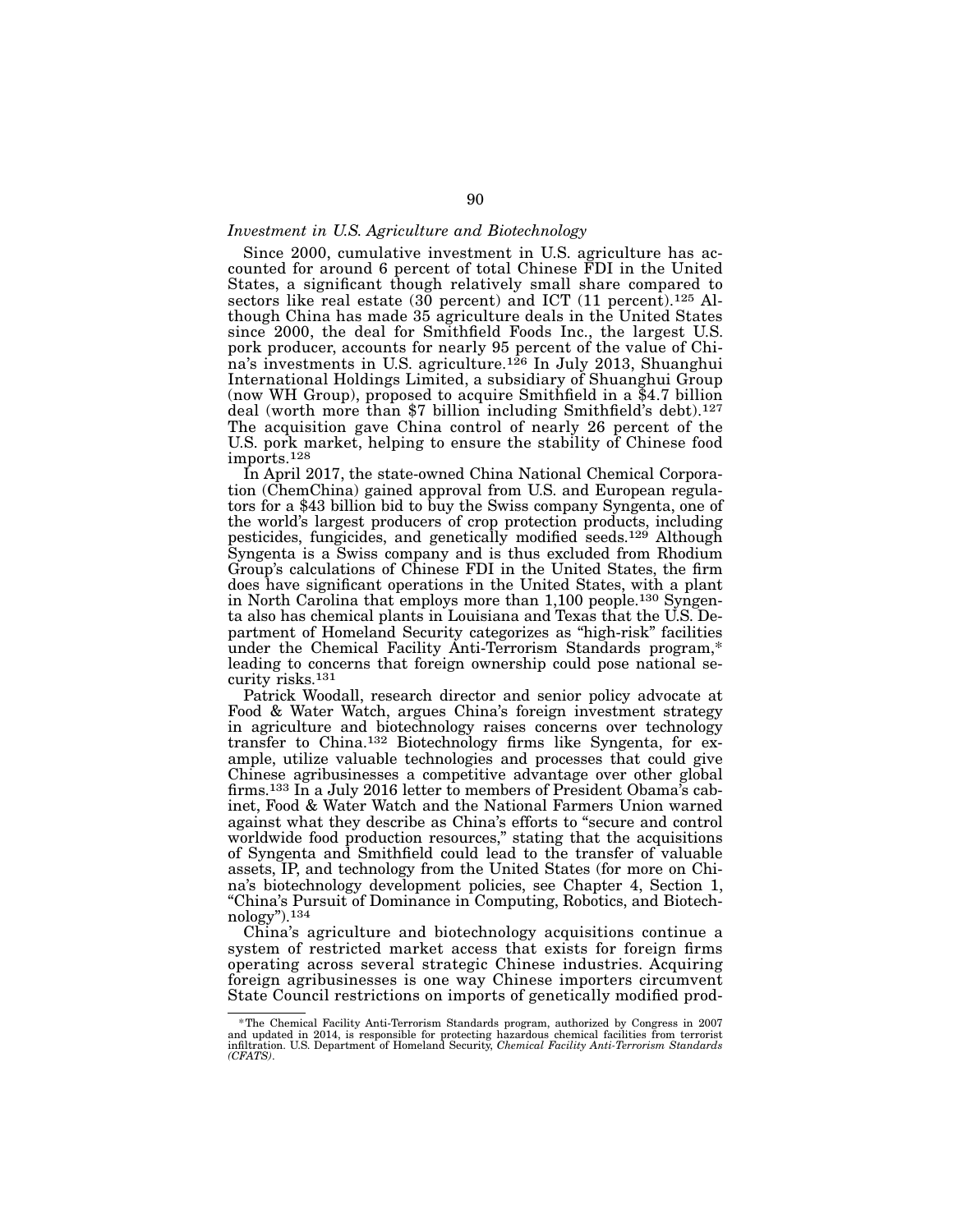#### *Investment in U.S. Agriculture and Biotechnology*

Since 2000, cumulative investment in U.S. agriculture has accounted for around 6 percent of total Chinese FDI in the United States, a significant though relatively small share compared to sectors like real estate (30 percent) and ICT (11 percent).<sup>125</sup> Although China has made 35 agriculture deals in the United States since 2000, the deal for Smithfield Foods Inc., the largest U.S. pork producer, accounts for nearly 95 percent of the value of China's investments in U.S. agriculture.<sup>126</sup> In July 2013, Shuanghui International Holdings Limited, a subsidiary of Shuanghui Group (now WH Group), proposed to acquire Smithfield in a \$4.7 billion deal (worth more than \$7 billion including Smithfield's debt).<sup>127</sup> The acquisition gave China control of nearly 26 percent of the U.S. pork market, helping to ensure the stability of Chinese food imports.128

In April 2017, the state-owned China National Chemical Corporation (ChemChina) gained approval from U.S. and European regulators for a \$43 billion bid to buy the Swiss company Syngenta, one of the world's largest producers of crop protection products, including pesticides, fungicides, and genetically modified seeds.129 Although Syngenta is a Swiss company and is thus excluded from Rhodium Group's calculations of Chinese FDI in the United States, the firm does have significant operations in the United States, with a plant in North Carolina that employs more than 1,100 people.130 Syngenta also has chemical plants in Louisiana and Texas that the U.S. Department of Homeland Security categorizes as "high-risk" facilities under the Chemical Facility Anti-Terrorism Standards program,\* leading to concerns that foreign ownership could pose national security risks.131

Patrick Woodall, research director and senior policy advocate at Food & Water Watch, argues China's foreign investment strategy in agriculture and biotechnology raises concerns over technology transfer to China.132 Biotechnology firms like Syngenta, for example, utilize valuable technologies and processes that could give Chinese agribusinesses a competitive advantage over other global firms.133 In a July 2016 letter to members of President Obama's cabinet, Food & Water Watch and the National Farmers Union warned against what they describe as China's efforts to "secure and control worldwide food production resources," stating that the acquisitions of Syngenta and Smithfield could lead to the transfer of valuable assets, IP, and technology from the United States (for more on China's biotechnology development policies, see Chapter 4, Section 1, "China's Pursuit of Dominance in Computing, Robotics, and Biotechnology").134

China's agriculture and biotechnology acquisitions continue a system of restricted market access that exists for foreign firms operating across several strategic Chinese industries. Acquiring foreign agribusinesses is one way Chinese importers circumvent State Council restrictions on imports of genetically modified prod-

<sup>&</sup>lt;sup>\*</sup>The Chemical Facility Anti-Terrorism Standards program, authorized by Congress in 2007<br>and updated in 2014, is responsible for protecting hazardous chemical facilities from terrorist<br>infiltration. U.S. Department of Hom *(CFATS)*.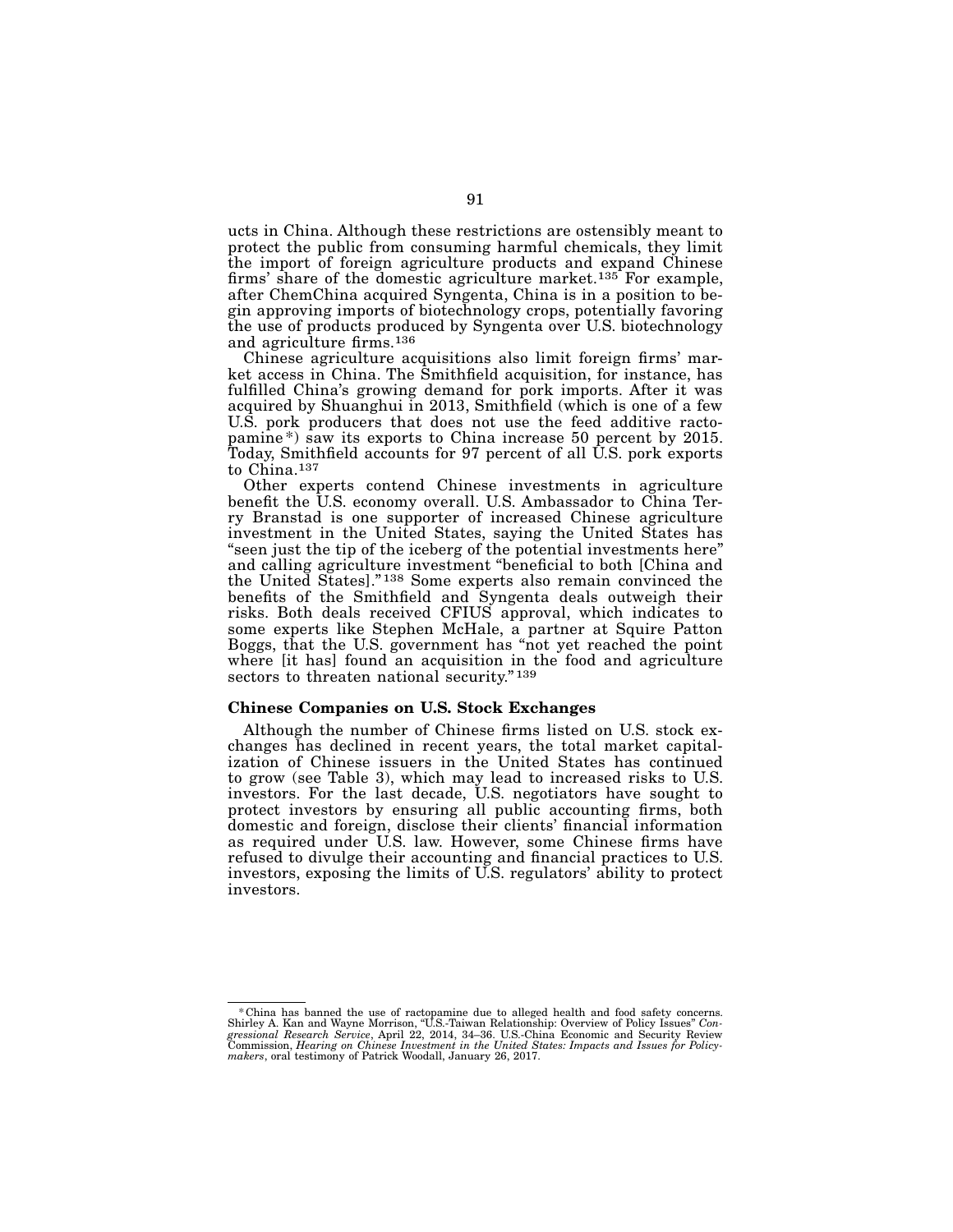ucts in China. Although these restrictions are ostensibly meant to protect the public from consuming harmful chemicals, they limit the import of foreign agriculture products and expand Chinese firms' share of the domestic agriculture market.<sup>135</sup> For example, after ChemChina acquired Syngenta, China is in a position to begin approving imports of biotechnology crops, potentially favoring the use of products produced by Syngenta over U.S. biotechnology and agriculture firms.136

Chinese agriculture acquisitions also limit foreign firms' market access in China. The Smithfield acquisition, for instance, has fulfilled China's growing demand for pork imports. After it was acquired by Shuanghui in 2013, Smithfield (which is one of a few U.S. pork producers that does not use the feed additive ractopamine<sup>\*</sup>) saw its exports to China increase 50 percent by 2015. Today, Smithfield accounts for 97 percent of all U.S. pork exports to China.137

Other experts contend Chinese investments in agriculture benefit the U.S. economy overall. U.S. Ambassador to China Terry Branstad is one supporter of increased Chinese agriculture investment in the United States, saying the United States has "seen just the tip of the iceberg of the potential investments here" and calling agriculture investment "beneficial to both [China and the United States]." 138 Some experts also remain convinced the benefits of the Smithfield and Syngenta deals outweigh their risks. Both deals received CFIUS approval, which indicates to some experts like Stephen McHale, a partner at Squire Patton Boggs, that the U.S. government has "not yet reached the point where [it has] found an acquisition in the food and agriculture sectors to threaten national security."<sup>139</sup>

#### Chinese Companies on U.S. Stock Exchanges

Although the number of Chinese firms listed on U.S. stock exchanges has declined in recent years, the total market capitalization of Chinese issuers in the United States has continued to grow (see Table 3), which may lead to increased risks to U.S. investors. For the last decade, U.S. negotiators have sought to protect investors by ensuring all public accounting firms, both domestic and foreign, disclose their clients' financial information as required under U.S. law. However, some Chinese firms have refused to divulge their accounting and financial practices to U.S. investors, exposing the limits of U.S. regulators' ability to protect investors.

<sup>\*</sup> China has banned the use of ractopamine due to alleged health and food safety concerns.<br>Shirley A. Kan and Wayne Morrison, "U.S.-Taiwan Relationship: Overview of Policy Issues" Congressional Research Service, April 22,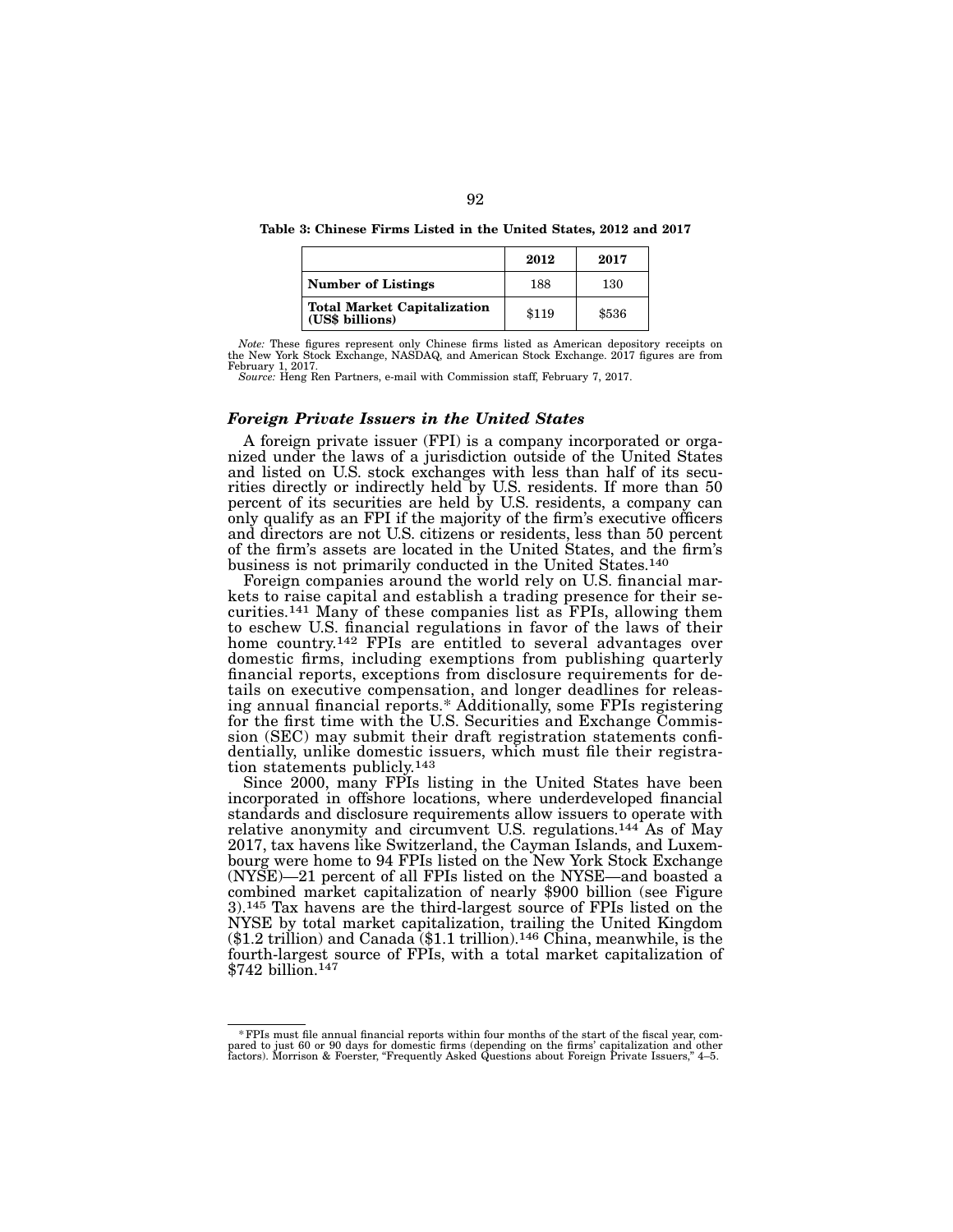Table 3: Chinese Firms Listed in the United States, 2012 and 2017

|                                                       | 2012  | 2017  |
|-------------------------------------------------------|-------|-------|
| <b>Number of Listings</b>                             | 188   | 130   |
| <b>Total Market Capitalization</b><br>(US\$ billions) | \$119 | \$536 |

*Note:* These figures represent only Chinese firms listed as American depository receipts on the New York Stock Exchange, NASDAQ, and American Stock Exchange. 2017 figures are from February 1, 2017.

*Source:* Heng Ren Partners, e-mail with Commission staff, February 7, 2017.

#### *Foreign Private Issuers in the United States*

A foreign private issuer (FPI) is a company incorporated or organized under the laws of a jurisdiction outside of the United States and listed on U.S. stock exchanges with less than half of its securities directly or indirectly held by U.S. residents. If more than 50 percent of its securities are held by U.S. residents, a company can only qualify as an FPI if the majority of the firm's executive officers and directors are not U.S. citizens or residents, less than 50 percent of the firm's assets are located in the United States, and the firm's business is not primarily conducted in the United States.140

Foreign companies around the world rely on U.S. financial markets to raise capital and establish a trading presence for their securities.141 Many of these companies list as FPIs, allowing them to eschew U.S. financial regulations in favor of the laws of their home country.<sup>142</sup> FPIs are entitled to several advantages over domestic firms, including exemptions from publishing quarterly financial reports, exceptions from disclosure requirements for details on executive compensation, and longer deadlines for releasing annual financial reports.\* Additionally, some FPIs registering for the first time with the U.S. Securities and Exchange Commission (SEC) may submit their draft registration statements confidentially, unlike domestic issuers, which must file their registration statements publicly.143

Since 2000, many FPIs listing in the United States have been incorporated in offshore locations, where underdeveloped financial standards and disclosure requirements allow issuers to operate with relative anonymity and circumvent U.S. regulations.<sup>144</sup> As of May 2017, tax havens like Switzerland, the Cayman Islands, and Luxem- bourg were home to 94 FPIs listed on the New York Stock Exchange (NYSE)—21 percent of all FPIs listed on the NYSE—and boasted a combined market capitalization of nearly \$900 billion (see Figure 3).145 Tax havens are the third-largest source of FPIs listed on the NYSE by total market capitalization, trailing the United Kingdom  $($1.2$ trillion)$  and Canada  $($1.1~ trillion).<sup>146</sup> China, meanwhile, is the$ fourth-largest source of FPIs, with a total market capitalization of \$742 billion.147

<sup>\*</sup>FPIs must file annual financial reports within four months of the start of the fiscal year, compared to just 60 or 90 days for domestic firms (depending on the firms' capitalization and other factors). Morrison & Foerster, "Frequently Asked Questions about Foreign Private Issuers," 4–5.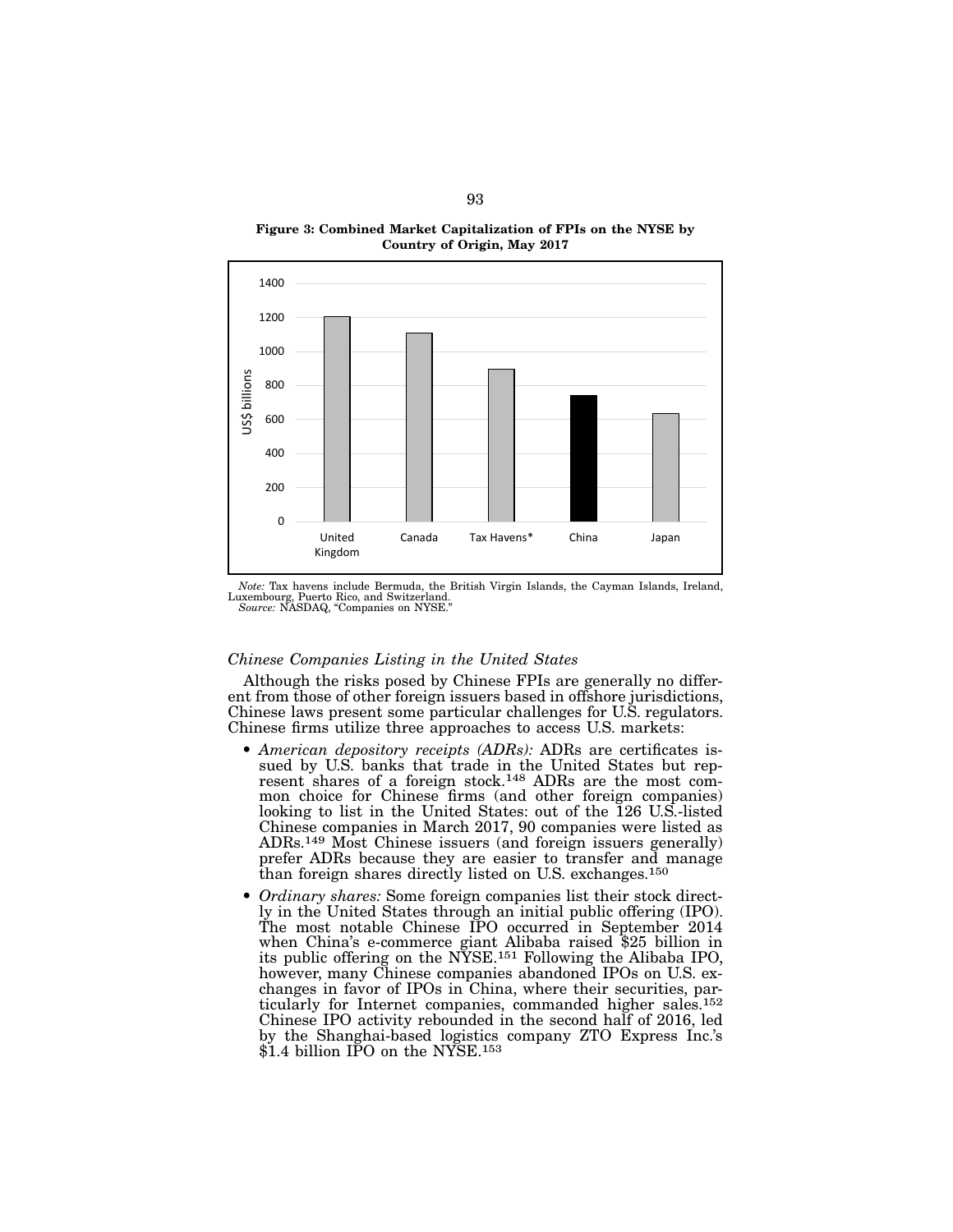



*Note:* Tax havens include Bermuda, the British Virgin Islands, the Cayman Islands, Ireland, Luxembourg, Puerto Rico, and Switzerland. *Source:* NASDAQ, "Companies on NYSE."

#### *Chinese Companies Listing in the United States*

Although the risks posed by Chinese FPIs are generally no different from those of other foreign issuers based in offshore jurisdictions, Chinese laws present some particular challenges for U.S. regulators. Chinese firms utilize three approaches to access U.S. markets:

- American depository receipts (ADRs): ADRs are certificates is-<br>sued by U.S. banks that trade in the United States but rep-<br>resent shares of a foreign stock.<sup>148</sup> ADRs are the most common choice for Chinese firms (and other foreign companies) looking to list in the United States: out of the 126 U.S.-listed Chinese companies in March 2017, 90 companies were listed as ADRs.149 Most Chinese issuers (and foreign issuers generally) prefer ADRs because they are easier to transfer and manage than foreign shares directly listed on U.S. exchanges.150
- *Ordinary shares:* Some foreign companies list their stock direct- ly in the United States through an initial public offering (IPO). The most notable Chinese IPO occurred in September 2014 when China's e-commerce giant Alibaba raised \$25 billion in its public offering on the NYSE.151 Following the Alibaba IPO, however, many Chinese companies abandoned IPOs on U.S. exchanges in favor of IPOs in China, where their securities, particularly for Internet companies, commanded higher sales.152 Chinese IPO activity rebounded in the second half of 2016, led by the Shanghai-based logistics company ZTO Express Inc.'s \$1.4 billion IPO on the NYSE.<sup>153</sup>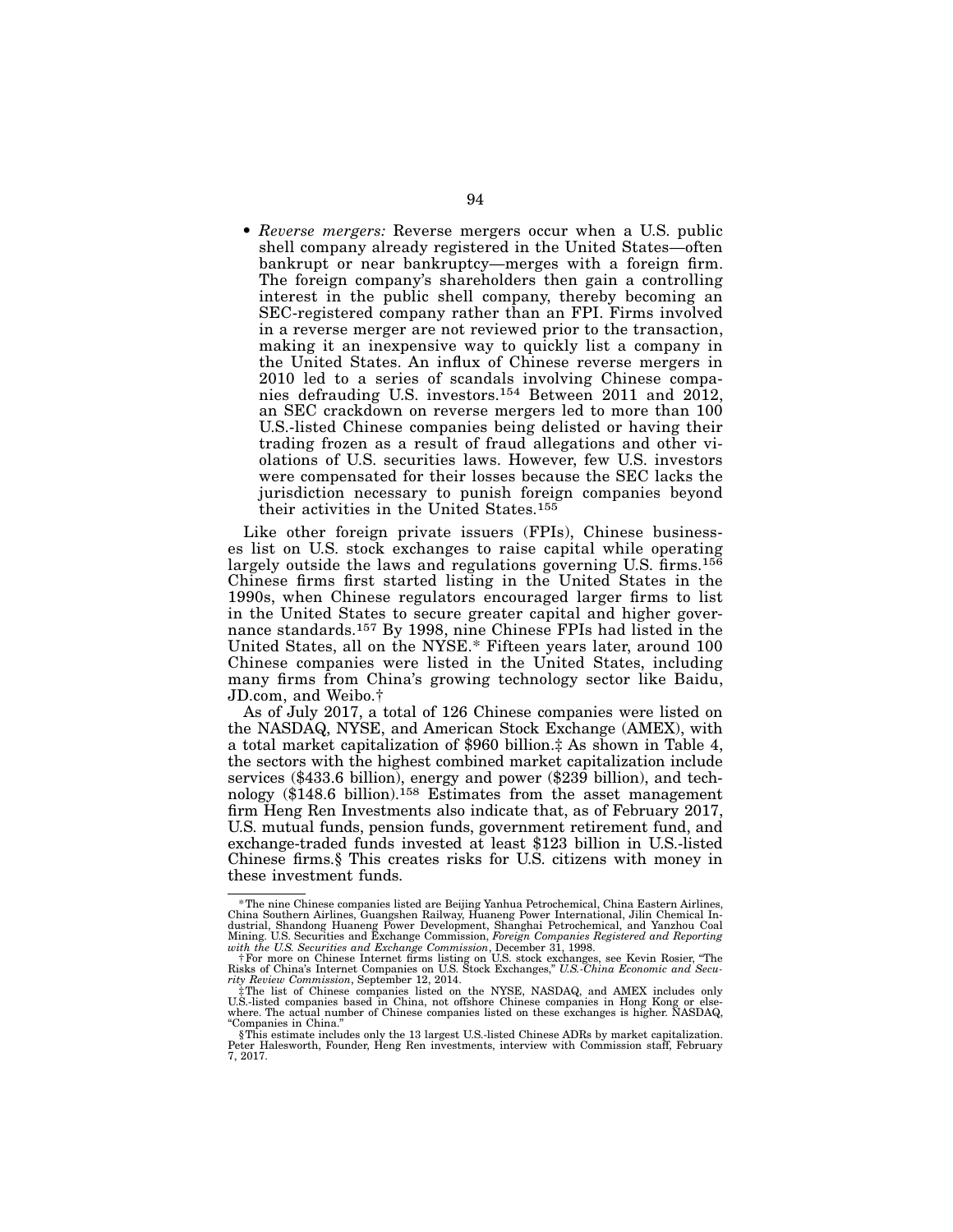• *Reverse mergers:* Reverse mergers occur when a U.S. public shell company already registered in the United States—often bankrupt or near bankruptcy—merges with a foreign firm. The foreign company's shareholders then gain a controlling interest in the public shell company, thereby becoming an SEC-registered company rather than an FPI. Firms involved in a reverse merger are not reviewed prior to the transaction, making it an inexpensive way to quickly list a company in the United States. An influx of Chinese reverse mergers in 2010 led to a series of scandals involving Chinese companies defrauding U.S. investors.154 Between 2011 and 2012, an SEC crackdown on reverse mergers led to more than 100 U.S.-listed Chinese companies being delisted or having their trading frozen as a result of fraud allegations and other violations of U.S. securities laws. However, few U.S. investors were compensated for their losses because the SEC lacks the jurisdiction necessary to punish foreign companies beyond their activities in the United States.155

Like other foreign private issuers (FPIs), Chinese businesses list on U.S. stock exchanges to raise capital while operating largely outside the laws and regulations governing U.S. firms.156 Chinese firms first started listing in the United States in the 1990s, when Chinese regulators encouraged larger firms to list in the United States to secure greater capital and higher governance standards.157 By 1998, nine Chinese FPIs had listed in the United States, all on the NYSE.\* Fifteen years later, around 100 Chinese companies were listed in the United States, including many firms from China's growing technology sector like Baidu, JD.com, and Weibo.†

As of July 2017, a total of 126 Chinese companies were listed on the NASDAQ, NYSE, and American Stock Exchange (AMEX), with a total market capitalization of \$960 billion.‡ As shown in Table 4, the sectors with the highest combined market capitalization include services (\$433.6 billion), energy and power (\$239 billion), and technology (\$148.6 billion).158 Estimates from the asset management firm Heng Ren Investments also indicate that, as of February 2017, U.S. mutual funds, pension funds, government retirement fund, and exchange-traded funds invested at least \$123 billion in U.S.-listed Chinese firms.§ This creates risks for U.S. citizens with money in these investment funds.

<sup>\*</sup>The nine Chinese companies listed are Beijing Yanhua Petrochemical, China Eastern Airlines, China Southern Airlines, Guangshen Railway, Huaneng Power International, Jilin Chemical Industrial, Shandong Huaneng Power Development, Shanghai Petrochemical, and Yanzhou Coal<br>Mining. U.S. Securities and Exchange Commission, December 31, 1998.<br>with the U.S. Securities and Exchange Commission, December 31, 1998

the list of Chinese companies listed on the NYSE, NASDAQ, and AMEX includes only U.S.-listed companies based in China, not offshore Chinese companies and Holme where.<br>Where. The actual number of Chinese companies listed on "Companies in China."

<sup>§</sup>This estimate includes only the 13 largest U.S.-listed Chinese ADRs by market capitalization. Peter Halesworth, Founder, Heng Ren investments, interview with Commission staff, February 7, 2017.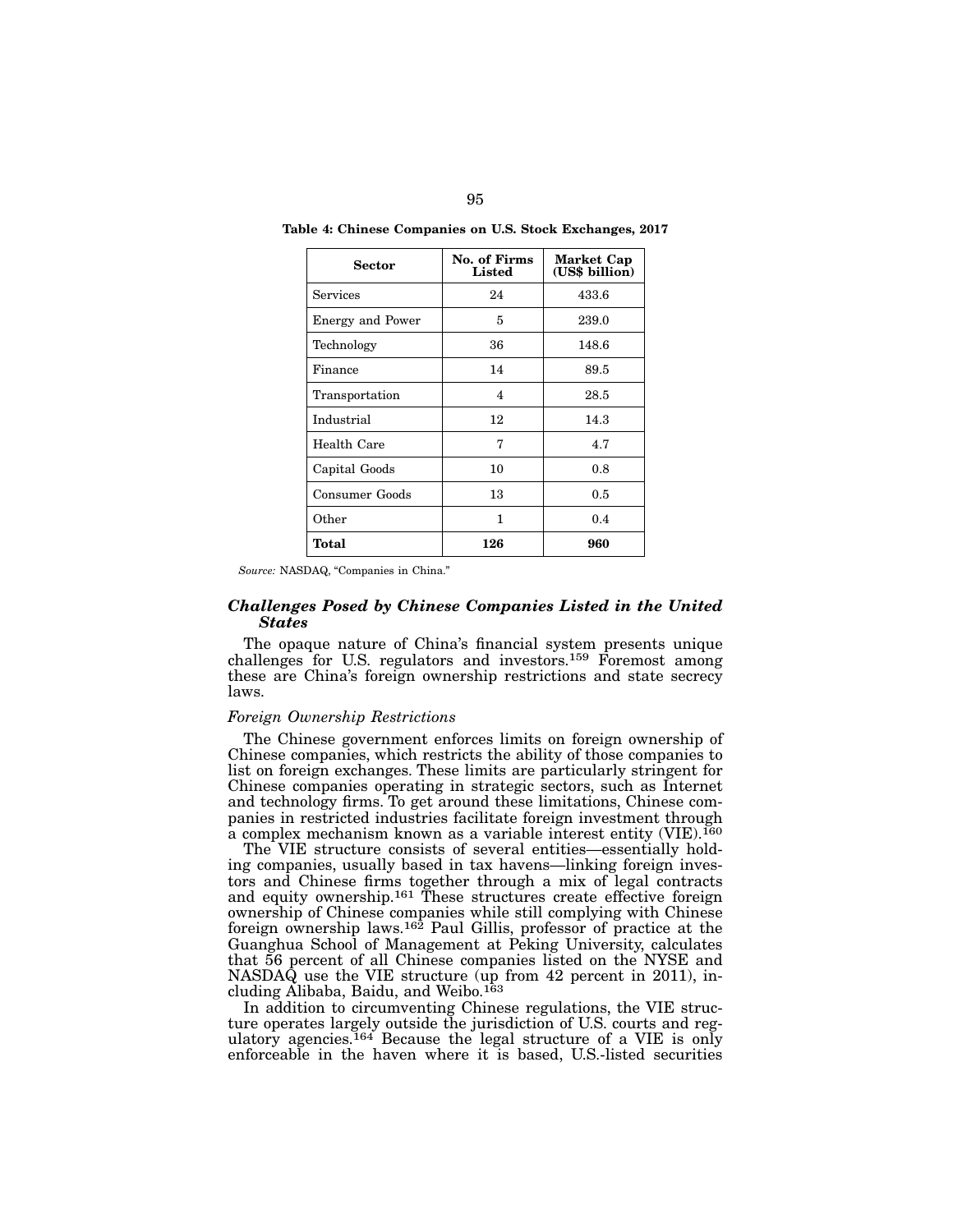| Sector                  | No. of Firms<br>Listed | Market Cap<br>(US\$ billion) |
|-------------------------|------------------------|------------------------------|
| Services                | 24                     | 433.6                        |
| <b>Energy and Power</b> | 5                      | 239.0                        |
| Technology              | 36                     | 148.6                        |
| Finance                 | 14                     | 89.5                         |
| Transportation          | 4                      | 28.5                         |
| Industrial              | 12                     | 14.3                         |
| Health Care             | 7                      | 4.7                          |
| Capital Goods           | 10                     | 0.8                          |
| Consumer Goods          | 13                     | 0.5                          |
| Other                   | 1                      | 0.4                          |
| Total                   | 126                    | 960                          |

Table 4: Chinese Companies on U.S. Stock Exchanges, 2017

*Source:* NASDAQ, "Companies in China."

## *Challenges Posed by Chinese Companies Listed in the United States*

The opaque nature of China's financial system presents unique challenges for U.S. regulators and investors.159 Foremost among these are China's foreign ownership restrictions and state secrecy laws.

#### *Foreign Ownership Restrictions*

The Chinese government enforces limits on foreign ownership of Chinese companies, which restricts the ability of those companies to list on foreign exchanges. These limits are particularly stringent for Chinese companies operating in strategic sectors, such as Internet and technology firms. To get around these limitations, Chinese companies in restricted industries facilitate foreign investment through a complex mechanism known as a variable interest entity (VIE).160

The VIE structure consists of several entities—essentially holding companies, usually based in tax havens—linking foreign investors and Chinese firms together through a mix of legal contracts and equity ownership.<sup>161</sup> These structures create effective foreign ownership of Chinese companies while still complying with Chinese foreign ownership laws.162 Paul Gillis, professor of practice at the Guanghua School of Management at Peking University, calculates that 56 percent of all Chinese companies listed on the NYSE and NASDAQ use the VIE structure (up from 42 percent in 2011), including Alibaba, Baidu, and Weibo.163

In addition to circumventing Chinese regulations, the VIE structure operates largely outside the jurisdiction of U.S. courts and regulatory agencies.164 Because the legal structure of a VIE is only enforceable in the haven where it is based, U.S.-listed securities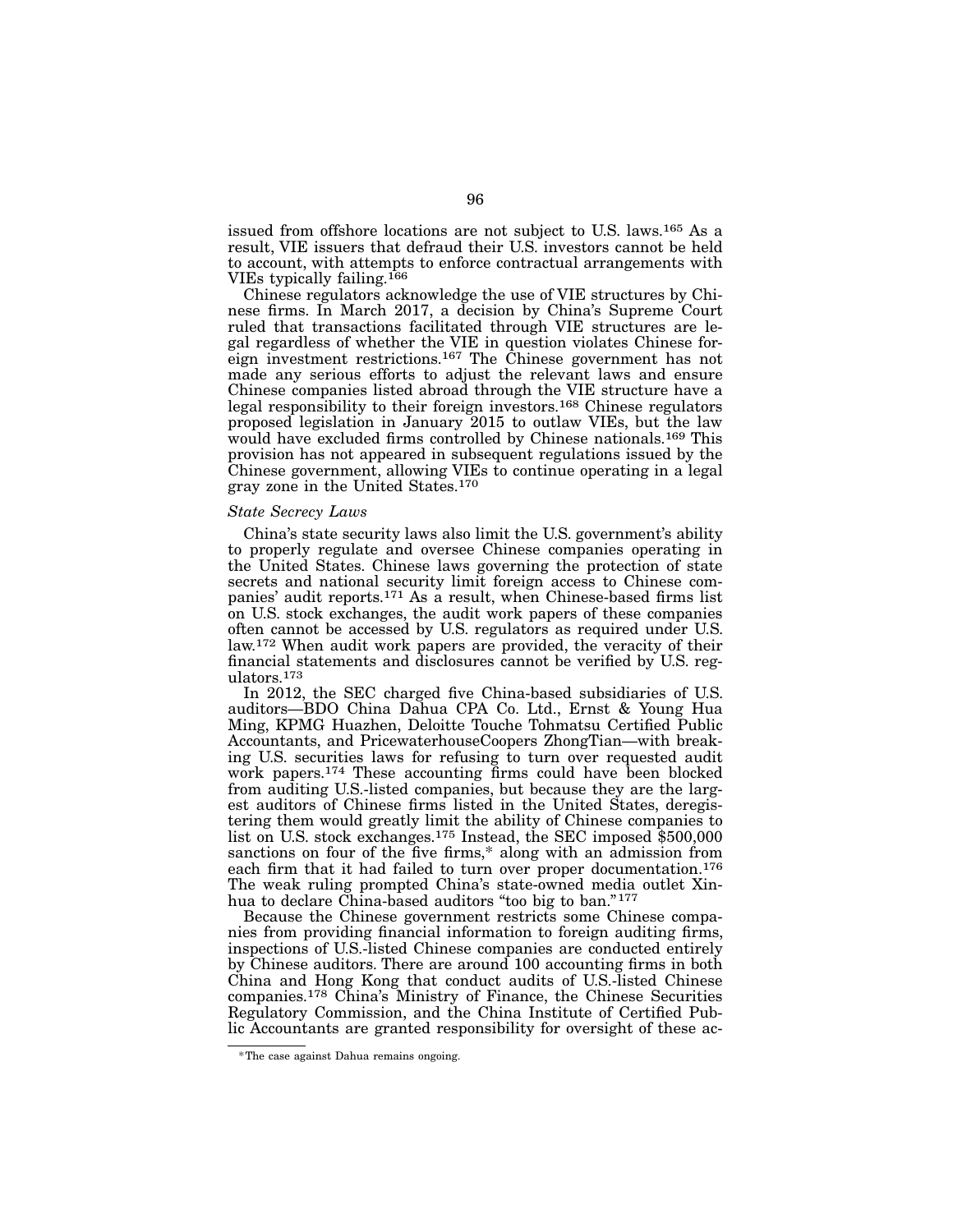issued from offshore locations are not subject to U.S. laws.165 As a result, VIE issuers that defraud their U.S. investors cannot be held to account, with attempts to enforce contractual arrangements with VIEs typically failing.166

Chinese regulators acknowledge the use of VIE structures by Chinese firms. In March 2017, a decision by China's Supreme Court ruled that transactions facilitated through VIE structures are legal regardless of whether the VIE in question violates Chinese foreign investment restrictions.167 The Chinese government has not made any serious efforts to adjust the relevant laws and ensure Chinese companies listed abroad through the VIE structure have a legal responsibility to their foreign investors.168 Chinese regulators proposed legislation in January 2015 to outlaw VIEs, but the law would have excluded firms controlled by Chinese nationals.169 This provision has not appeared in subsequent regulations issued by the Chinese government, allowing VIEs to continue operating in a legal gray zone in the United States.170

#### *State Secrecy Laws*

China's state security laws also limit the U.S. government's ability to properly regulate and oversee Chinese companies operating in the United States. Chinese laws governing the protection of state secrets and national security limit foreign access to Chinese companies' audit reports.171 As a result, when Chinese-based firms list on U.S. stock exchanges, the audit work papers of these companies often cannot be accessed by U.S. regulators as required under U.S. law.172 When audit work papers are provided, the veracity of their financial statements and disclosures cannot be verified by U.S. regulators.173

In 2012, the SEC charged five China-based subsidiaries of U.S. auditors—BDO China Dahua CPA Co. Ltd., Ernst & Young Hua Ming, KPMG Huazhen, Deloitte Touche Tohmatsu Certified Public Accountants, and PricewaterhouseCoopers ZhongTian—with breaking U.S. securities laws for refusing to turn over requested audit work papers.174 These accounting firms could have been blocked from auditing U.S.-listed companies, but because they are the largest auditors of Chinese firms listed in the United States, deregistering them would greatly limit the ability of Chinese companies to list on U.S. stock exchanges.175 Instead, the SEC imposed \$500,000 sanctions on four of the five firms,\* along with an admission from each firm that it had failed to turn over proper documentation.<sup>176</sup> The weak ruling prompted China's state-owned media outlet Xinhua to declare China-based auditors "too big to ban."<sup>177</sup>

Because the Chinese government restricts some Chinese companies from providing financial information to foreign auditing firms, inspections of U.S.-listed Chinese companies are conducted entirely by Chinese auditors. There are around 100 accounting firms in both China and Hong Kong that conduct audits of U.S.-listed Chinese companies.178 China's Ministry of Finance, the Chinese Securities Regulatory Commission, and the China Institute of Certified Public Accountants are granted responsibility for oversight of these ac-

<sup>\*</sup>The case against Dahua remains ongoing.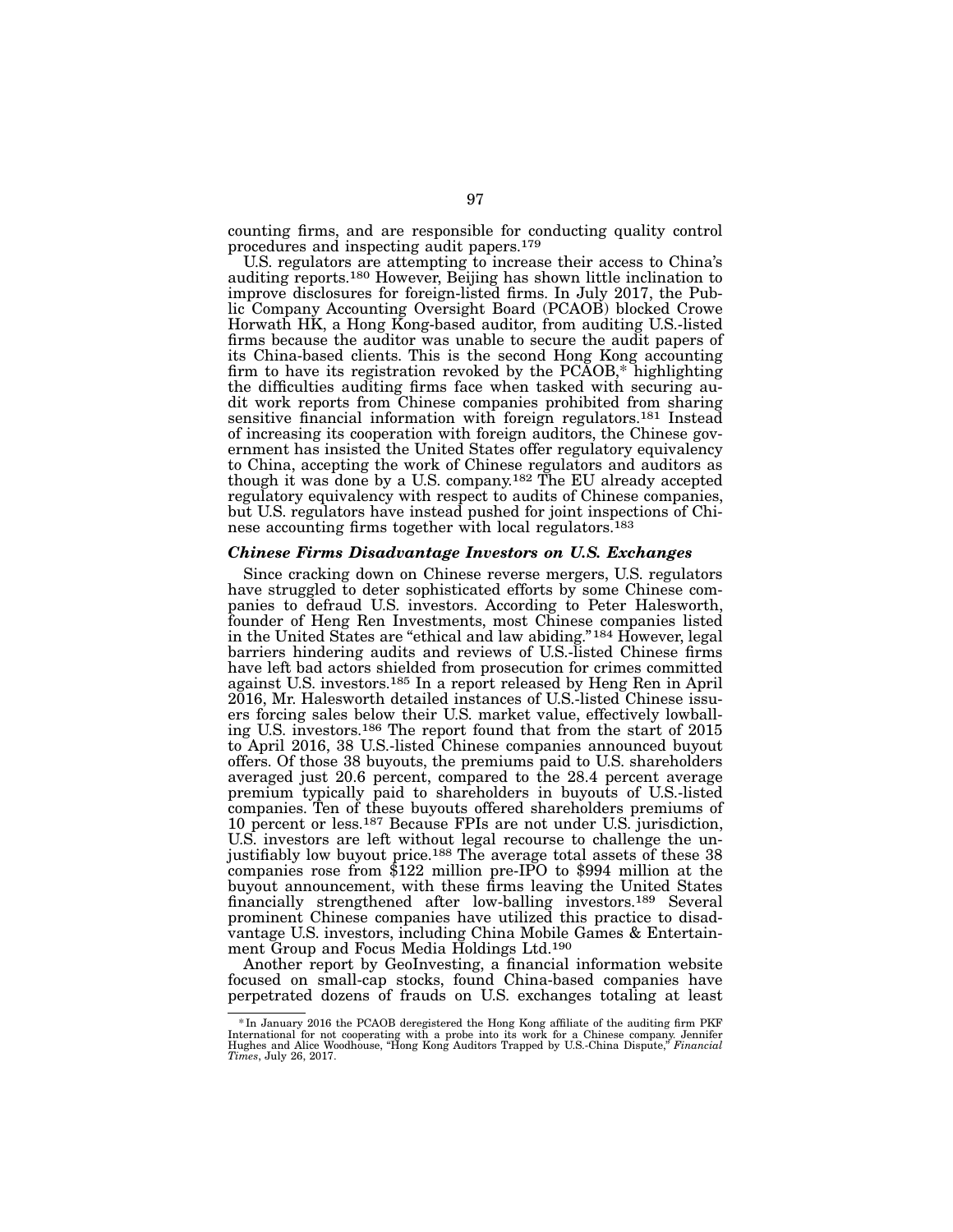counting firms, and are responsible for conducting quality control procedures and inspecting audit papers.179

U.S. regulators are attempting to increase their access to China's auditing reports.180 However, Beijing has shown little inclination to improve disclosures for foreign-listed firms. In July 2017, the Public Company Accounting Oversight Board (PCAOB) blocked Crowe Horwath HK, a Hong Kong-based auditor, from auditing U.S.-listed firms because the auditor was unable to secure the audit papers of its China-based clients. This is the second Hong Kong accounting firm to have its registration revoked by the PCAOB,\* highlighting the difficulties auditing firms face when tasked with securing audit work reports from Chinese companies prohibited from sharing sensitive financial information with foreign regulators.<sup>181</sup> Instead of increasing its cooperation with foreign auditors, the Chinese government has insisted the United States offer regulatory equivalency to China, accepting the work of Chinese regulators and auditors as though it was done by a U.S. company.182 The EU already accepted regulatory equivalency with respect to audits of Chinese companies, but U.S. regulators have instead pushed for joint inspections of Chinese accounting firms together with local regulators.<sup>183</sup>

#### *Chinese Firms Disadvantage Investors on U.S. Exchanges*

Since cracking down on Chinese reverse mergers, U.S. regulators have struggled to deter sophisticated efforts by some Chinese companies to defraud U.S. investors. According to Peter Halesworth, founder of Heng Ren Investments, most Chinese companies listed in the United States are "ethical and law abiding."<sup>184</sup> However, legal barriers hindering audits and reviews of U.S.-listed Chinese firms have left bad actors shielded from prosecution for crimes committed against U.S. investors.185 In a report released by Heng Ren in April 2016, Mr. Halesworth detailed instances of U.S.-listed Chinese issuers forcing sales below their U.S. market value, effectively lowballing U.S. investors.186 The report found that from the start of 2015 to April 2016, 38 U.S.-listed Chinese companies announced buyout offers. Of those 38 buyouts, the premiums paid to U.S. shareholders averaged just 20.6 percent, compared to the 28.4 percent average premium typically paid to shareholders in buyouts of U.S.-listed companies. Ten of these buyouts offered shareholders premiums of 10 percent or less.187 Because FPIs are not under U.S. jurisdiction, U.S. investors are left without legal recourse to challenge the unjustifiably low buyout price.188 The average total assets of these 38 companies rose from \$122 million pre-IPO to \$994 million at the buyout announcement, with these firms leaving the United States financially strengthened after low-balling investors.189 Several prominent Chinese companies have utilized this practice to disadvantage U.S. investors, including China Mobile Games & Entertainment Group and Focus Media Holdings Ltd.<sup>190</sup>

Another report by GeoInvesting, a financial information website focused on small-cap stocks, found China-based companies have perpetrated dozens of frauds on U.S. exchanges totaling at least

In January 2016 the PCAOB deregistered the Hong Kong affiliate of the auditing firm PKF \*\*<br>International for not cooperating with a probe into its work for a Chinese company. Jennifer<br>Hughes and Alice Woodhouse, "Hong Kong *Times*, July 26, 2017.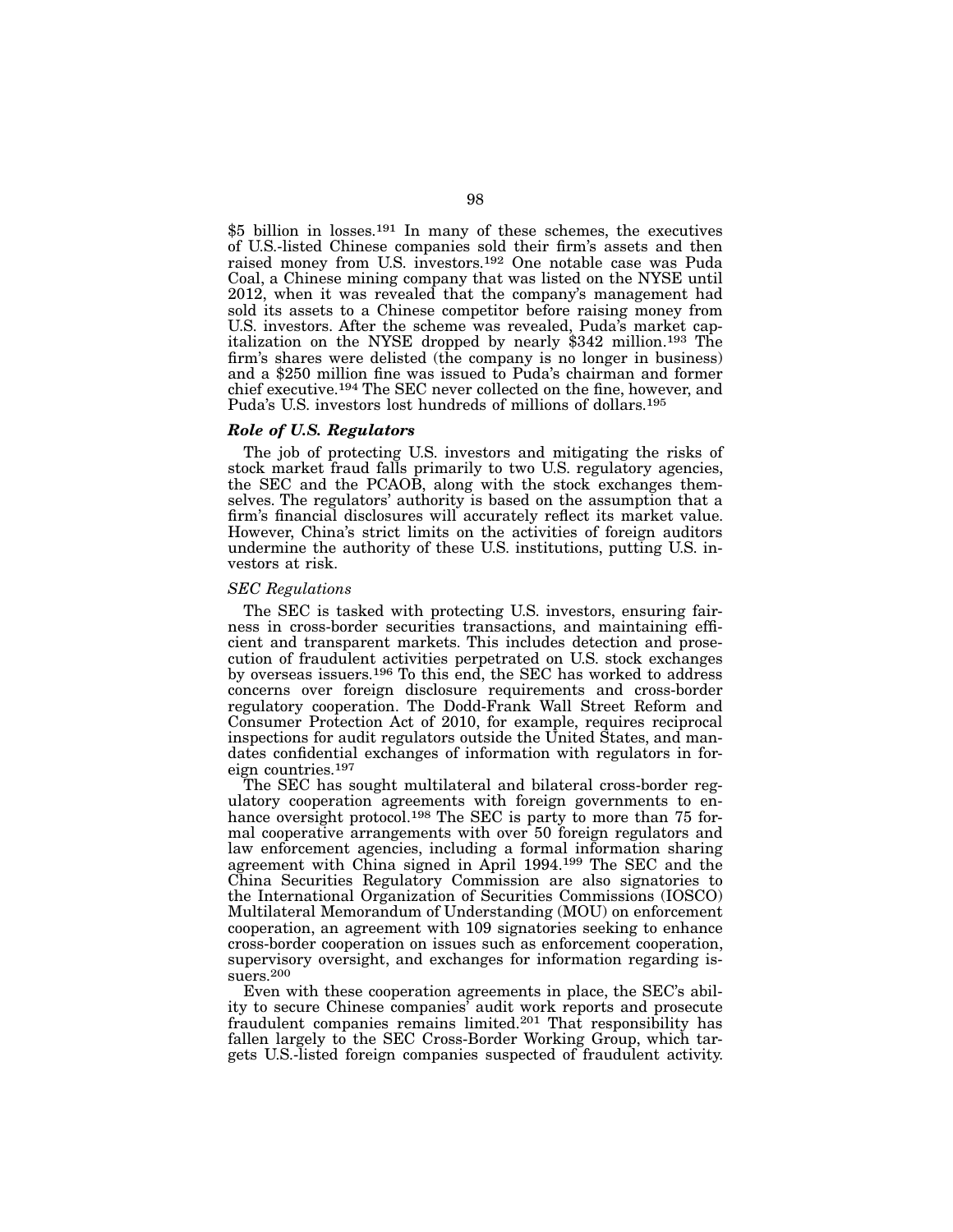\$5 billion in losses.191 In many of these schemes, the executives of U.S.-listed Chinese companies sold their firm's assets and then raised money from U.S. investors.192 One notable case was Puda Coal, a Chinese mining company that was listed on the NYSE until 2012, when it was revealed that the company's management had sold its assets to a Chinese competitor before raising money from U.S. investors. After the scheme was revealed, Puda's market capitalization on the NYSE dropped by nearly \$342 million.193 The firm's shares were delisted (the company is no longer in business) and a \$250 million fine was issued to Puda's chairman and former chief executive.194 The SEC never collected on the fine, however, and Puda's U.S. investors lost hundreds of millions of dollars.<sup>195</sup>

## *Role of U.S. Regulators*

The job of protecting U.S. investors and mitigating the risks of stock market fraud falls primarily to two U.S. regulatory agencies, the SEC and the PCAOB, along with the stock exchanges themselves. The regulators' authority is based on the assumption that a firm's financial disclosures will accurately reflect its market value. However, China's strict limits on the activities of foreign auditors undermine the authority of these U.S. institutions, putting U.S. investors at risk.

#### *SEC Regulations*

The SEC is tasked with protecting U.S. investors, ensuring fairness in cross-border securities transactions, and maintaining efficient and transparent markets. This includes detection and prosecution of fraudulent activities perpetrated on U.S. stock exchanges by overseas issuers.196 To this end, the SEC has worked to address concerns over foreign disclosure requirements and cross-border regulatory cooperation. The Dodd-Frank Wall Street Reform and Consumer Protection Act of 2010, for example, requires reciprocal inspections for audit regulators outside the United States, and mandates confidential exchanges of information with regulators in foreign countries.197

The SEC has sought multilateral and bilateral cross-border regulatory cooperation agreements with foreign governments to enhance oversight protocol.<sup>198</sup> The SEC is party to more than 75 formal cooperative arrangements with over 50 foreign regulators and law enforcement agencies, including a formal information sharing agreement with China signed in April 1994.199 The SEC and the China Securities Regulatory Commission are also signatories to the International Organization of Securities Commissions (IOSCO) Multilateral Memorandum of Understanding (MOU) on enforcement cooperation, an agreement with 109 signatories seeking to enhance cross-border cooperation on issues such as enforcement cooperation, supervisory oversight, and exchanges for information regarding issuers.200

Even with these cooperation agreements in place, the SEC's ability to secure Chinese companies' audit work reports and prosecute fraudulent companies remains limited.201 That responsibility has fallen largely to the SEC Cross-Border Working Group, which targets U.S.-listed foreign companies suspected of fraudulent activity.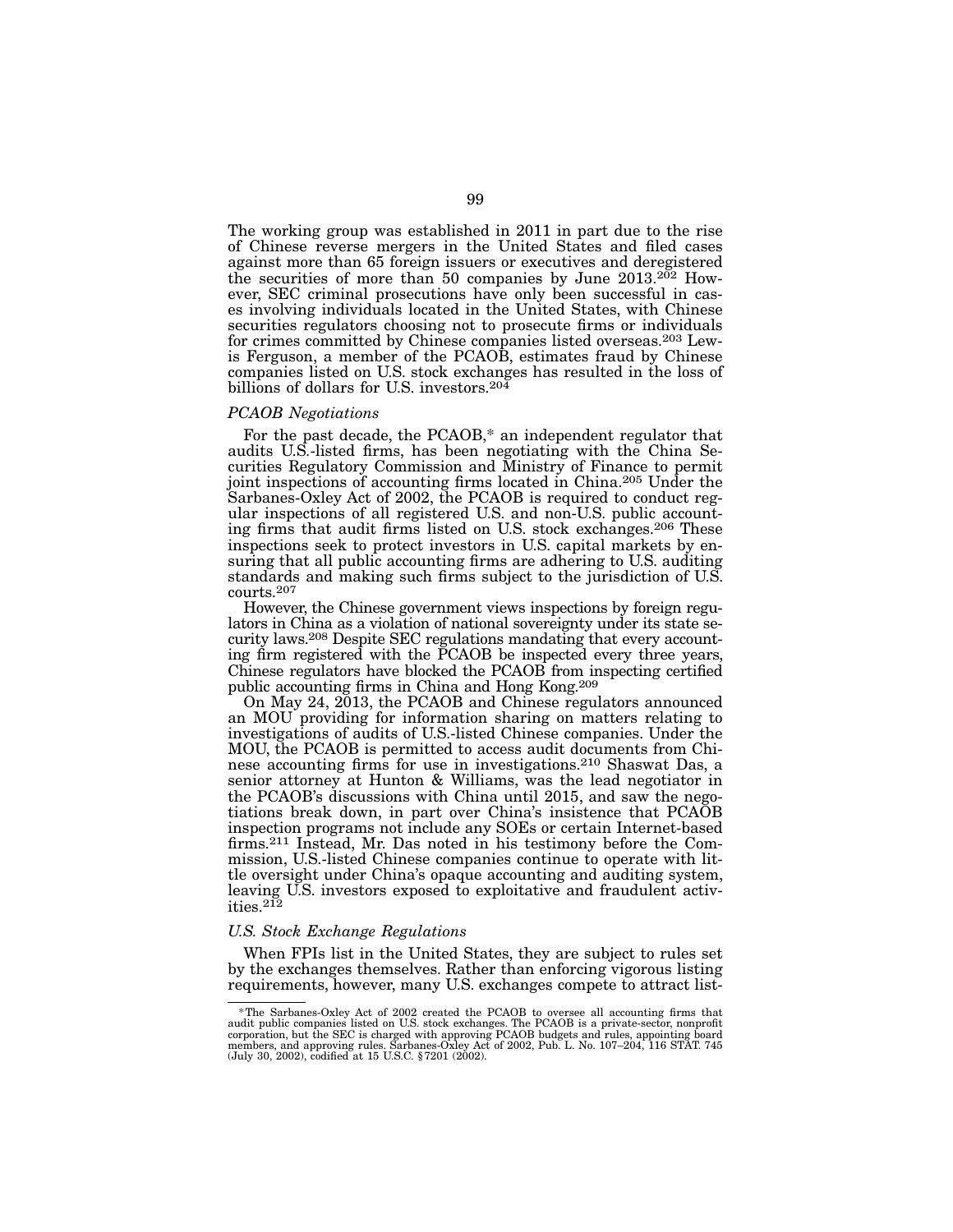The working group was established in 2011 in part due to the rise of Chinese reverse mergers in the United States and filed cases against more than 65 foreign issuers or executives and deregistered the securities of more than 50 companies by June  $2013.2^{02}$  However, SEC criminal prosecutions have only been successful in cases involving individuals located in the United States, with Chinese securities regulators choosing not to prosecute firms or individuals for crimes committed by Chinese companies listed overseas.203 Lewis Ferguson, a member of the PCAOB, estimates fraud by Chinese companies listed on U.S. stock exchanges has resulted in the loss of billions of dollars for U.S. investors.<sup>204</sup>

#### *PCAOB Negotiations*

For the past decade, the PCAOB,\* an independent regulator that audits U.S.-listed firms, has been negotiating with the China Securities Regulatory Commission and Ministry of Finance to permit joint inspections of accounting firms located in China.205 Under the Sarbanes-Oxley Act of 2002, the PCAOB is required to conduct regular inspections of all registered U.S. and non-U.S. public accounting firms that audit firms listed on U.S. stock exchanges.206 These inspections seek to protect investors in U.S. capital markets by ensuring that all public accounting firms are adhering to U.S. auditing standards and making such firms subject to the jurisdiction of U.S. courts.207

However, the Chinese government views inspections by foreign regulators in China as a violation of national sovereignty under its state security laws.208 Despite SEC regulations mandating that every accounting firm registered with the PCAOB be inspected every three years, Chinese regulators have blocked the PCAOB from inspecting certified public accounting firms in China and Hong Kong.209

On May 24, 2013, the PCAOB and Chinese regulators announced an MOU providing for information sharing on matters relating to investigations of audits of U.S.-listed Chinese companies. Under the MOU, the PCAOB is permitted to access audit documents from Chinese accounting firms for use in investigations.210 Shaswat Das, a senior attorney at Hunton & Williams, was the lead negotiator in the PCAOB's discussions with China until 2015, and saw the negotiations break down, in part over China's insistence that PCAOB inspection programs not include any SOEs or certain Internet-based firms.211 Instead, Mr. Das noted in his testimony before the Commission, U.S.-listed Chinese companies continue to operate with little oversight under China's opaque accounting and auditing system, leaving U.S. investors exposed to exploitative and fraudulent activities.212

#### *U.S. Stock Exchange Regulations*

When FPIs list in the United States, they are subject to rules set by the exchanges themselves. Rather than enforcing vigorous listing requirements, however, many U.S. exchanges compete to attract list-

<sup>\*</sup>The Sarbanes-Oxley Act of 2002 created the PCAOB to oversee all accounting firms that audit public companies listed on U.S. stock exchanges. The PCAOB is a private-sector, nonprofit corporation, but the SEC is charged wit (July 30, 2002), codified at 15 U.S.C. §7201 (2002).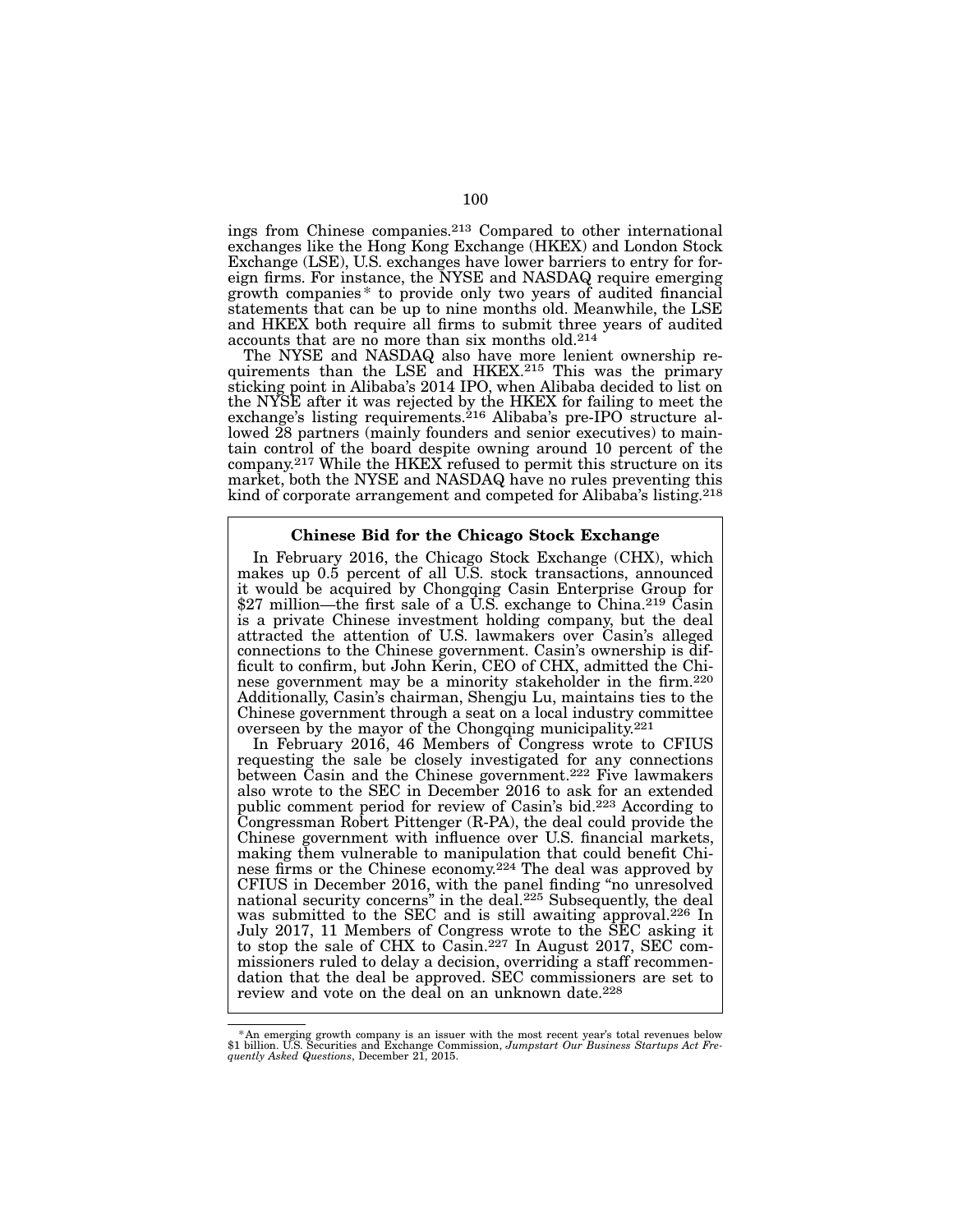ings from Chinese companies.213 Compared to other international exchanges like the Hong Kong Exchange (HKEX) and London Stock<br>Exchange (LSE), U.S. exchanges have lower barriers to entry for foreign firms. For instance, the NYSE and NASDAQ require emerging growth companies \* to provide only two years of audited financial statements that can be up to nine months old. Meanwhile, the LSE and HKEX both require all firms to submit three years of audited accounts that are no more than six months old.<sup>214</sup>

The NYSE and NASDAQ also have more lenient ownership requirements than the LSE and HKEX.<sup>215</sup> This was the primary sticking point in Alibaba's 2014 IPO, when Alibaba decided to list on the NYSE after it was rejected by the HKEX for failing to meet the exchange's listing requirements.<sup>216</sup> Alibaba's pre-IPO structure allowed 28 partners (mainly founders and senior executives) to maintain control of the board despite owning around 10 percent of the company.217 While the HKEX refused to permit this structure on its market, both the NYSE and NASDAQ have no rules preventing this kind of corporate arrangement and competed for Alibaba's listing.<sup>218</sup>

#### Chinese Bid for the Chicago Stock Exchange

In February 2016, the Chicago Stock Exchange (CHX), which makes up  $0.\overline{5}$  percent of all U.S. stock transactions, announced it would be acquired by Chongqing Casin Enterprise Group for \$27 million—the first sale of a  $\overline{U.S.}$  exchange to  $\overline{China}.^{219}$  Casin is a private Chinese investment holding company, but the deal attracted the attention of U.S. lawmakers over Casin's alleged connections to the Chinese government. Casin's ownership is difficult to confirm, but John Kerin, CEO of CHX, admitted the Chinese government may be a minority stakeholder in the firm.220 Additionally, Casin's chairman, Shengju Lu, maintains ties to the Chinese government through a seat on a local industry committee overseen by the mayor of the Chongqing municipality.221

In February 2016, 46 Members of Congress wrote to CFIUS requesting the sale be closely investigated for any connections between Casin and the Chinese government.222 Five lawmakers also wrote to the SEC in December 2016 to ask for an extended public comment period for review of Casin's bid.223 According to Congressman Robert Pittenger (R-PA), the deal could provide the Chinese government with influence over U.S. financial markets, making them vulnerable to manipulation that could benefit Chinese firms or the Chinese economy.224 The deal was approved by CFIUS in December 2016, with the panel finding "no unresolved national security concerns" in the deal.225 Subsequently, the deal was submitted to the SEC and is still awaiting approval.<sup>226</sup> In July 2017, 11 Members of Congress wrote to the SEC asking it to stop the sale of CHX to Casin.227 In August 2017, SEC commissioners ruled to delay a decision, overriding a staff recommendation that the deal be approved. SEC commissioners are set to review and vote on the deal on an unknown date.228

 $*$  An emerging growth company is an issuer with the most recent year's total revenues below \$1 billion. U.S. Securities and Exchange Commission, Jumpstart Our Business Startups Act Frequently Asked Questions, December 21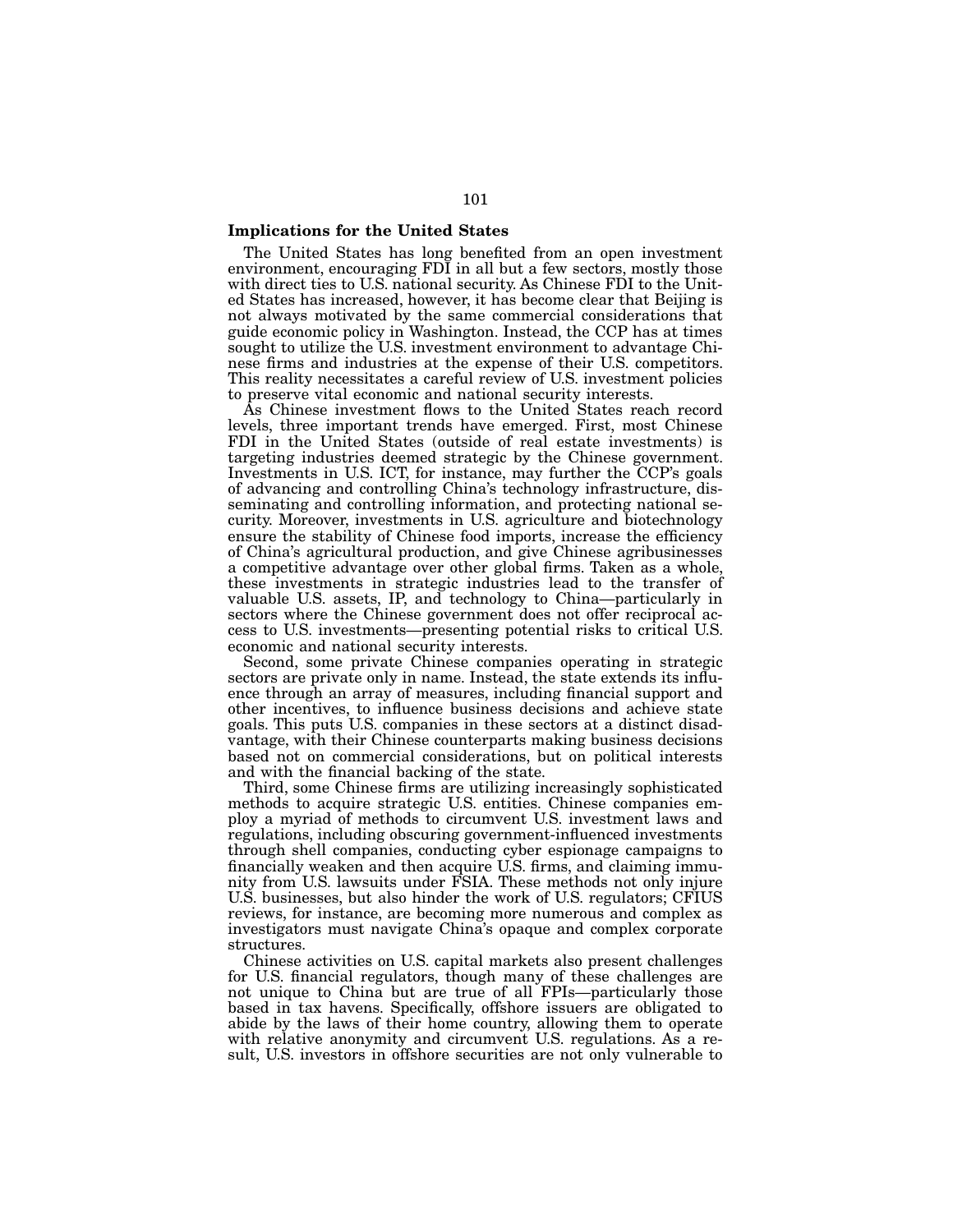#### Implications for the United States

The United States has long benefited from an open investment environment, encouraging FDI in all but a few sectors, mostly those with direct ties to U.S. national security. As Chinese FDI to the United States has increased, however, it has become clear that Beijing is not always motivated by the same commercial considerations that guide economic policy in Washington. Instead, the CCP has at times sought to utilize the U.S. investment environment to advantage Chinese firms and industries at the expense of their U.S. competitors. This reality necessitates a careful review of U.S. investment policies to preserve vital economic and national security interests.

As Chinese investment flows to the United States reach record levels, three important trends have emerged. First, most Chinese FDI in the United States (outside of real estate investments) is targeting industries deemed strategic by the Chinese government. Investments in U.S. ICT, for instance, may further the CCP's goals of advancing and controlling China's technology infrastructure, disseminating and controlling information, and protecting national security. Moreover, investments in U.S. agriculture and biotechnology ensure the stability of Chinese food imports, increase the efficiency of China's agricultural production, and give Chinese agribusinesses a competitive advantage over other global firms. Taken as a whole, these investments in strategic industries lead to the transfer of valuable U.S. assets, IP, and technology to China—particularly in sectors where the Chinese government does not offer reciprocal access to U.S. investments—presenting potential risks to critical U.S. economic and national security interests.

Second, some private Chinese companies operating in strategic sectors are private only in name. Instead, the state extends its influence through an array of measures, including financial support and other incentives, to influence business decisions and achieve state goals. This puts U.S. companies in these sectors at a distinct disadvantage, with their Chinese counterparts making business decisions based not on commercial considerations, but on political interests and with the financial backing of the state.

Third, some Chinese firms are utilizing increasingly sophisticated methods to acquire strategic U.S. entities. Chinese companies employ a myriad of methods to circumvent U.S. investment laws and regulations, including obscuring government-influenced investments through shell companies, conducting cyber espionage campaigns to financially weaken and then acquire U.S. firms, and claiming immunity from U.S. lawsuits under FSIA. These methods not only injure U.S. businesses, but also hinder the work of U.S. regulators; CFIUS reviews, for instance, are becoming more numerous and complex as investigators must navigate China's opaque and complex corporate structures.

Chinese activities on U.S. capital markets also present challenges for U.S. financial regulators, though many of these challenges are not unique to China but are true of all FPIs—particularly those based in tax havens. Specifically, offshore issuers are obligated to abide by the laws of their home country, allowing them to operate with relative anonymity and circumvent U.S. regulations. As a result, U.S. investors in offshore securities are not only vulnerable to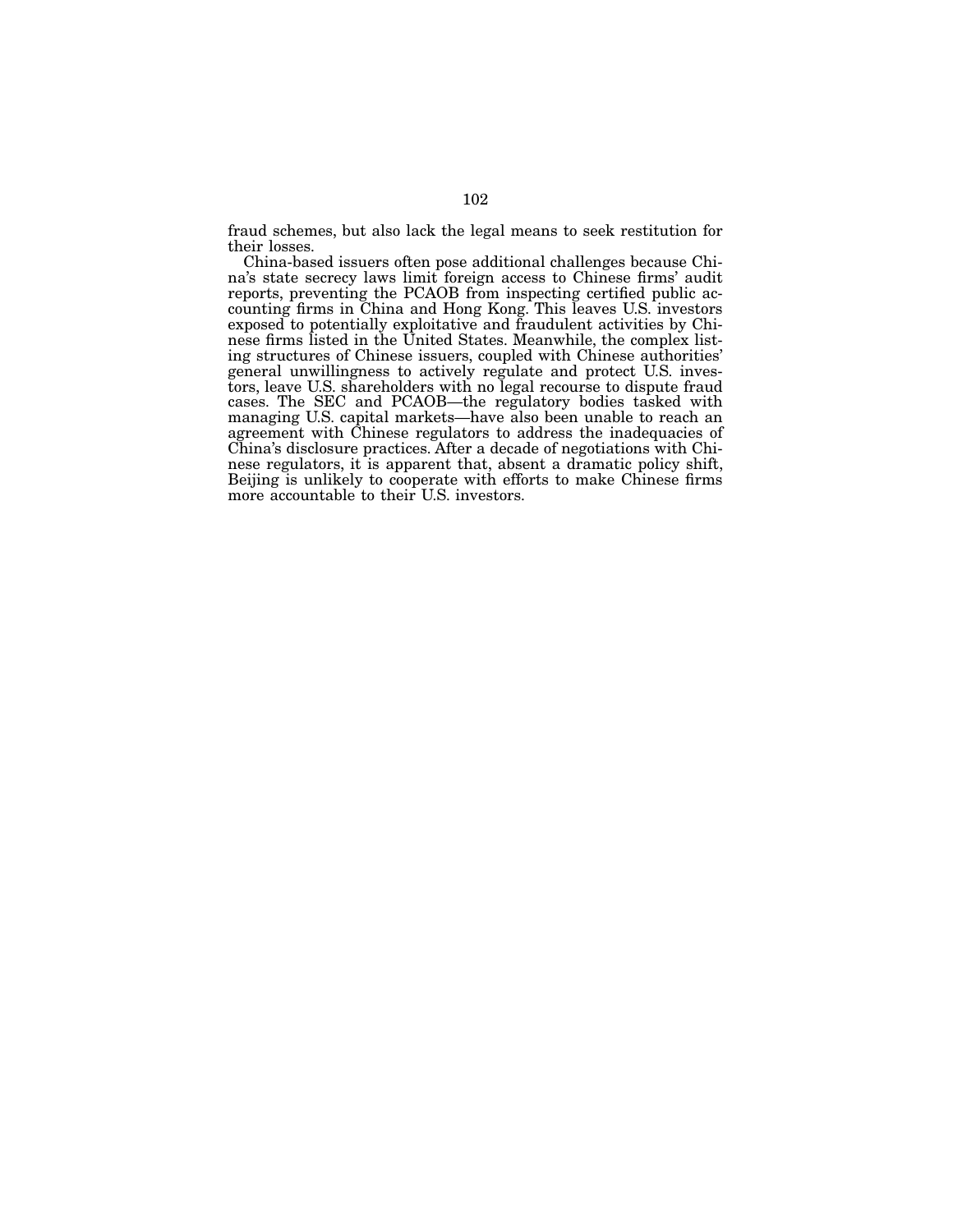fraud schemes, but also lack the legal means to seek restitution for their losses.

China-based issuers often pose additional challenges because Chi- na's state secrecy laws limit foreign access to Chinese firms' audit counting firms in China and Hong Kong. This leaves U.S. investors exposed to potentially exploitative and fraudulent activities by Chinese firms listed in the United States. Meanwhile, the complex listing structures of Chinese issuers, coupled with Chinese authorities' general unwillingn tors, leave U.S. shareholders with no legal recourse to dispute fraud cases. The SEC and PCAOB—the regulatory bodies tasked with managing U.S. capital markets—have also been unable to reach an agreement with Chinese regulators to address the inadequacies of China's disclosure practices. After a decade of negotiations with Chi- nese regulators, it is apparent that, absent a dramatic policy shift, Beijing is unlikely to cooperate with efforts to make Chinese firms more accountable to their U.S. investors.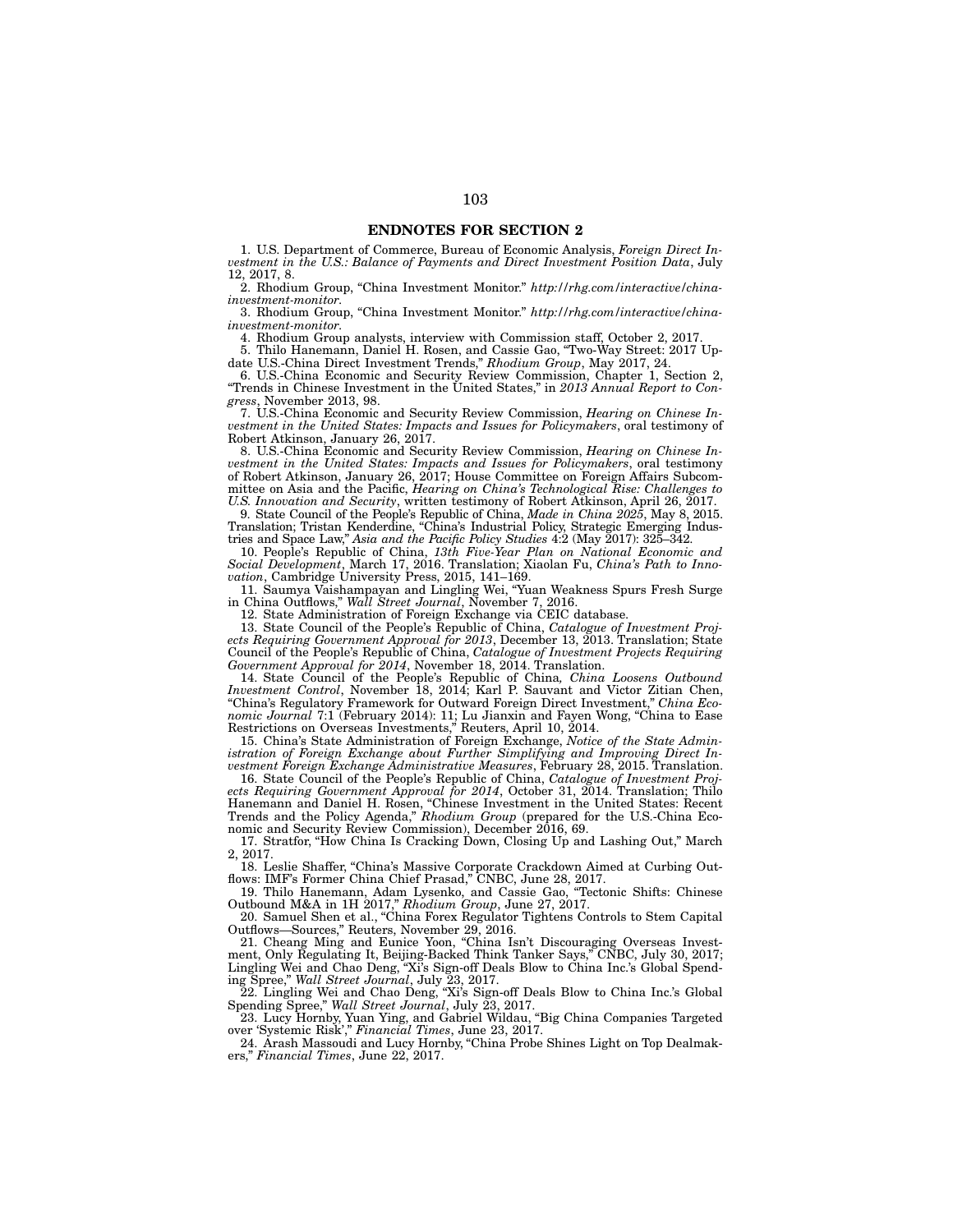#### ENDNOTES FOR SECTION 2

1. U.S. Department of Commerce, Bureau of Economic Analysis, *Foreign Direct Investment in the U.S.: Balance of Payments and Direct Investment Position Data*, July 12, 2017, 8.

2. Rhodium Group, "China Investment Monitor." *http://rhg.com/interactive/chinainvestment-monitor*.

3. Rhodium Group, "China Investment Monitor." *http://rhg.com/interactive/chinainvestment-monitor*.

4. Rhodium Group analysts, interview with Commission staff, October 2, 2017.

5. Thilo Hanemann, Daniel H. Rosen, and Cassie Gao, "Two-Way Street: 2017 Update U.S.-China Direct Investment Trends," *Rhodium Group*, May 2017, 24.

6. U.S.-China Economic and Security Review Commission, Chapter 1, Section 2, "Trends in Chinese Investment in the United States," in *2013 Annual Report to Congress*, November 2013, 98.

7. U.S.-China Economic and Security Review Commission, *Hearing on Chinese Investment in the United States: Impacts and Issues for Policymakers*, oral testimony of Robert Atkinson, January 26, 2017.

8. U.S.-China Economic and Security Review Commission, *Hearing on Chinese Investment in the United States: Impacts and Issues for Policymakers*, oral testimony of Robert Atkinson, January 26, 2017; House Committee on Foreign Affairs Subcommittee on Asia and the Pacific, *Hearing on China's Technological Rise: Challenges to U.S. Innovation and Security*, written testimony of Robert Atkinson, April 26, 2017.

9. State Council of the People's Republic of China, *Made in China 2025*, May 8, 2015. Translation; Tristan Kenderdine, "China's Industrial Policy, Strategic Emerging Industries and Space Law," *Asia and the Pacific Policy Studies* 4:2 (May 2017): 325–342.

10. People's Republic of China, *13th Five-Year Plan on National Economic and Social Development*, March 17, 2016. Translation; Xiaolan Fu, *China's Path to Innovation*, Cambridge University Press, 2015, 141–169.

11. Saumya Vaishampayan and Lingling Wei, "Yuan Weakness Spurs Fresh Surge in China Outflows," *Wall Street Journal*, November 7, 2016.

12. State Administration of Foreign Exchange via CEIC database.

13. State Council of the People's Republic of China, *Catalogue of Investment Projects Requiring Government Approval for 2013*, December 13, 2013. Translation; State Council of the People's Republic of China, *Catalogue of Investment Projects Requiring Government Approval for 2014*, November 18, 2014. Translation.

14. State Council of the People's Republic of China*, China Loosens Outbound Investment Control*, November 18, 2014; Karl P. Sauvant and Victor Zitian Chen, "China's Regulatory Framework for Outward Foreign Direct Investment," *China Economic Journal* 7:1 (February 2014): 11; Lu Jianxin and Fayen Wong, "China to Ease Restrictions on Overseas Investments," Reuters, April 10, 2014.

15. China's State Administration of Foreign Exchange, *Notice of the State Administration of Foreign Exchange about Further Simplifying and Improving Direct Investment Foreign Exchange Administrative Measures*, February 28, 2015. Translation.

16. State Council of the People's Republic of China, *Catalogue of Investment Projects Requiring Government Approval for 2014*, October 31, 2014. Translation; Thilo Hanemann and Daniel H. Rosen, "Chinese Investment in the United States: Recent Trends and the Policy Agenda," *Rhodium Group* (prepared for the U.S.-China Economic and Security Review Commission), December 2016, 69.

17. Stratfor, "How China Is Cracking Down, Closing Up and Lashing Out," March 2, 2017.

18. Leslie Shaffer, "China's Massive Corporate Crackdown Aimed at Curbing Outflows: IMF's Former China Chief Prasad," CNBC, June 28, 2017.

19. Thilo Hanemann, Adam Lysenko, and Cassie Gao, "Tectonic Shifts: Chinese Outbound M&A in 1H 2017," *Rhodium Group*, June 27, 2017.

20. Samuel Shen et al., "China Forex Regulator Tightens Controls to Stem Capital Outflows—Sources," Reuters, November 29, 2016.

21. Cheang Ming and Eunice Yoon, "China Isn't Discouraging Overseas Investment, Only Regulating It, Beijing-Backed Think Tanker Says," CNBC, July 30, 2017; Lingling Wei and Chao Deng, "Xi's Sign-off Deals Blow to China Inc.'s Global Spending Spree," *Wall Street Journal*, July 23, 2017.

22. Lingling Wei and Chao Deng, "Xi's Sign-off Deals Blow to China Inc.'s Global Spending Spree," *Wall Street Journal*, July 23, 2017.

23. Lucy Hornby, Yuan Ying, and Gabriel Wildau, "Big China Companies Targeted over 'Systemic Risk'," *Financial Times*, June 23, 2017.

24. Arash Massoudi and Lucy Hornby, "China Probe Shines Light on Top Dealmakers," *Financial Times*, June 22, 2017.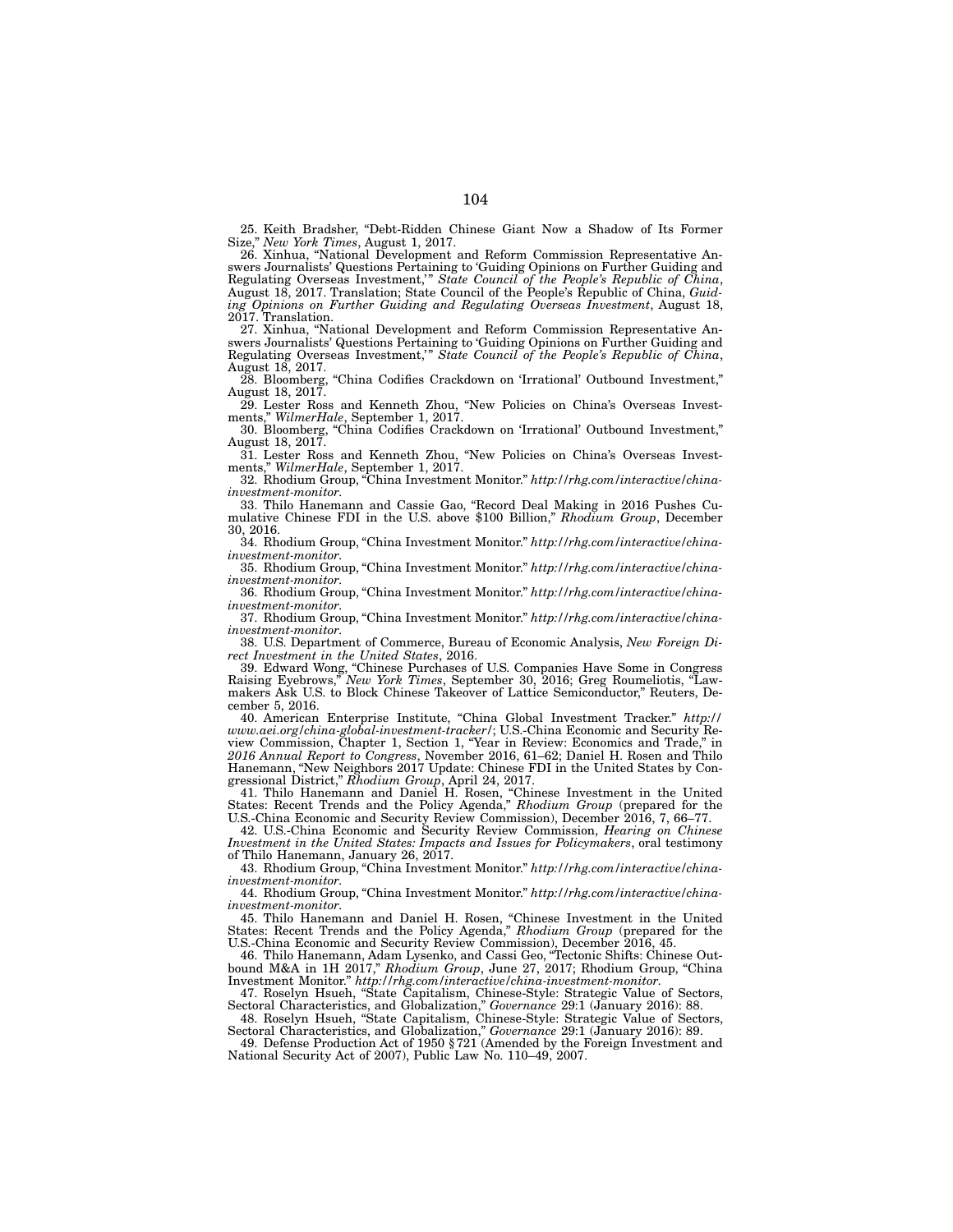25. Keith Bradsher, "Debt-Ridden Chinese Giant Now a Shadow of Its Former Size," *New York Times*, August 1, 2017.

26. Xinhua, "National Development and Reform Commission Representative Answers Journalists' Questions Pertaining to 'Guiding Opinions on Further Guiding and Regulating Overseas Investment,'" *State Council of the People's Republic of China*, August 18, 2017. Translation; State Council of the People's Republic of China, *Guiding Opinions on Further Guiding and Regulating Overseas Investment*, August 18, 2017. Translation.

27. Xinhua, "National Development and Reform Commission Representative Answers Journalists' Questions Pertaining to 'Guiding Opinions on Further Guiding and Regulating Overseas Investment,'" *State Council of the People's Republic of China*, August 18, 2017.

28. Bloomberg, "China Codifies Crackdown on 'Irrational' Outbound Investment," August 18, 2017.

29. Lester Ross and Kenneth Zhou, "New Policies on China's Overseas Investments," *WilmerHale*, September 1, 2017. 30. Bloomberg, "China Codifies Crackdown on 'Irrational' Outbound Investment,"

August 18, 2017. 31. Lester Ross and Kenneth Zhou, "New Policies on China's Overseas Invest-

ments," *WilmerHale*, September 1, 2017. 32. Rhodium Group, "China Investment Monitor." *http://rhg.com/interactive/china-*

*investment-monitor*.

33. Thilo Hanemann and Cassie Gao, "Record Deal Making in 2016 Pushes Cumulative Chinese FDI in the U.S. above \$100 Billion," *Rhodium Group*, December 30, 2016.

34. Rhodium Group, "China Investment Monitor." *http://rhg.com/interactive/chinainvestment-monitor*.

35. Rhodium Group, "China Investment Monitor." *http://rhg.com/interactive/chinainvestment-monitor*.

36. Rhodium Group, "China Investment Monitor." *http://rhg.com/interactive/chinainvestment-monitor*.

37. Rhodium Group, "China Investment Monitor." *http://rhg.com/interactive/chinainvestment-monitor*.

38. U.S. Department of Commerce, Bureau of Economic Analysis, *New Foreign Direct Investment in the United States*, 2016.

39. Edward Wong, "Chinese Purchases of U.S. Companies Have Some in Congress Raising Eyebrows," *New York Times*, September 30, 2016; Greg Roumeliotis, "Lawmakers Ask U.S. to Block Chinese Takeover of Lattice Semiconductor," Reuters, December 5, 2016.

40. American Enterprise Institute, "China Global Investment Tracker." *http:// www.aei.org/china-global-investment-tracker/*; U.S.-China Economic and Security Review Commission, Chapter 1, Section 1, "Year in Review: Economics and Trade," in *2016 Annual Report to Congress*, November 2016, 61–62; Daniel H. Rosen and Thilo Hanemann, "New Neighbors 2017 Update: Chinese FDI in the United States by Congressional District," *Rhodium Group*, April 24, 2017.

41. Thilo Hanemann and Daniel H. Rosen, "Chinese Investment in the United States: Recent Trends and the Policy Agenda," *Rhodium Group* (prepared for the U.S.-China Economic and Security Review Commission), December 2016, 7, 66–77.

42. U.S.-China Economic and Security Review Commission, *Hearing on Chinese Investment in the United States: Impacts and Issues for Policymakers*, oral testimony

of Thilo Hanemann, January 26, 2017. 43. Rhodium Group, "China Investment Monitor." *http://rhg.com/interactive/chinainvestment-monitor*.

44. Rhodium Group, "China Investment Monitor." *http://rhg.com/interactive/chinainvestment-monitor*.

45. Thilo Hanemann and Daniel H. Rosen, "Chinese Investment in the United States: Recent Trends and the Policy Agenda," *Rhodium Group* (prepared for the U.S.-China Economic and Security Review Commission), December 2016, 45.

46. Thilo Hanemann, Adam Lysenko, and Cassi Geo, "Tectonic Shifts: Chinese Outbound M&A in 1H 2017," *Rhodium Group*, June 27, 2017; Rhodium Group, "China Investment Monitor." *http://rhg.com/interactive/china-investment-monitor*.

47. Roselyn Hsueh, "State Capitalism, Chinese-Style: Strategic Value of Sectors, Sectoral Characteristics, and Globalization," *Governance* 29:1 (January 2016): 88.

48. Roselyn Hsueh, "State Capitalism, Chinese-Style: Strategic Value of Sectors, Sectoral Characteristics, and Globalization," *Governance* 29:1 (January 2016): 89.

49. Defense Production Act of 1950 §721 (Amended by the Foreign Investment and National Security Act of 2007), Public Law No. 110–49, 2007.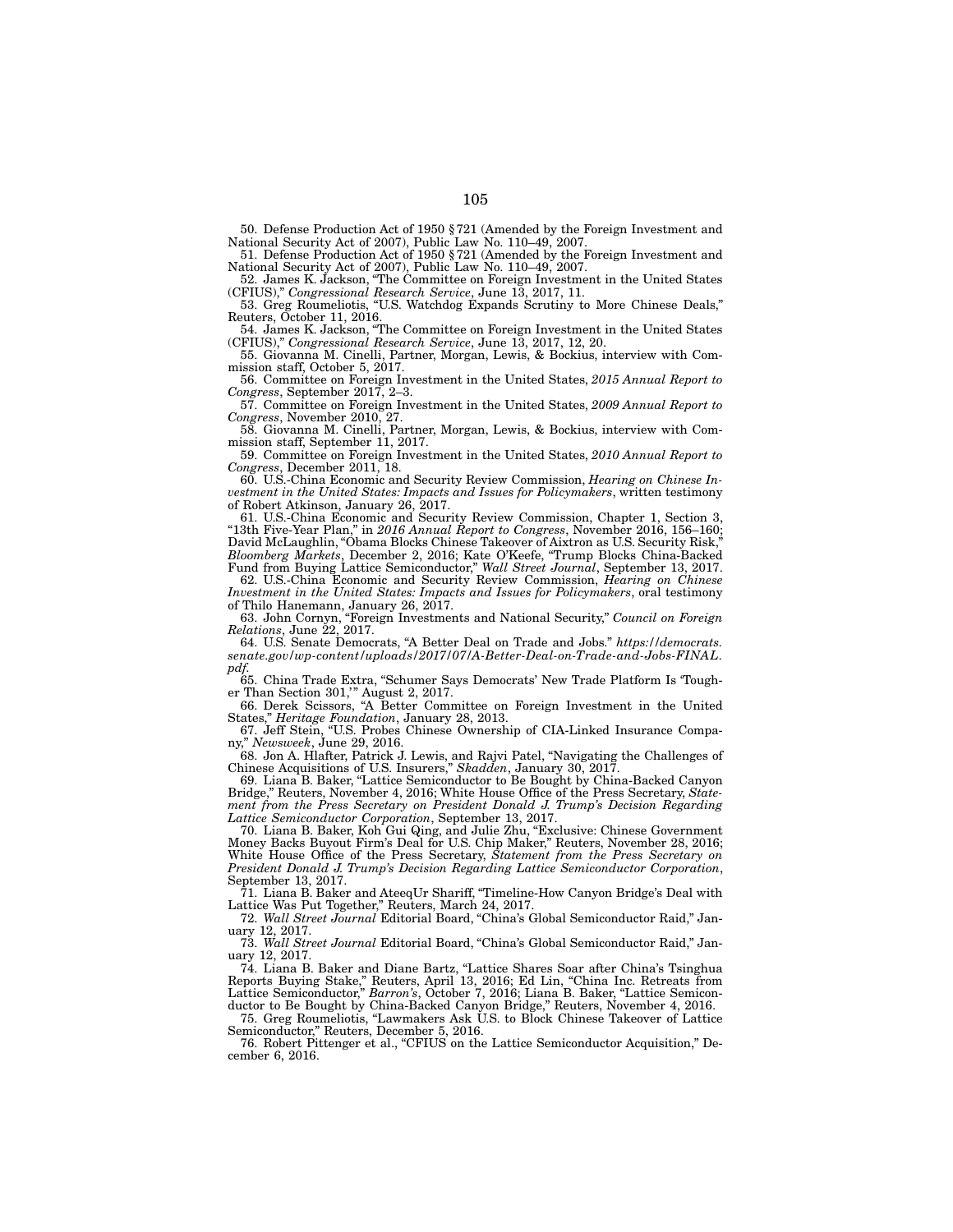50. Defense Production Act of 1950 §721 (Amended by the Foreign Investment and National Security Act of 2007), Public Law No. 110–49, 2007.

51. Defense Production Act of 1950 §721 (Amended by the Foreign Investment and National Security Act of 2007), Public Law No. 110–49, 2007.

52. James K. Jackson, "The Committee on Foreign Investment in the United States (CFIUS)," *Congressional Research Service*, June 13, 2017, 11. 53. Greg Roumeliotis, "U.S. Watchdog Expands Scrutiny to More Chinese Deals,"

Reuters, October 11, 2016. 54. James K. Jackson, "The Committee on Foreign Investment in the United States

(CFIUS)," *Congressional Research Service*, June 13, 2017, 12, 20.

55. Giovanna M. Cinelli, Partner, Morgan, Lewis, & Bockius, interview with Commission staff, October 5, 2017.

56. Committee on Foreign Investment in the United States, *2015 Annual Report to Congress*, September 2017, 2–3.

57. Committee on Foreign Investment in the United States, *2009 Annual Report to Congress*, November 2010, 27. 58. Giovanna M. Cinelli, Partner, Morgan, Lewis, & Bockius, interview with Com-

mission staff, September 11, 2017.

59. Committee on Foreign Investment in the United States, *2010 Annual Report to Congress*, December 2011, 18.

60. U.S.-China Economic and Security Review Commission, *Hearing on Chinese Investment in the United States: Impacts and Issues for Policymakers*, written testimony of Robert Atkinson, January 26, 2017.

61. U.S.-China Economic and Security Review Commission, Chapter 1, Section 3, "13th Five-Year Plan," in *2016 Annual Report to Congress*, November 2016, 156–160; David McLaughlin, "Obama Blocks Chinese Takeover of Aixtron as U.S. Security Risk," *Bloomberg Markets*, December 2, 2016; Kate O'Keefe, "Trump Blocks China-Backed Fund from Buying Lattice Semiconductor," *Wall Street Journal*, September 13, 2017.

62. U.S.-China Economic and Security Review Commission, *Hearing on Chinese Investment in the United States: Impacts and Issues for Policymakers*, oral testimony of Thilo Hanemann, January 26, 2017.

63. John Cornyn, "Foreign Investments and National Security," *Council on Foreign Relations*, June 22, 2017.

64. U.S. Senate Democrats, "A Better Deal on Trade and Jobs." *https://democrats. senate.gov/wp-content/uploads/2017/07/A-Better-Deal-on-Trade-and-Jobs-FINAL. pdf*.

65. China Trade Extra, "Schumer Says Democrats' New Trade Platform Is 'Tougher Than Section 301,'" August 2, 2017.

66. Derek Scissors, "A Better Committee on Foreign Investment in the United States," *Heritage Foundation*, January 28, 2013.

67. Jeff Stein, "U.S. Probes Chinese Ownership of CIA-Linked Insurance Company," *Newsweek*, June 29, 2016.

68. Jon A. Hlafter, Patrick J. Lewis, and Rajvi Patel, "Navigating the Challenges of Chinese Acquisitions of U.S. Insurers," *Skadden*, January 30, 2017.

69. Liana B. Baker, "Lattice Semiconductor to Be Bought by China-Backed Canyon Bridge," Reuters, November 4, 2016; White House Office of the Press Secretary, *Statement from the Press Secretary on President Donald J. Trump's Decision Regarding Lattice Semiconductor Corporation*, September 13, 2017.

70. Liana B. Baker, Koh Gui Qing, and Julie Zhu, "Exclusive: Chinese Government Money Backs Buyout Firm's Deal for U.S. Chip Maker," Reuters, November 28, 2016; White House Office of the Press Secretary, *Statement from the Press Secretary on President Donald J. Trump's Decision Regarding Lattice Semiconductor Corporation*, September 13, 2017.

71. Liana B. Baker and AteeqUr Shariff, "Timeline-How Canyon Bridge's Deal with Lattice Was Put Together," Reuters, March 24, 2017.

72. *Wall Street Journal* Editorial Board, "China's Global Semiconductor Raid," January 12, 2017.

73. *Wall Street Journal* Editorial Board, "China's Global Semiconductor Raid," January 12, 2017.

74. Liana B. Baker and Diane Bartz, "Lattice Shares Soar after China's Tsinghua Reports Buying Stake," Reuters, April 13, 2016; Ed Lin, "China Inc. Retreats from Lattice Semiconductor," *Barron's*, October 7, 2016; Liana B. Baker, "Lattice Semiconductor to Be Bought by China-Backed Canyon Bridge," Reuters, November 4, 2016.

75. Greg Roumeliotis, "Lawmakers Ask U.S. to Block Chinese Takeover of Lattice Semiconductor," Reuters, December 5, 2016.

76. Robert Pittenger et al., "CFIUS on the Lattice Semiconductor Acquisition," December 6, 2016.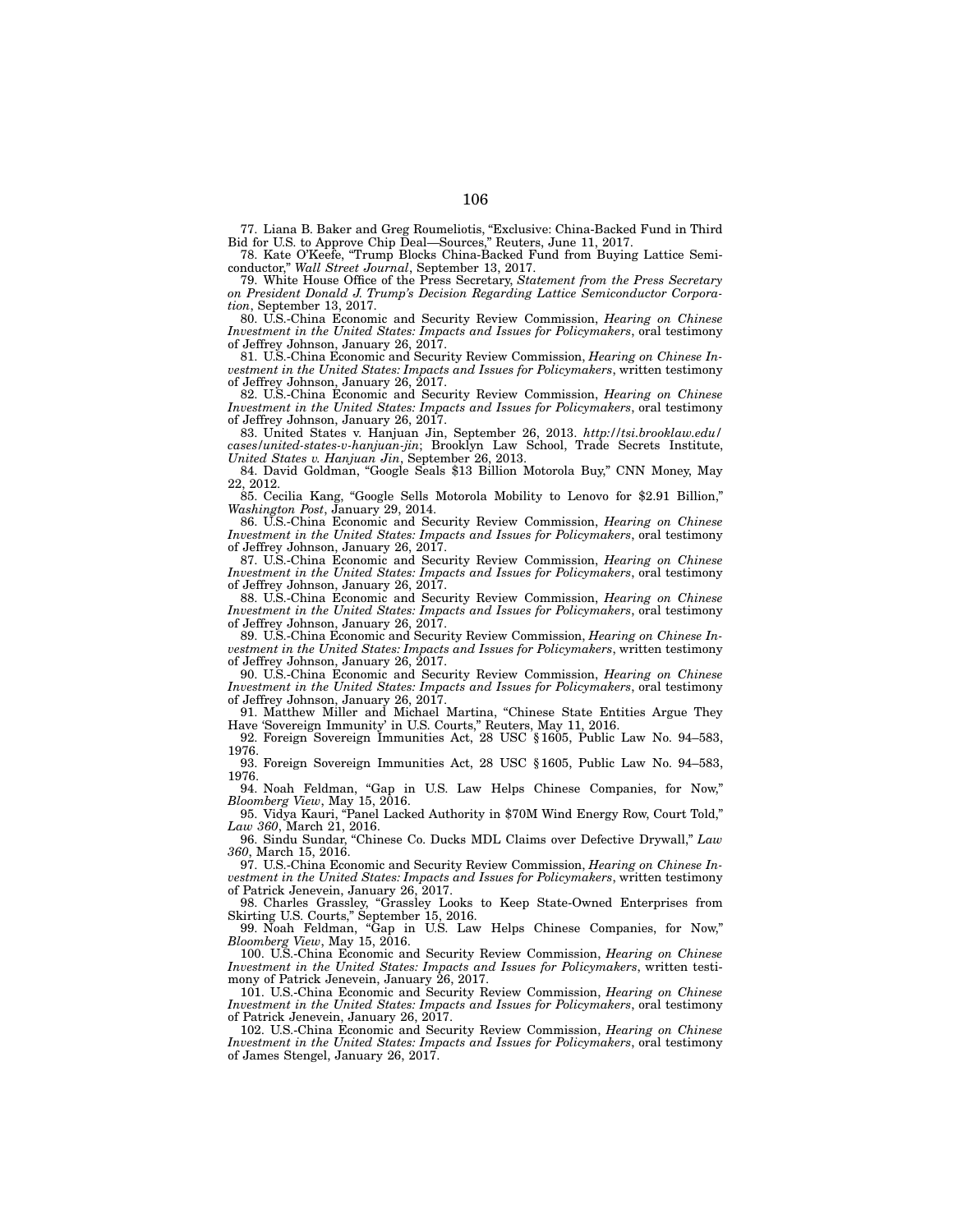77. Liana B. Baker and Greg Roumeliotis, "Exclusive: China-Backed Fund in Third Bid for U.S. to Approve Chip Deal—Sources," Reuters, June 11, 2017.

78. Kate O'Keefe, "Trump Blocks China-Backed Fund from Buying Lattice Semiconductor," *Wall Street Journal*, September 13, 2017.

79. White House Office of the Press Secretary, *Statement from the Press Secretary on President Donald J. Trump's Decision Regarding Lattice Semiconductor Corporation*, September 13, 2017.

80. U.S.-China Economic and Security Review Commission, *Hearing on Chinese Investment in the United States: Impacts and Issues for Policymakers*, oral testimony of Jeffrey Johnson, January 26, 2017.

81. U.S.-China Economic and Security Review Commission, *Hearing on Chinese Investment in the United States: Impacts and Issues for Policymakers*, written testimony of Jeffrey Johnson, January 26, 2017.

82. U.S.-China Economic and Security Review Commission, *Hearing on Chinese Investment in the United States: Impacts and Issues for Policymakers*, oral testimony of Jeffrey Johnson, January 26, 2017.

83. United States v. Hanjuan Jin, September 26, 2013. *http://tsi.brooklaw.edu/ cases/united-states-v-hanjuan-jin*; Brooklyn Law School, Trade Secrets Institute, *United States v. Hanjuan Jin*, September 26, 2013.

84. David Goldman, "Google Seals \$13 Billion Motorola Buy," CNN Money, May 22, 2012.

85. Cecilia Kang, "Google Sells Motorola Mobility to Lenovo for \$2.91 Billion," *Washington Post*, January 29, 2014.

86. U.S.-China Economic and Security Review Commission, *Hearing on Chinese Investment in the United States: Impacts and Issues for Policymakers*, oral testimony of Jeffrey Johnson, January 26, 2017.

87. U.S.-China Economic and Security Review Commission, *Hearing on Chinese Investment in the United States: Impacts and Issues for Policymakers*, oral testimony of Jeffrey Johnson, January 26, 2017.

88. U.S.-China Economic and Security Review Commission, *Hearing on Chinese Investment in the United States: Impacts and Issues for Policymakers*, oral testimony of Jeffrey Johnson, January 26, 2017.

89. U.S.-China Economic and Security Review Commission, *Hearing on Chinese Investment in the United States: Impacts and Issues for Policymakers*, written testimony of Jeffrey Johnson, January 26, 2017.

90. U.S.-China Economic and Security Review Commission, *Hearing on Chinese Investment in the United States: Impacts and Issues for Policymakers*, oral testimony of Jeffrey Johnson, January 26, 2017.

91. Matthew Miller and Michael Martina, "Chinese State Entities Argue They Have 'Sovereign Immunity' in U.S. Courts," Reuters, May 11, 2016.

92. Foreign Sovereign Immunities Act, 28 USC §1605, Public Law No. 94–583, 1976.

93. Foreign Sovereign Immunities Act, 28 USC §1605, Public Law No. 94–583, 1976.

94. Noah Feldman, "Gap in U.S. Law Helps Chinese Companies, for Now," *Bloomberg View*, May 15, 2016.

95. Vidya Kauri, "Panel Lacked Authority in \$70M Wind Energy Row, Court Told," *Law 360*, March 21, 2016.

96. Sindu Sundar, "Chinese Co. Ducks MDL Claims over Defective Drywall," *Law 360*, March 15, 2016.

97. U.S.-China Economic and Security Review Commission, *Hearing on Chinese Investment in the United States: Impacts and Issues for Policymakers*, written testimony of Patrick Jenevein, January 26, 2017.

98. Charles Grassley, "Grassley Looks to Keep State-Owned Enterprises from Skirting U.S. Courts," September 15, 2016.

99. Noah Feldman, "Gap in U.S. Law Helps Chinese Companies, for Now," *Bloomberg View*, May 15, 2016.

100. U.S.-China Economic and Security Review Commission, *Hearing on Chinese Investment in the United States: Impacts and Issues for Policymakers*, written testimony of Patrick Jenevein, January 26, 2017.

101. U.S.-China Economic and Security Review Commission, *Hearing on Chinese Investment in the United States: Impacts and Issues for Policymakers*, oral testimony of Patrick Jenevein, January 26, 2017.

102. U.S.-China Economic and Security Review Commission, *Hearing on Chinese Investment in the United States: Impacts and Issues for Policymakers*, oral testimony of James Stengel, January 26, 2017.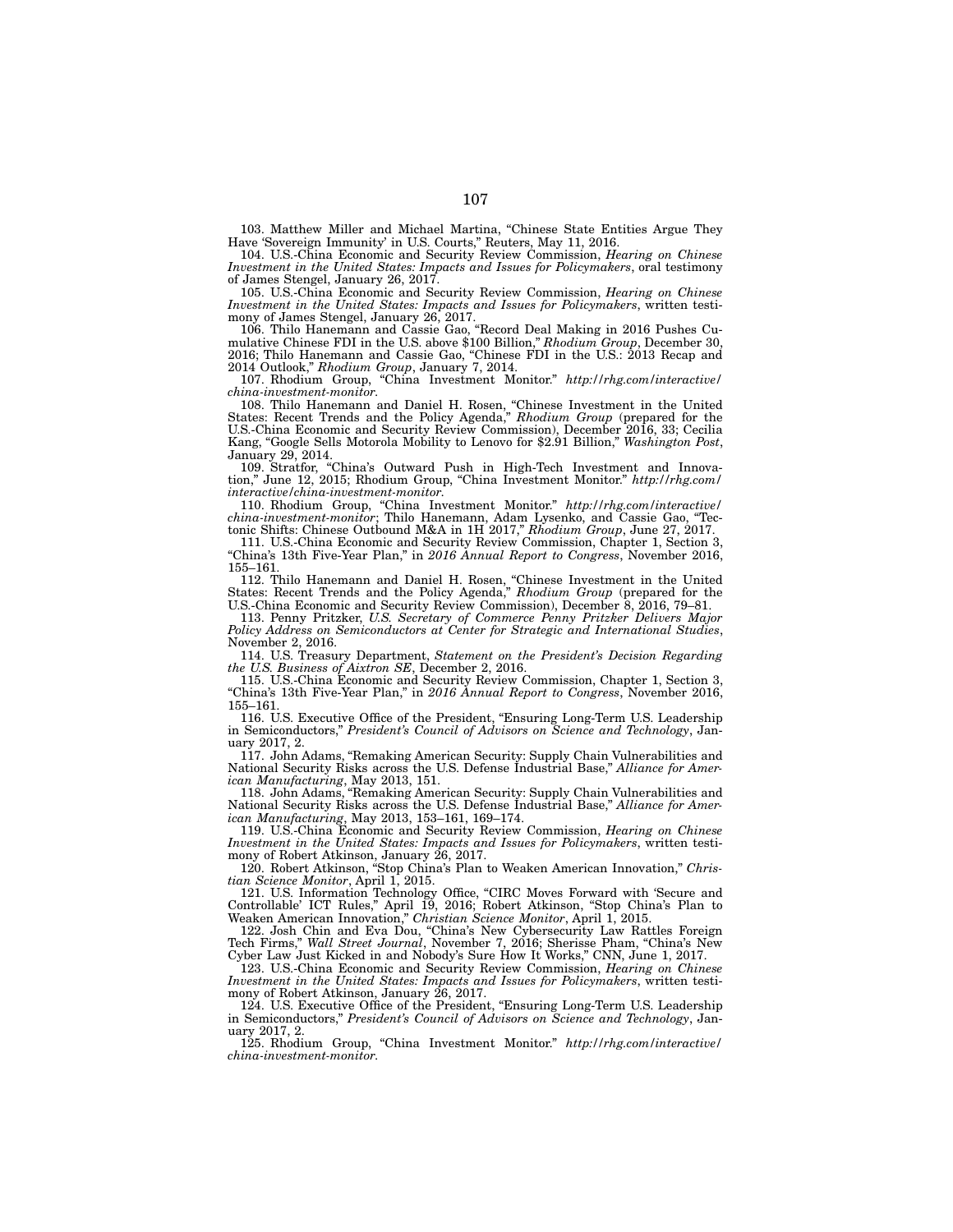103. Matthew Miller and Michael Martina, "Chinese State Entities Argue They Have 'Sovereign Immunity' in U.S. Courts," Reuters, May 11, 2016.

104. U.S.-China Economic and Security Review Commission, *Hearing on Chinese Investment in the United States: Impacts and Issues for Policymakers*, oral testimony of James Stengel, January 26, 2017.

105. U.S.-China Economic and Security Review Commission, *Hearing on Chinese Investment in the United States: Impacts and Issues for Policymakers*, written testimony of James Stengel, January 26, 2017.

106. Thilo Hanemann and Cassie Gao, "Record Deal Making in 2016 Pushes Cumulative Chinese FDI in the U.S. above \$100 Billion," *Rhodium Group*, December 30, 2016; Thilo Hanemann and Cassie Gao, "Chinese FDI in the U.S.: 2013 Recap and 2014 Outlook," *Rhodium Group*, January 7, 2014.

107. Rhodium Group, "China Investment Monitor." *http://rhg.com/interactive/ china-investment-monitor*.

108. Thilo Hanemann and Daniel H. Rosen, "Chinese Investment in the United States: Recent Trends and the Policy Agenda," *Rhodium Group* (prepared for the U.S.-China Economic and Security Review Commission), December 2016, 33; Cecilia Kang, "Google Sells Motorola Mobility to Lenovo for \$2.91 Billion," *Washington Post*, January 29, 2014.

109. Stratfor, "China's Outward Push in High-Tech Investment and Innova-109. Stratfor, "China's Outward Push in High-Tech Investment and Innovation," June 12, 2015; Rhodium Group, "China Investment Monitor." *http://rhg.com/ interactive/china-investment-monitor*.

110. Rhodium Group, "China Investment Monitor." *http://rhg.com/interactive/ china-investment-monitor*; Thilo Hanemann, Adam Lysenko, and Cassie Gao, "Tectonic Shifts: Chinese Outbound M&A in 1H 2017," *Rhodium Group*, June 27, 2017.

111. U.S.-China Economic and Security Review Commission, Chapter 1, Section 3, "China's 13th Five-Year Plan," in *2016 Annual Report to Congress*, November 2016, 155–161.

112. Thilo Hanemann and Daniel H. Rosen, "Chinese Investment in the United States: Recent Trends and the Policy Agenda," *Rhodium Group* (prepared for the U.S.-China Economic and Security Review Commission), December 8, 2016, 79–81.

113. Penny Pritzker, *U.S. Secretary of Commerce Penny Pritzker Delivers Major Policy Address on Semiconductors at Center for Strategic and International Studies*, November 2, 2016.

114. U.S. Treasury Department, *Statement on the President's Decision Regarding the U.S. Business of Aixtron SE*, December 2, 2016.

115. U.S.-China Economic and Security Review Commission, Chapter 1, Section 3, "China's 13th Five-Year Plan," in *2016 Annual Report to Congress*, November 2016, 155–161.

116. U.S. Executive Office of the President, "Ensuring Long-Term U.S. Leadership in Semiconductors," *President's Council of Advisors on Science and Technology*, January 2017, 2.

117. John Adams, "Remaking American Security: Supply Chain Vulnerabilities and National Security Risks across the U.S. Defense Industrial Base," *Alliance for American Manufacturing*, May 2013, 151.

118. John Adams, "Remaking American Security: Supply Chain Vulnerabilities and National Security Risks across the U.S. Defense Industrial Base," *Alliance for American Manufacturing*, May 2013, 153–161, 169–174.

119. U.S.-China Economic and Security Review Commission, *Hearing on Chinese Investment in the United States: Impacts and Issues for Policymakers*, written testimony of Robert Atkinson, January 26, 2017.

120. Robert Atkinson, "Stop China's Plan to Weaken American Innovation," *Christian Science Monitor*, April 1, 2015.

121. U.S. Information Technology Office, "CIRC Moves Forward with 'Secure and Controllable' ICT Rules," April 19, 2016; Robert Atkinson, "Stop China's Plan to Weaken American Innovation," *Christian Science Monitor*, April 1, 2015.

122. Josh Chin and Eva Dou, "China's New Cybersecurity Law Rattles Foreign Tech Firms," *Wall Street Journal*, November 7, 2016; Sherisse Pham, "China's New Cyber Law Just Kicked in and Nobody's Sure How It Works," CNN, June 1, 2017.

123. U.S.-China Economic and Security Review Commission, *Hearing on Chinese Investment in the United States: Impacts and Issues for Policymakers*, written testimony of Robert Atkinson, January 26, 2017.

124. U.S. Executive Office of the President, "Ensuring Long-Term U.S. Leadership in Semiconductors," *President's Council of Advisors on Science and Technology*, January 2017, 2.

125. Rhodium Group, "China Investment Monitor." *http://rhg.com/interactive/ china-investment-monitor*.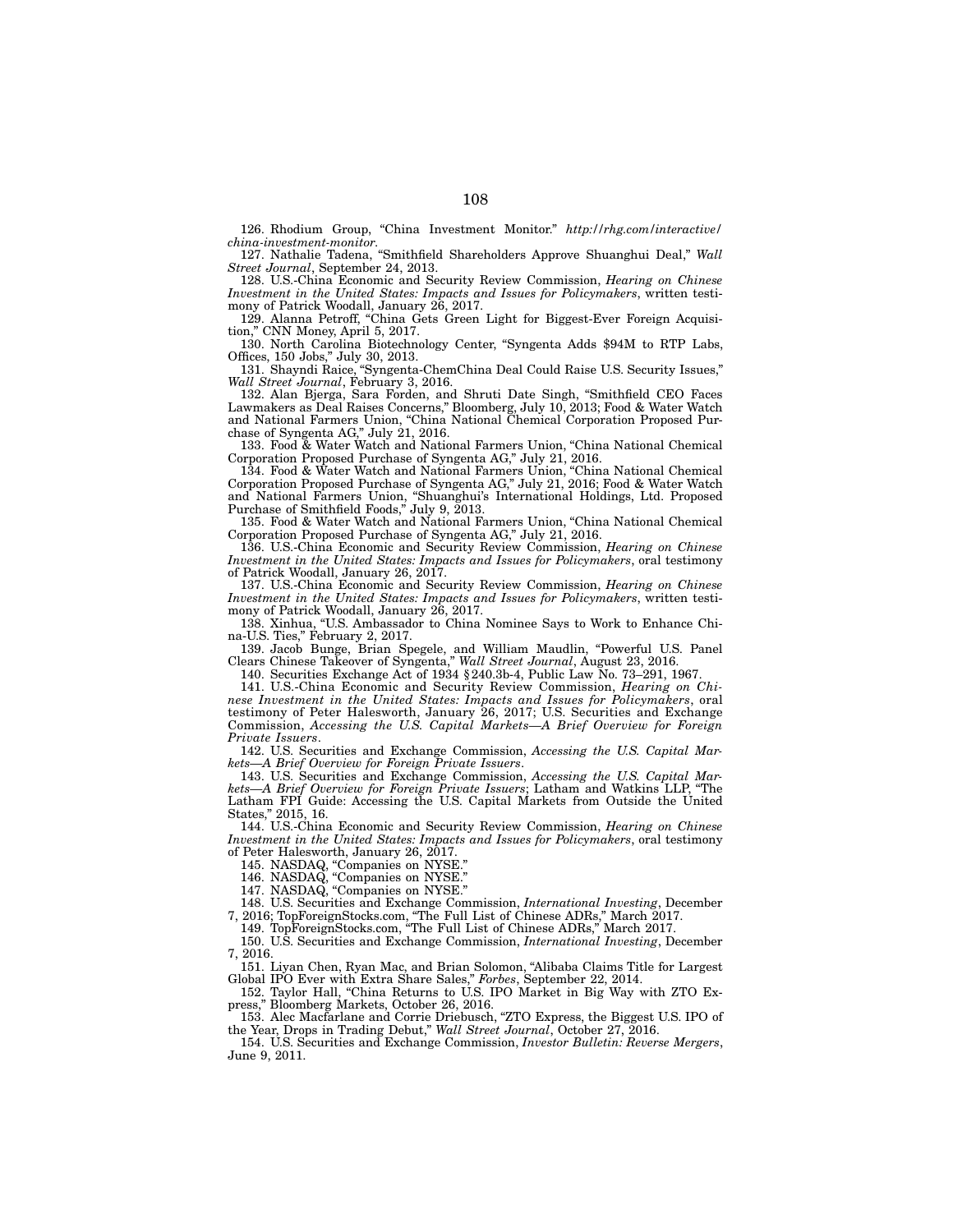126. Rhodium Group, "China Investment Monitor." *http://rhg.com/interactive/ china-investment-monitor*.

127. Nathalie Tadena, "Smithfield Shareholders Approve Shuanghui Deal," *Wall Street Journal*, September 24, 2013.

128. U.S.-China Economic and Security Review Commission, *Hearing on Chinese Investment in the United States: Impacts and Issues for Policymakers*, written testimony of Patrick Woodall, January 26, 2017.

129. Alanna Petroff, "China Gets Green Light for Biggest-Ever Foreign Acquisition," CNN Money, April 5, 2017.

130. North Carolina Biotechnology Center, "Syngenta Adds \$94M to RTP Labs, Offices, 150 Jobs," July 30, 2013.

131. Shayndi Raice, "Syngenta-ChemChina Deal Could Raise U.S. Security Issues," *Wall Street Journal*, February 3, 2016.

132. Alan Bjerga, Sara Forden, and Shruti Date Singh, "Smithfield CEO Faces Lawmakers as Deal Raises Concerns," Bloomberg, July 10, 2013; Food & Water Watch and National Farmers Union, "China National Chemical Corporation Proposed Purchase of Syngenta AG," July 21, 2016.

133. Food & Water Watch and National Farmers Union, "China National Chemical Corporation Proposed Purchase of Syngenta AG," July 21, 2016.

134. Food & Water Watch and National Farmers Union, "China National Chemical Corporation Proposed Purchase of Syngenta AG," July 21, 2016; Food & Water Watch and National Farmers Union, "Shuanghui's International Holdings, Ltd. Proposed Purchase of Smithfield Foods," July 9, 2013.

135. Food & Water Watch and National Farmers Union, "China National Chemical Corporation Proposed Purchase of Syngenta AG," July 21, 2016.

136. U.S.-China Economic and Security Review Commission, *Hearing on Chinese Investment in the United States: Impacts and Issues for Policymakers*, oral testimony of Patrick Woodall, January 26, 2017.

137. U.S.-China Economic and Security Review Commission, *Hearing on Chinese Investment in the United States: Impacts and Issues for Policymakers*, written testimony of Patrick Woodall, January 26, 2017.

138. Xinhua, "U.S. Ambassador to China Nominee Says to Work to Enhance China-U.S. Ties," February 2, 2017.

139. Jacob Bunge, Brian Spegele, and William Maudlin, "Powerful U.S. Panel Clears Chinese Takeover of Syngenta," *Wall Street Journal*, August 23, 2016.

140. Securities Exchange Act of 1934 §240.3b-4, Public Law No. 73–291, 1967.

141. U.S.-China Economic and Security Review Commission, *Hearing on Chinese Investment in the United States: Impacts and Issues for Policymakers*, oral testimony of Peter Halesworth, January 26, 2017; U.S. Securities and Exchange Commission, *Accessing the U.S. Capital Markets—A Brief Overview for Foreign Private Issuers*.

142. U.S. Securities and Exchange Commission, *Accessing the U.S. Capital Markets—A Brief Overview for Foreign Private Issuers*.

143. U.S. Securities and Exchange Commission, *Accessing the U.S. Capital Markets—A Brief Overview for Foreign Private Issuers*; Latham and Watkins LLP, "The Latham FPI Guide: Accessing the U.S. Capital Markets from Outside the United States," 2015, 16.

144. U.S.-China Economic and Security Review Commission, *Hearing on Chinese Investment in the United States: Impacts and Issues for Policymakers*, oral testimony of Peter Halesworth, January 26, 2017.

145. NASDAQ, "Companies on NYSE."

146. NASDAQ, "Companies on NYSE."

147. NASDAQ, "Companies on NYSE."

148. U.S. Securities and Exchange Commission, *International Investing*, December 7, 2016; TopForeignStocks.com, "The Full List of Chinese ADRs," March 2017.

149. TopForeignStocks.com, "The Full List of Chinese ADRs," March 2017.

150. U.S. Securities and Exchange Commission, *International Investing*, December 7, 2016.

151. Liyan Chen, Ryan Mac, and Brian Solomon, "Alibaba Claims Title for Largest Global IPO Ever with Extra Share Sales," *Forbes*, September 22, 2014.

152. Taylor Hall, "China Returns to U.S. IPO Market in Big Way with ZTO Express," Bloomberg Markets, October 26, 2016.

153. Alec Macfarlane and Corrie Driebusch, "ZTO Express, the Biggest U.S. IPO of the Year, Drops in Trading Debut," *Wall Street Journal*, October 27, 2016.

154. U.S. Securities and Exchange Commission, *Investor Bulletin: Reverse Mergers*, June 9, 2011.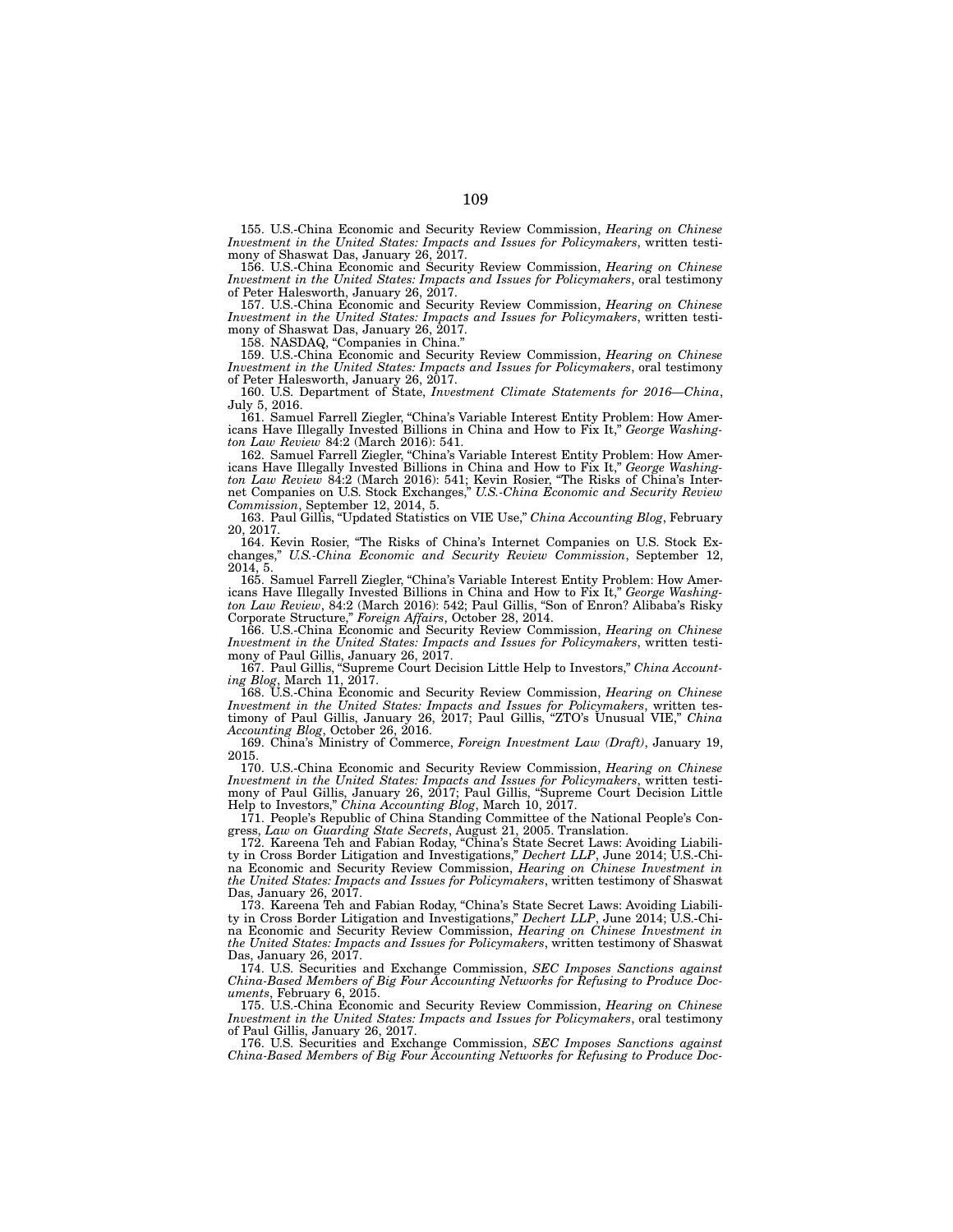155. U.S.-China Economic and Security Review Commission, *Hearing on Chinese Investment in the United States: Impacts and Issues for Policymakers*, written testimony of Shaswat Das, January 26, 2017.

156. U.S.-China Economic and Security Review Commission, *Hearing on Chinese Investment in the United States: Impacts and Issues for Policymakers*, oral testimony of Peter Halesworth, January 26, 2017.

157. U.S.-China Economic and Security Review Commission, *Hearing on Chinese Investment in the United States: Impacts and Issues for Policymakers*, written testimony of Shaswat Das, January 26, 2017.

158. NASDAQ, "Companies in China."

159. U.S.-China Economic and Security Review Commission, *Hearing on Chinese Investment in the United States: Impacts and Issues for Policymakers*, oral testimony of Peter Halesworth, January 26, 2017.

160. U.S. Department of State, *Investment Climate Statements for 2016—China*, July 5, 2016.

161. Samuel Farrell Ziegler, "China's Variable Interest Entity Problem: How Americans Have Illegally Invested Billions in China and How to Fix It," *George Washington Law Review* 84:2 (March 2016): 541.

162. Samuel Farrell Ziegler, "China's Variable Interest Entity Problem: How Americans Have Illegally Invested Billions in China and How to Fix It," *George Washington Law Review* 84:2 (March 2016): 541; Kevin Rosier, "The Risks of China's Internet Companies on U.S. Stock Exchanges," *U.S.-China Economic and Security Review Commission*, September 12, 2014, 5.

163. Paul Gillis, "Updated Statistics on VIE Use," *China Accounting Blog*, February 20, 2017.

164. Kevin Rosier, "The Risks of China's Internet Companies on U.S. Stock Exchanges," *U.S.-China Economic and Security Review Commission*, September 12,  $2014, 5.$ 

165. Samuel Farrell Ziegler, "China's Variable Interest Entity Problem: How Americans Have Illegally Invested Billions in China and How to Fix It," *George Washington Law Review*, 84:2 (March 2016): 542; Paul Gillis, "Son of Enron? Alibaba's Risky Corporate Structure," *Foreign Affairs*, October 28, 2014.

166. U.S.-China Economic and Security Review Commission, *Hearing on Chinese Investment in the United States: Impacts and Issues for Policymakers*, written testimony of Paul Gillis, January 26, 2017.

167. Paul Gillis, "Supreme Court Decision Little Help to Investors," *China Accounting Blog*, March 11, 2017.

168. U.S.-China Economic and Security Review Commission, *Hearing on Chinese Investment in the United States: Impacts and Issues for Policymakers*, written testimony of Paul Gillis, January 26, 2017; Paul Gillis, "ZTO's Unusual VIE," *China Accounting Blog*, October 26, 2016.

169. China's Ministry of Commerce, *Foreign Investment Law (Draft)*, January 19, 2015.

170. U.S.-China Economic and Security Review Commission, *Hearing on Chinese Investment in the United States: Impacts and Issues for Policymakers*, written testimony of Paul Gillis, January 26, 2017; Paul Gillis, "Supreme Court Decision Little Help to Investors," *China Accounting Blog*, March 10, 2017.

171. People's Republic of China Standing Committee of the National People's Congress, *Law on Guarding State Secrets*, August 21, 2005. Translation.

172. Kareena Teh and Fabian Roday, "China's State Secret Laws: Avoiding Liability in Cross Border Litigation and Investigations," *Dechert LLP*, June 2014; U.S.-China Economic and Security Review Commission, *Hearing on Chinese Investment in the United States: Impacts and Issues for Policymakers*, written testimony of Shaswat Das, January 26, 2017.

173. Kareena Teh and Fabian Roday, "China's State Secret Laws: Avoiding Liability in Cross Border Litigation and Investigations," *Dechert LLP*, June 2014; U.S.-China Economic and Security Review Commission, *Hearing on Chinese Investment in the United States: Impacts and Issues for Policymakers*, written testimony of Shaswat Das, January 26, 2017.

174. U.S. Securities and Exchange Commission, *SEC Imposes Sanctions against China-Based Members of Big Four Accounting Networks for Refusing to Produce Documents*, February 6, 2015.

175. U.S.-China Economic and Security Review Commission, *Hearing on Chinese Investment in the United States: Impacts and Issues for Policymakers*, oral testimony of Paul Gillis, January 26, 2017.

176. U.S. Securities and Exchange Commission, *SEC Imposes Sanctions against China-Based Members of Big Four Accounting Networks for Refusing to Produce Doc-*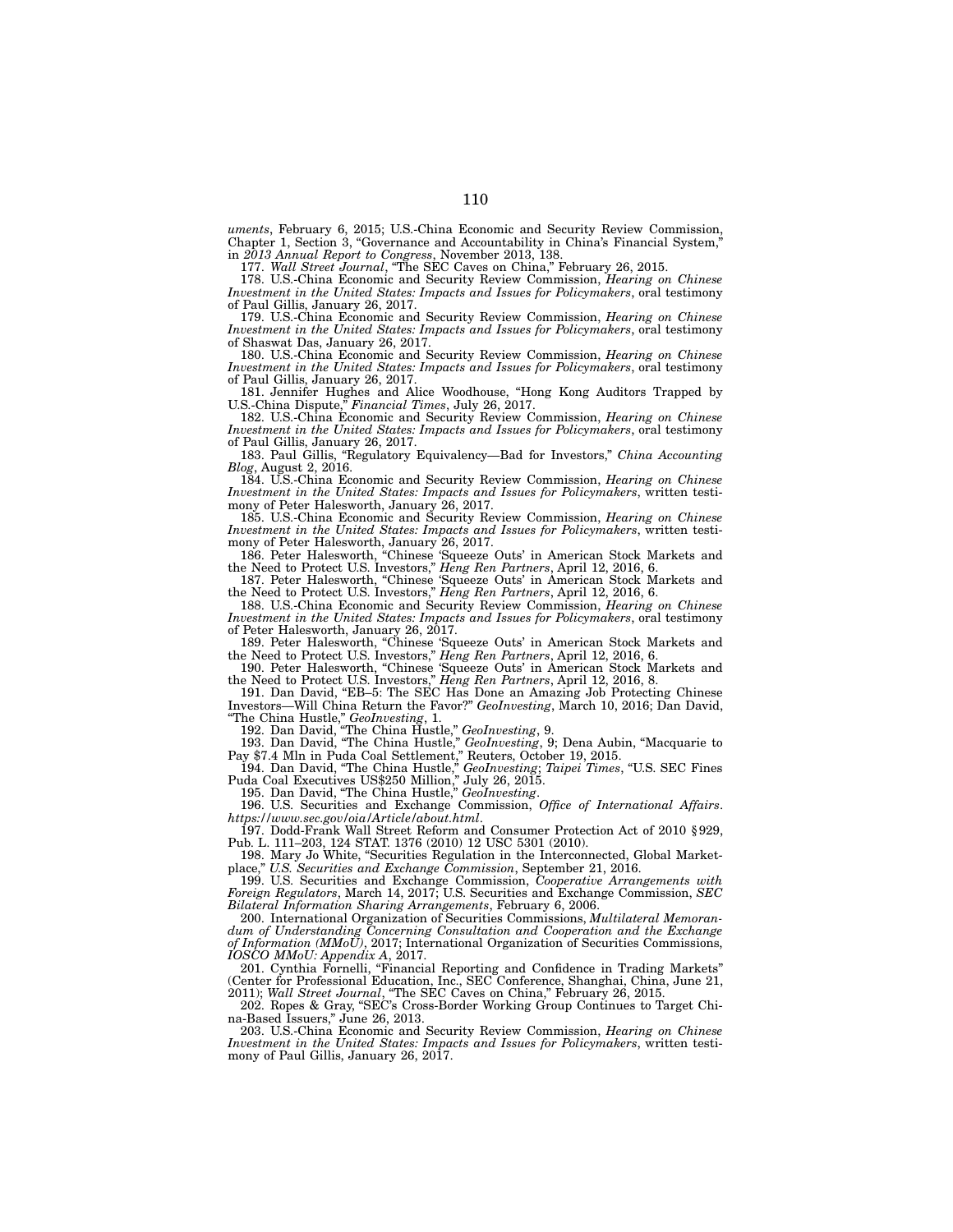*uments*, February 6, 2015; U.S.-China Economic and Security Review Commission, Chapter 1, Section 3, "Governance and Accountability in China's Financial System," in *2013 Annual Report to Congress*, November 2013, 138.

177. *Wall Street Journal*, "The SEC Caves on China," February 26, 2015.

178. U.S.-China Economic and Security Review Commission, *Hearing on Chinese Investment in the United States: Impacts and Issues for Policymakers*, oral testimony of Paul Gillis, January 26, 2017.

179. U.S.-China Economic and Security Review Commission, *Hearing on Chinese Investment in the United States: Impacts and Issues for Policymakers*, oral testimony of Shaswat Das, January 26, 2017.

180. U.S.-China Economic and Security Review Commission, *Hearing on Chinese Investment in the United States: Impacts and Issues for Policymakers*, oral testimony of Paul Gillis, January 26, 2017.

181. Jennifer Hughes and Alice Woodhouse, "Hong Kong Auditors Trapped by U.S.-China Dispute," *Financial Times*, July 26, 2017.

182. U.S.-China Economic and Security Review Commission, *Hearing on Chinese Investment in the United States: Impacts and Issues for Policymakers*, oral testimony of Paul Gillis, January 26, 2017.

183. Paul Gillis, "Regulatory Equivalency—Bad for Investors," *China Accounting Blog*, August 2, 2016.

184. U.S.-China Economic and Security Review Commission, *Hearing on Chinese Investment in the United States: Impacts and Issues for Policymakers*, written testimony of Peter Halesworth, January 26, 2017.

185. U.S.-China Economic and Security Review Commission, *Hearing on Chinese Investment in the United States: Impacts and Issues for Policymakers*, written testimony of Peter Halesworth, January 26, 2017.

186. Peter Halesworth, "Chinese 'Squeeze Outs' in American Stock Markets and the Need to Protect U.S. Investors," *Heng Ren Partners*, April 12, 2016, 6.

187. Peter Halesworth, "Chinese 'Squeeze Outs' in American Stock Markets and the Need to Protect U.S. Investors," *Heng Ren Partners*, April 12, 2016, 6.

188. U.S.-China Economic and Security Review Commission, *Hearing on Chinese Investment in the United States: Impacts and Issues for Policymakers*, oral testimony of Peter Halesworth, January 26, 2017.

189. Peter Halesworth, "Chinese 'Squeeze Outs' in American Stock Markets and the Need to Protect U.S. Investors," *Heng Ren Partners*, April 12, 2016, 6.

190. Peter Halesworth, "Chinese 'Squeeze Outs' in American Stock Markets and the Need to Protect U.S. Investors," *Heng Ren Partners*, April 12, 2016, 8.

191. Dan David, "EB–5: The SEC Has Done an Amazing Job Protecting Chinese Investors—Will China Return the Favor?" *GeoInvesting*, March 10, 2016; Dan David, "The China Hustle," *GeoInvesting*, 1.

192. Dan David, "The China Hustle," *GeoInvesting*, 9.

193. Dan David, "The China Hustle," *GeoInvesting*, 9; Dena Aubin, "Macquarie to Pay \$7.4 Mln in Puda Coal Settlement," Reuters, October 19, 2015.

194. Dan David, "The China Hustle," *GeoInvesting*; *Taipei Times*, "U.S. SEC Fines Puda Coal Executives US\$250 Million," July 26, 2015.

195. Dan David, "The China Hustle," *GeoInvesting*.

196. U.S. Securities and Exchange Commission, *Office of International Affairs*. *https://www.sec.gov/oia/Article/about.html*.

197. Dodd-Frank Wall Street Reform and Consumer Protection Act of 2010 §929,<br>Pub. L. 111–203, 124 STAT. 1376 (2010) 12 USC 5301 (2010). Pub. L. 111–203, 124 STAT. 1376 (2010) 12 USC 5301 (2010).

198. Mary Jo White, "Securities Regulation in the Interconnected, Global Marketplace," *U.S. Securities and Exchange Commission*, September 21, 2016.

199. U.S. Securities and Exchange Commission, *Cooperative Arrangements with Foreign Regulators*, March 14, 2017; U.S. Securities and Exchange Commission, *SEC Bilateral Information Sharing Arrangements*, February 6, 2006.

200. International Organization of Securities Commissions, *Multilateral Memorandum of Understanding Concerning Consultation and Cooperation and the Exchange of Information (MMoU)*, 2017; International Organization of Securities Commissions, *IOSCO MMoU: Appendix A*, 2017.

201. Cynthia Fornelli, "Financial Reporting and Confidence in Trading Markets" (Center for Professional Education, Inc., SEC Conference, Shanghai, China, June 21, 2011); *Wall Street Journal*, "The SEC Caves on China," February 26, 2015.

202. Ropes & Gray, "SEC's Cross-Border Working Group Continues to Target China-Based Issuers," June 26, 2013.

203. U.S.-China Economic and Security Review Commission, *Hearing on Chinese Investment in the United States: Impacts and Issues for Policymakers*, written testimony of Paul Gillis, January 26, 2017.